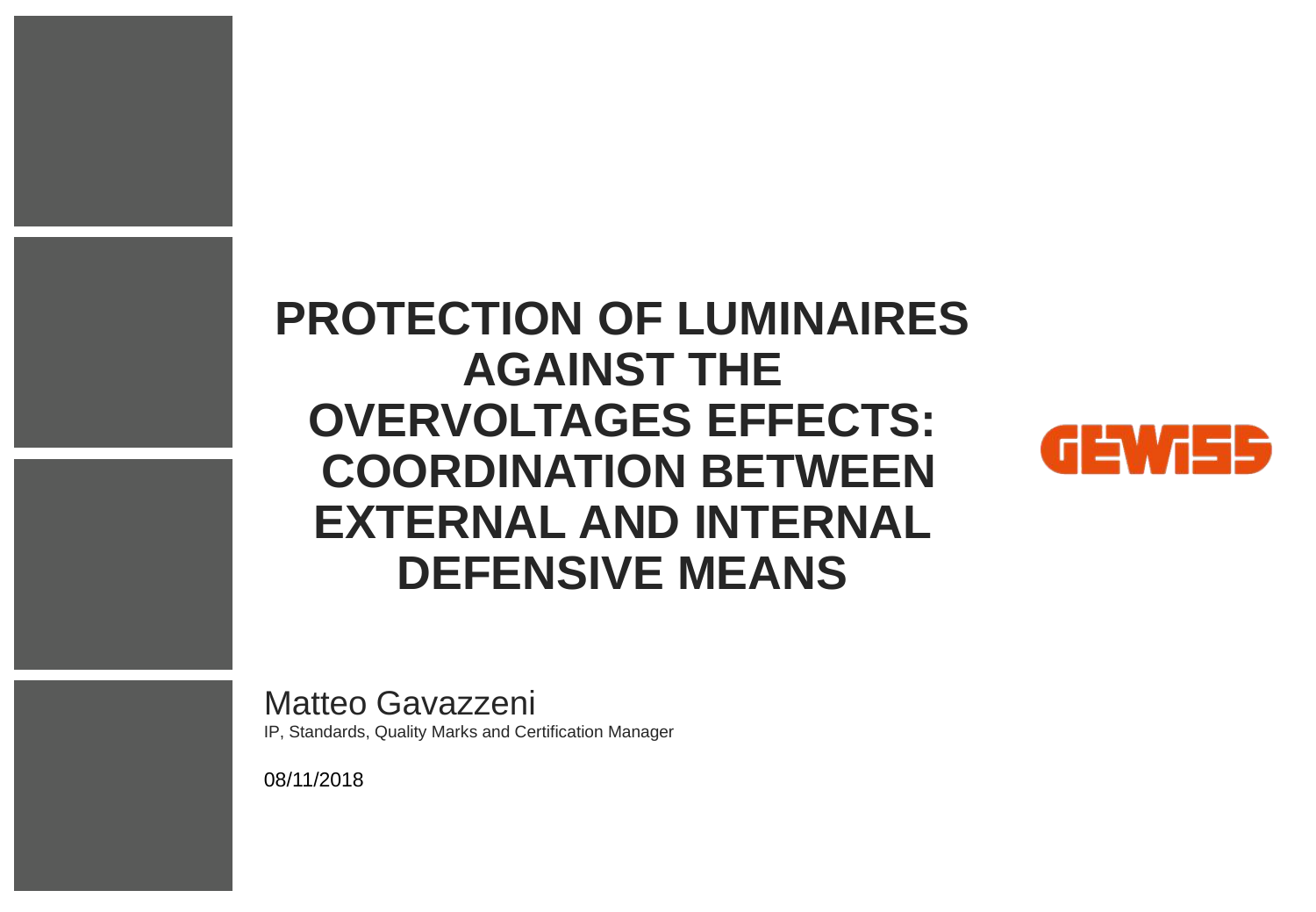## **PROTECTION OF LUMINAIRES AGAINST THE OVERVOLTAGES EFFECTS: COORDINATION BETWEEN EXTERNAL AND INTERNAL DEFENSIVE MEANS**



Matteo Gavazzeni

IP, Standards, Quality Marks and Certification Manager

08/11/2018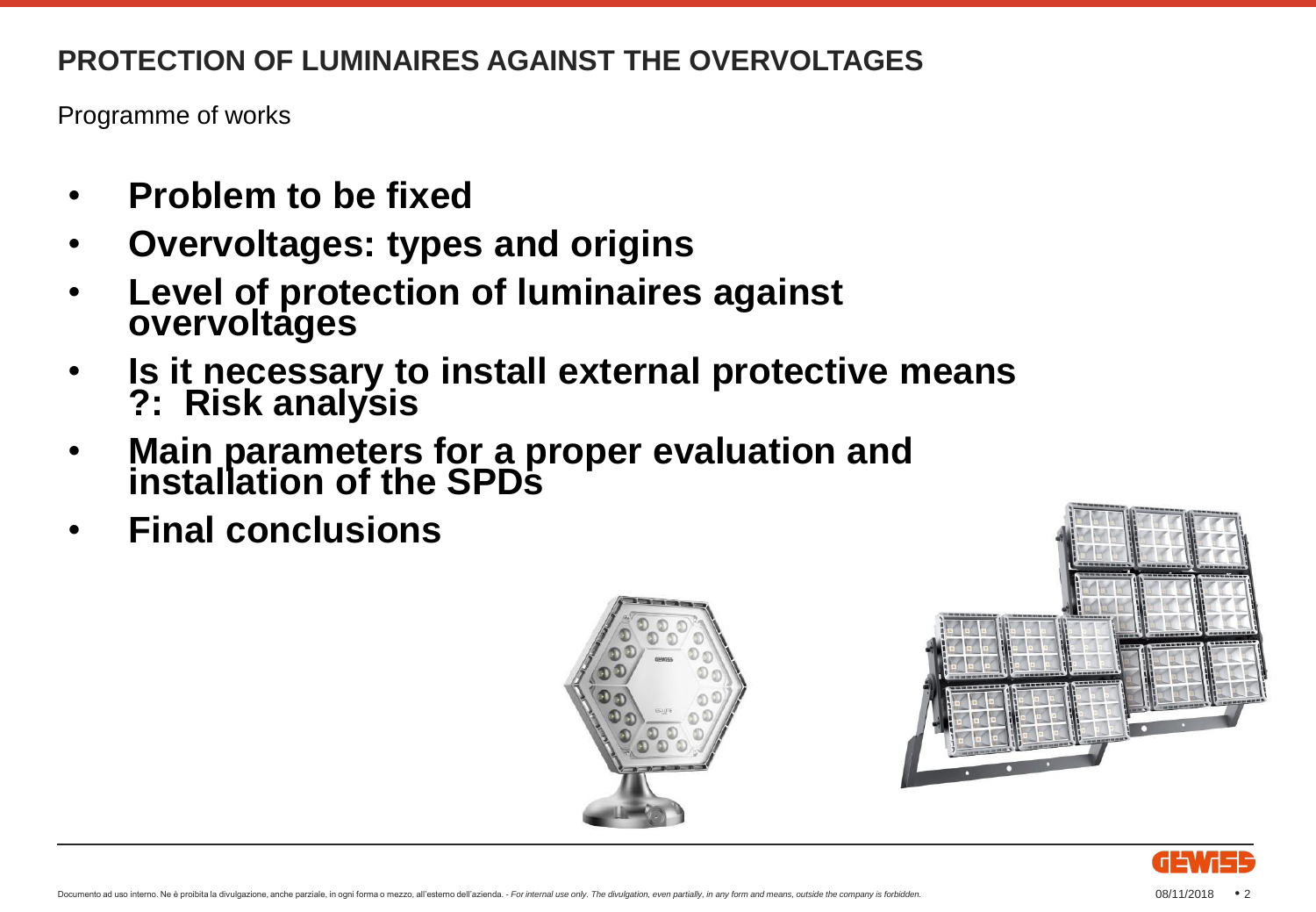Programme of works

- **Problem to be fixed**
- **Overvoltages: types and origins**
- **Level of protection of luminaires against overvoltages**
- **Is it necessary to install external protective means ?: Risk analysis**
- **Main parameters for a proper evaluation and installation of the SPDs**
- **Final conclusions**





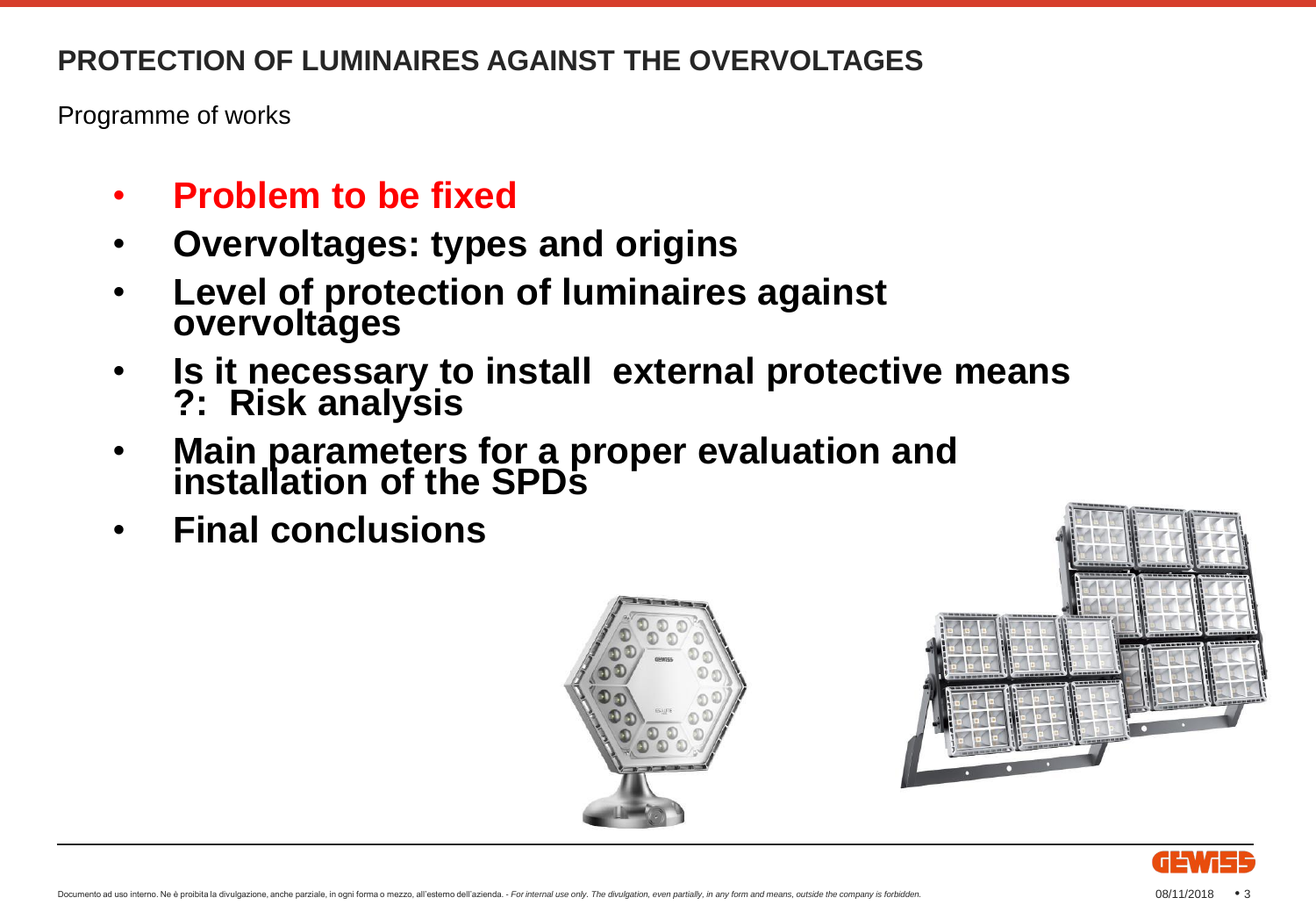Programme of works

- **Problem to be fixed**
- **Overvoltages: types and origins**
- **Level of protection of luminaires against overvoltages**
- **Is it necessary to install external protective means ?: Risk analysis**
- **Main parameters for a proper evaluation and installation of the SPDs**
- **Final conclusions**





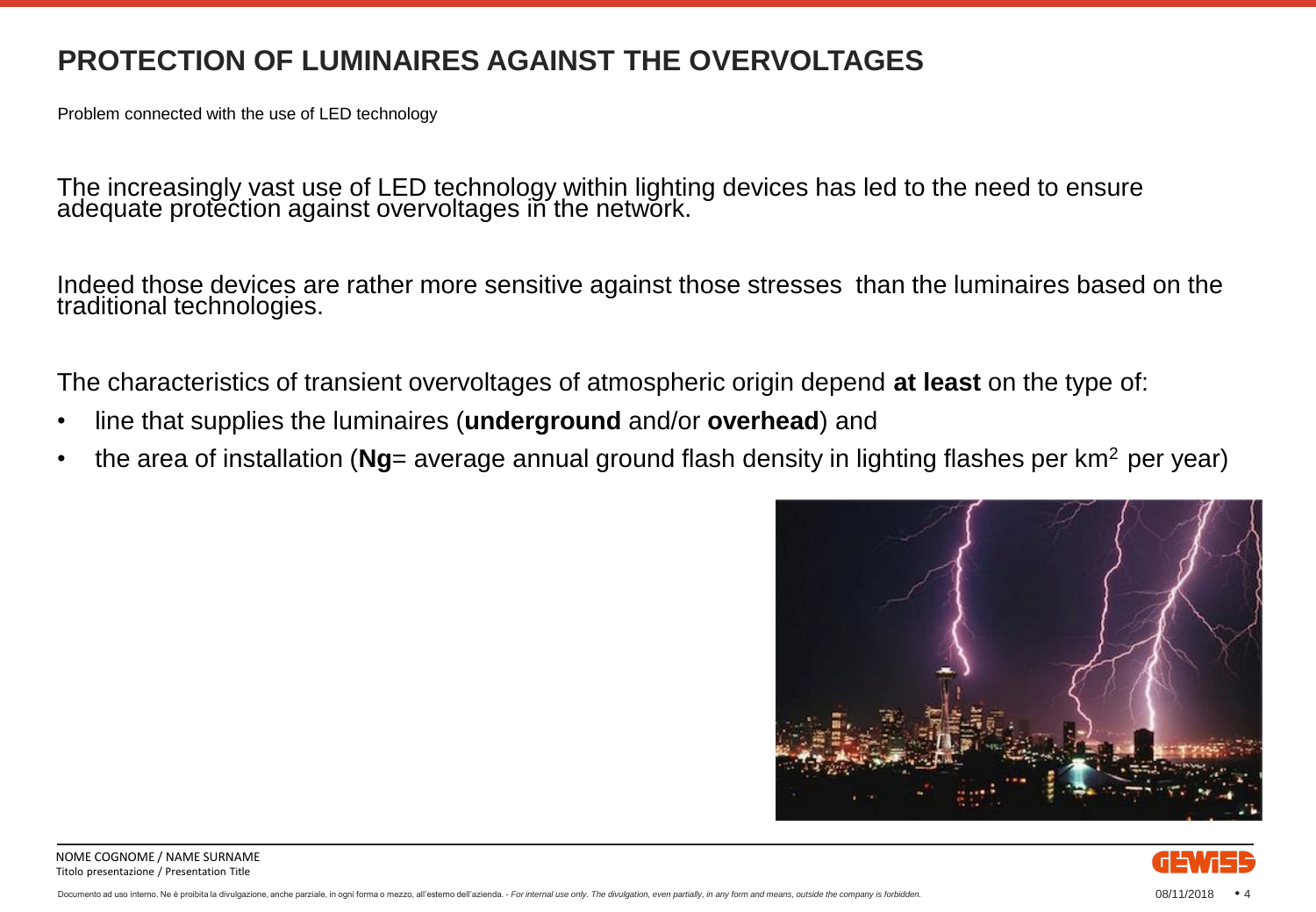Problem connected with the use of LED technology

The increasingly vast use of LED technology within lighting devices has led to the need to ensure adequate protection against overvoltages in the network.

Indeed those devices are rather more sensitive against those stresses than the luminaires based on the traditional technologies.

The characteristics of transient overvoltages of atmospheric origin depend **at least** on the type of:

- line that supplies the luminaires (**underground** and/or **overhead**) and
- the area of installation (**Ng**= average annual ground flash density in lighting flashes per km<sup>2</sup> per year)



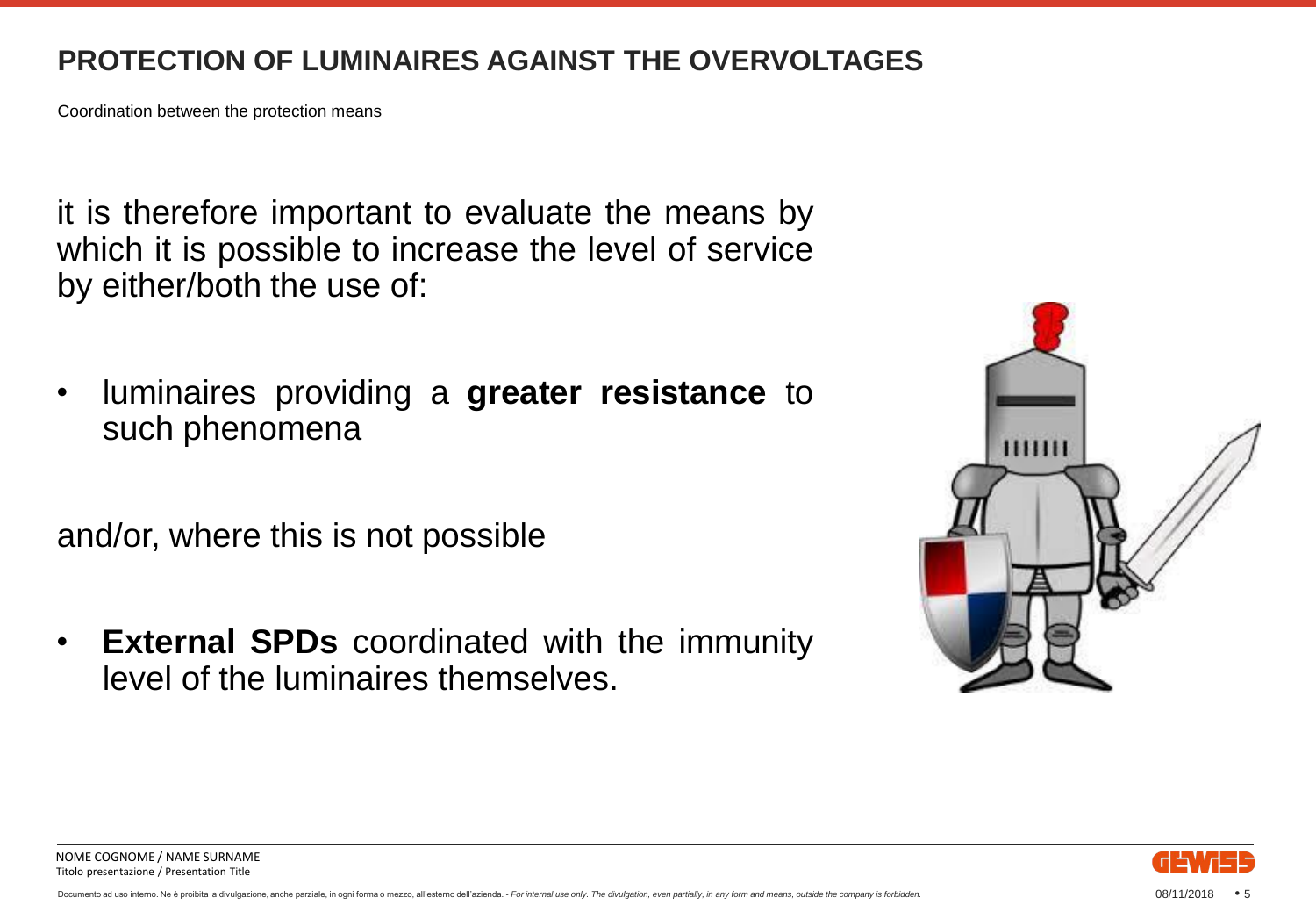Coordination between the protection means

it is therefore important to evaluate the means by which it is possible to increase the level of service by either/both the use of:

• luminaires providing a **greater resistance** to such phenomena

and/or, where this is not possible

• **External SPDs** coordinated with the immunity level of the luminaires themselves.





NOME COGNOME / NAME SURNAME Titolo presentazione / Presentation Title

Documento ad uso interno. Ne è proibita la divulgazione, anche parziale, in ogni forma o mezzo, all'esterno dell'azienda. - For internal use only. The divulgation, even partially, in any form and means, outside the company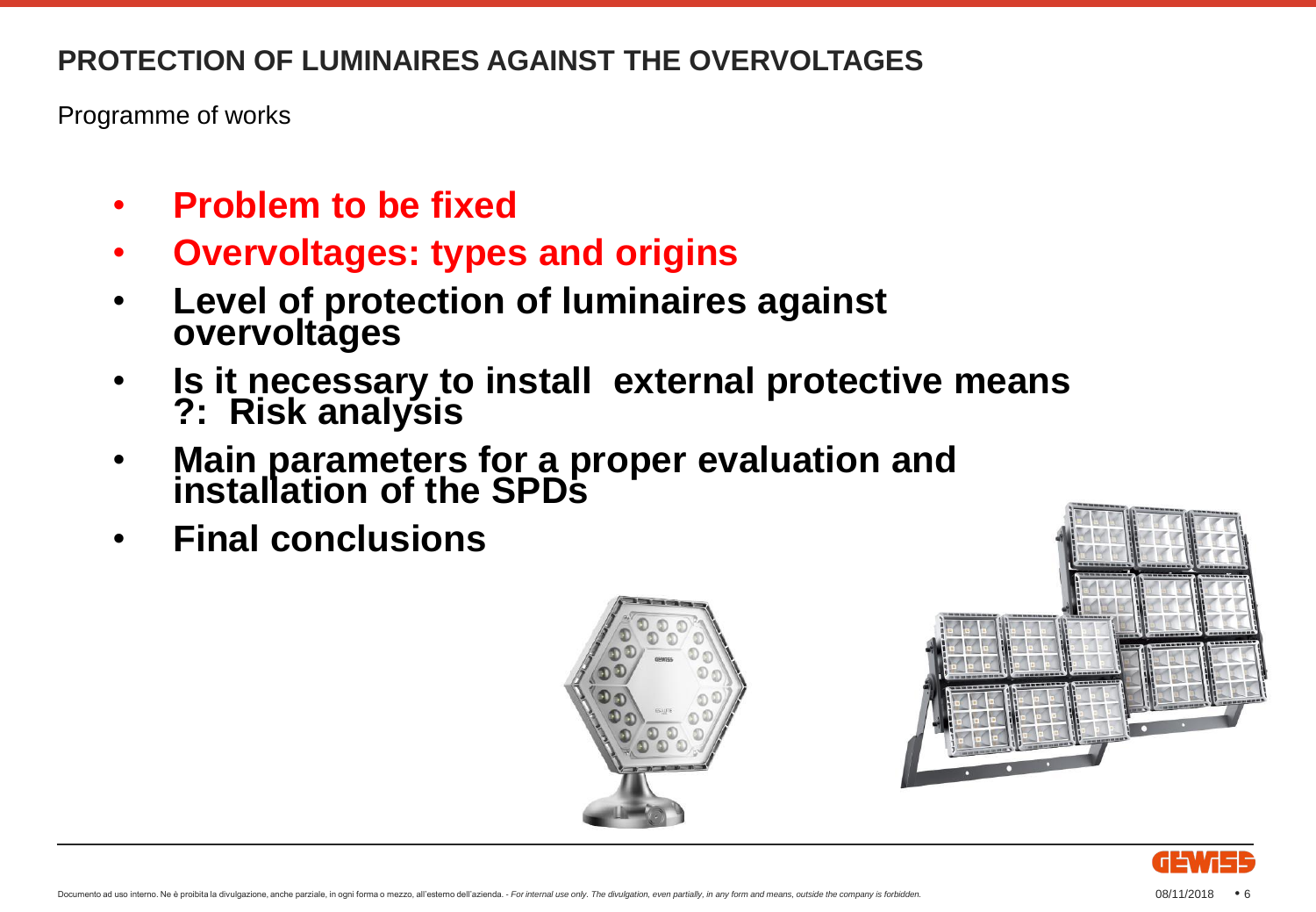Programme of works

- **Problem to be fixed**
- **Overvoltages: types and origins**
- **Level of protection of luminaires against overvoltages**
- **Is it necessary to install external protective means ?: Risk analysis**
- **Main parameters for a proper evaluation and installation of the SPDs**
- **Final conclusions**





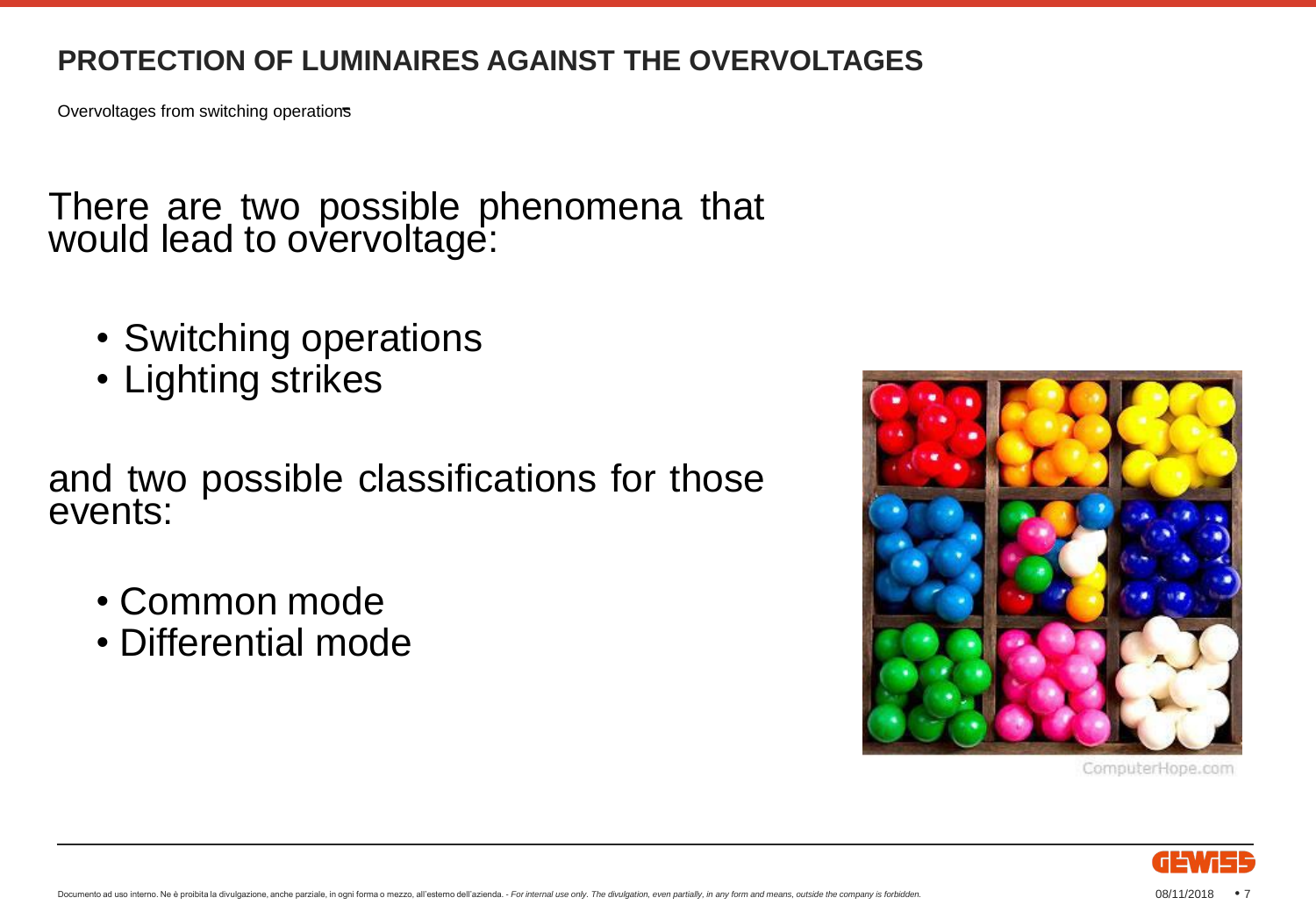Overvoltages from switching operations

There are two possible phenomena that would lead to overvoltage:

- Switching operations
- Lighting strikes

and two possible classifications for those events:

- Common mode
- Differential mode



ComputerHope.com

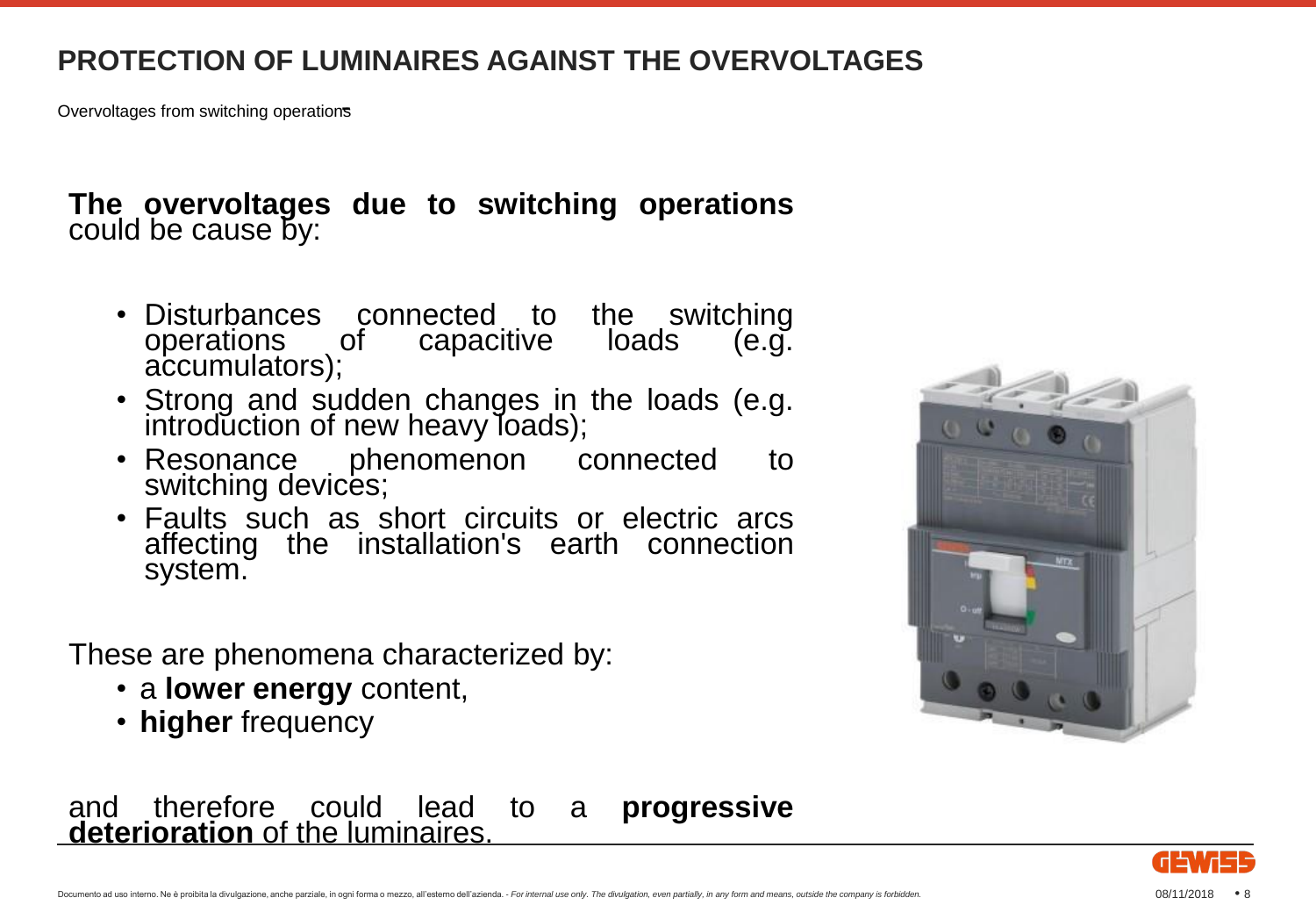Overvoltages from switching operations

#### **The overvoltages due to switching operations** could be cause by:

- Disturbances connected to the switching operations of capacitive loads (e.g. accumulators);
- Strong and sudden changes in the loads (e.g. introduction of new heavy loads);
- Resonance phenomenon connected to switching devices;
- Faults such as short circuits or electric arcs affecting the installation's earth connection system.

These are phenomena characterized by:

- a **lower energy** content,
- **higher** frequency





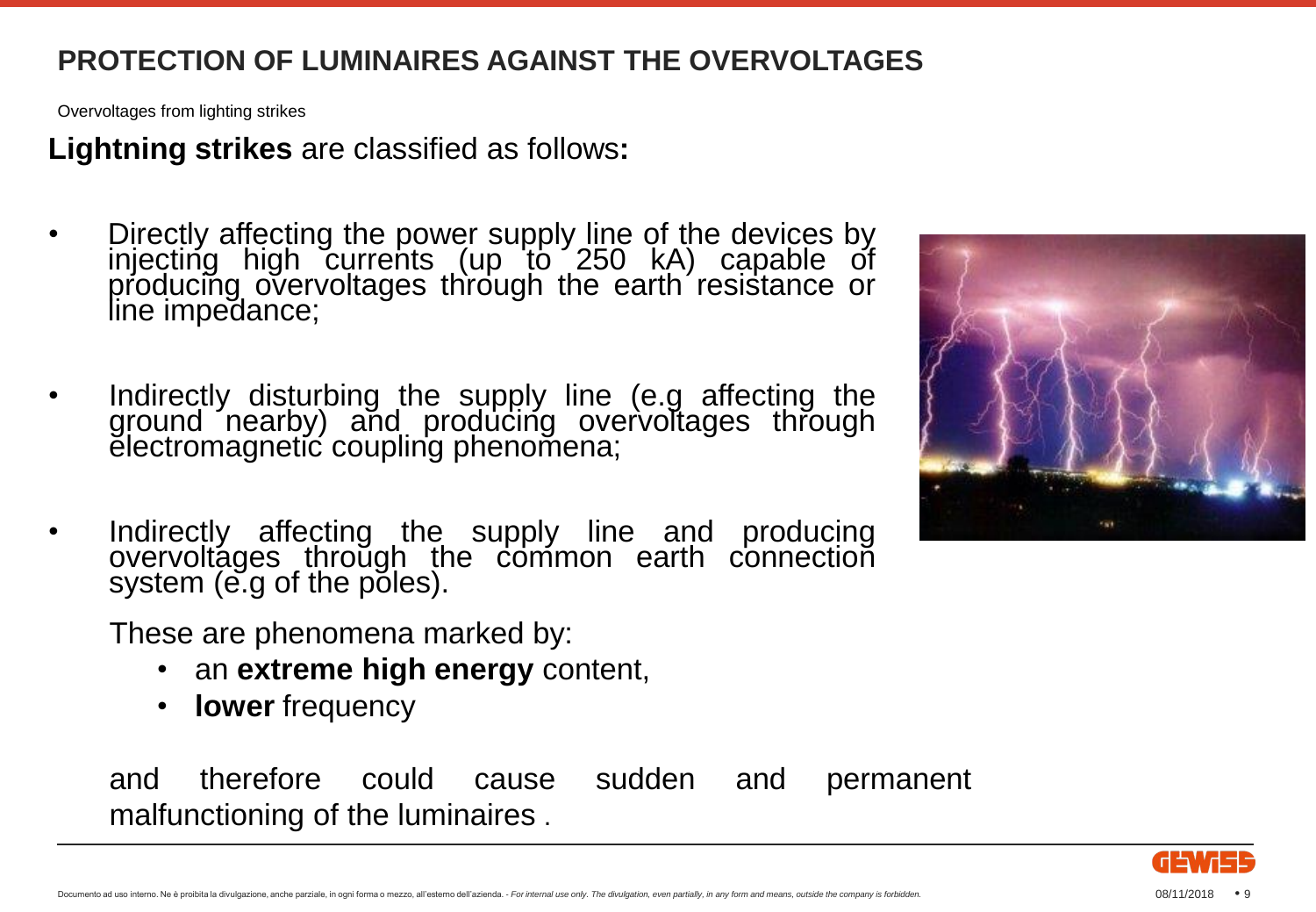Overvoltages from lighting strikes

**Lightning strikes** are classified as follows**:**

- Directly affecting the power supply line of the devices by injecting high currents (up to 250 kA) capable of producing overvoltages through the earth resistance or line impedance;
- Indirectly disturbing the supply line (e.g affecting the ground nearby) and producing overvoltages through electromagnetic coupling phenomena;
- Indirectly affecting the supply line and producing overvoltáges throŭgh the common earth connection system (e.g of the poles).

These are phenomena marked by:

- an **extreme high energy** content,
- **lower** frequency

and therefore could cause sudden and permanent malfunctioning of the luminaires .



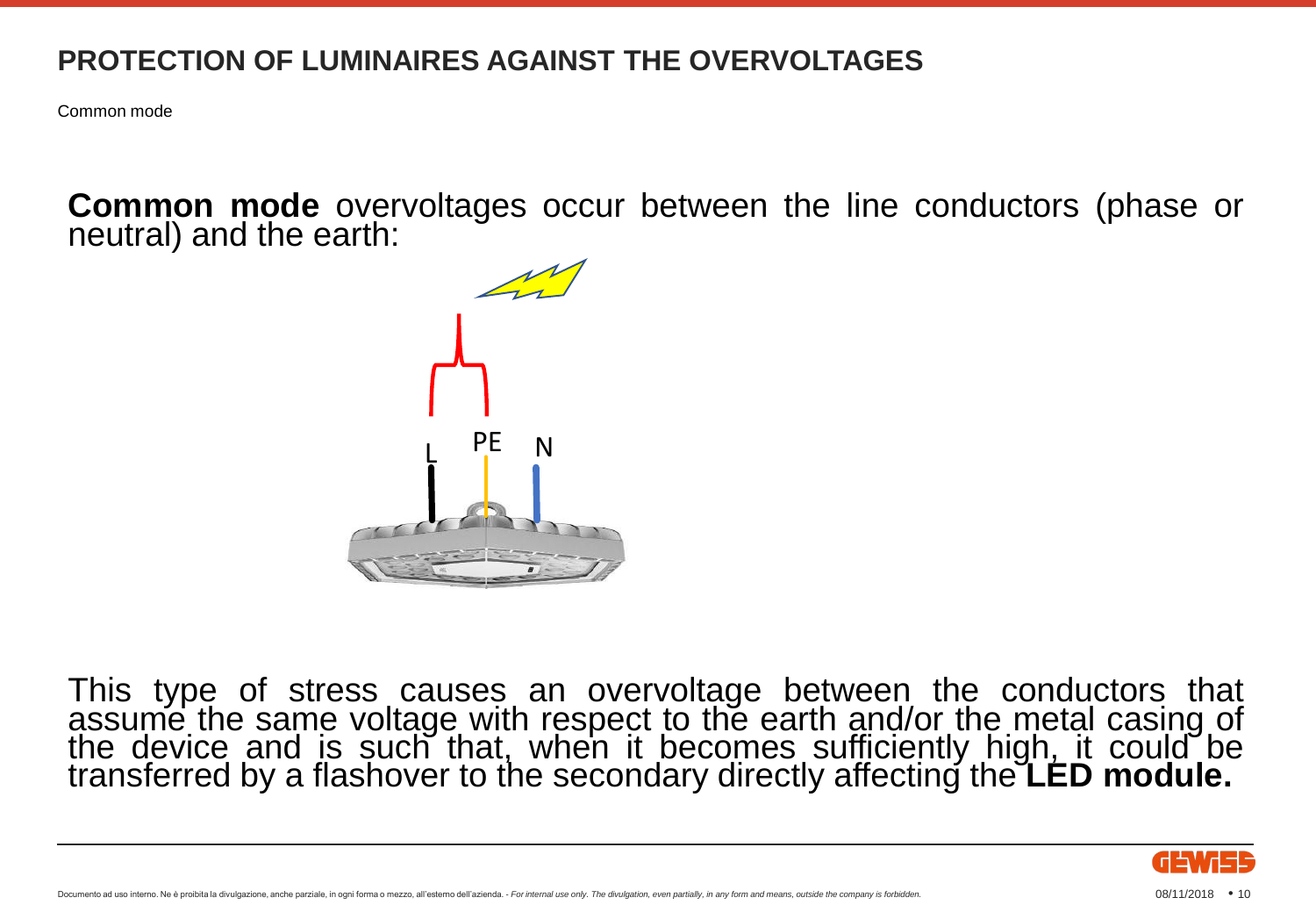Common mode

**Common mode** overvoltages occur between the line conductors (phase or neutral) and the earth:



This type of stress causes an overvoltage between the conductors that assume the same voltage with respect to the earth and/or the metal casing of the device and is such that, when it becomes sufficiently high, it could be transferred by a flashover to the secondary directly affecting the **LED module.**

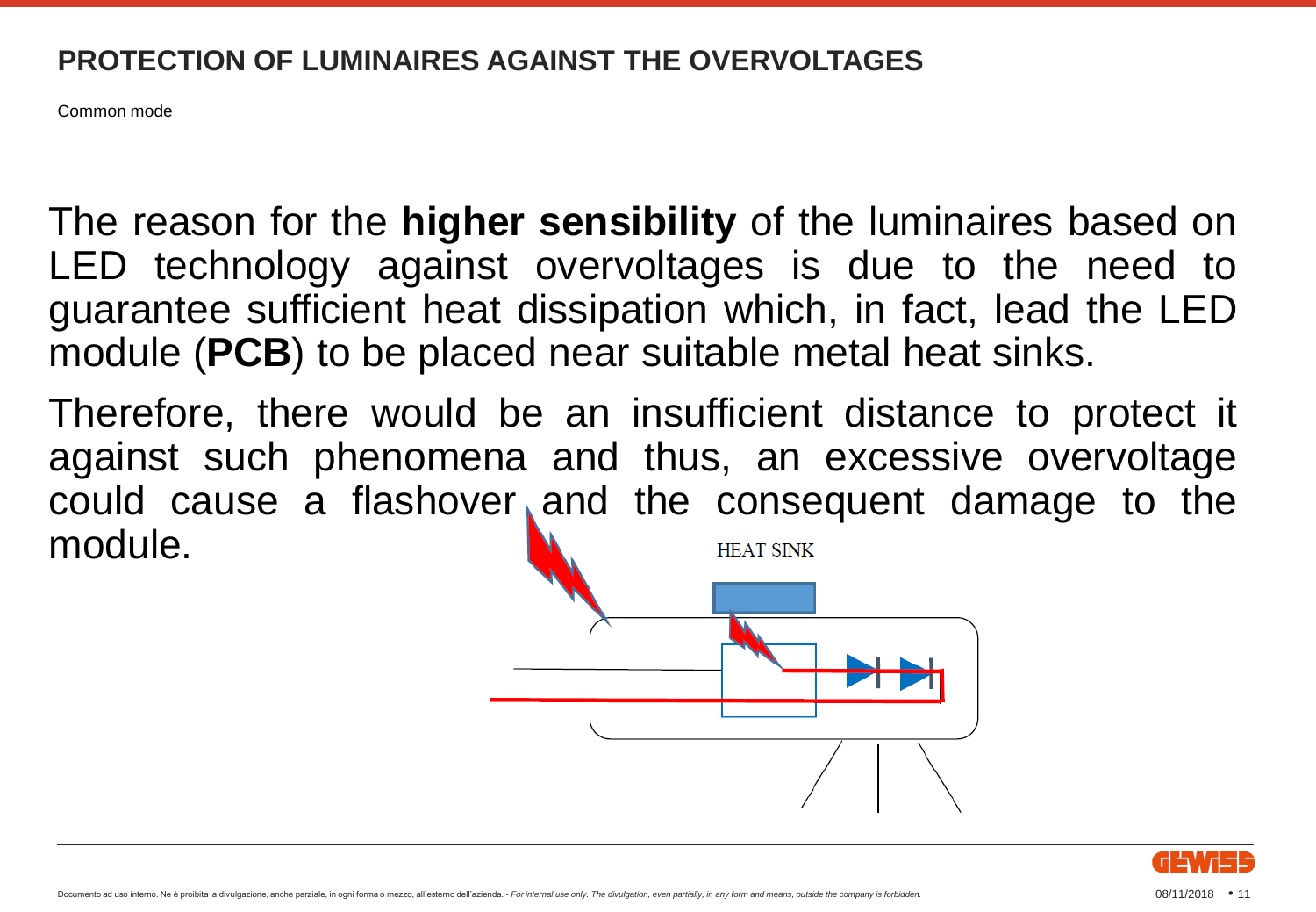Common mode

The reason for the **higher sensibility** of the luminaires based on LED technology against overvoltages is due to the need to guarantee sufficient heat dissipation which, in fact, lead the LED module (**PCB**) to be placed near suitable metal heat sinks.

Therefore, there would be an insufficient distance to protect it against such phenomena and thus, an excessive overvoltage could cause a flashover and the consequent damage to the module. **HEAT SINK** 



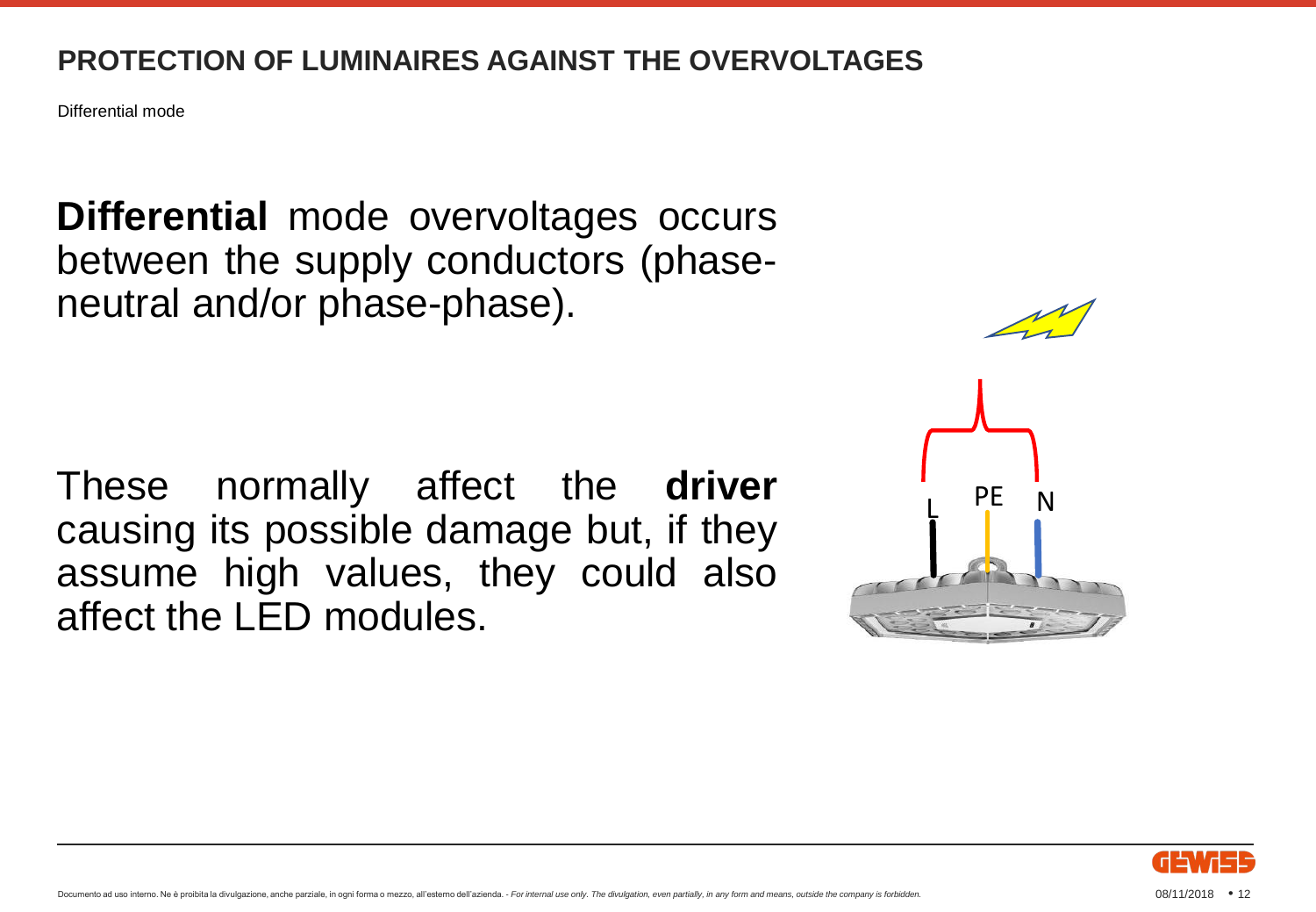Differential mode

**Differential** mode overvoltages occurs between the supply conductors (phaseneutral and/or phase-phase).

These normally affect the **driver** causing its possible damage but, if they assume high values, they could also affect the LED modules.





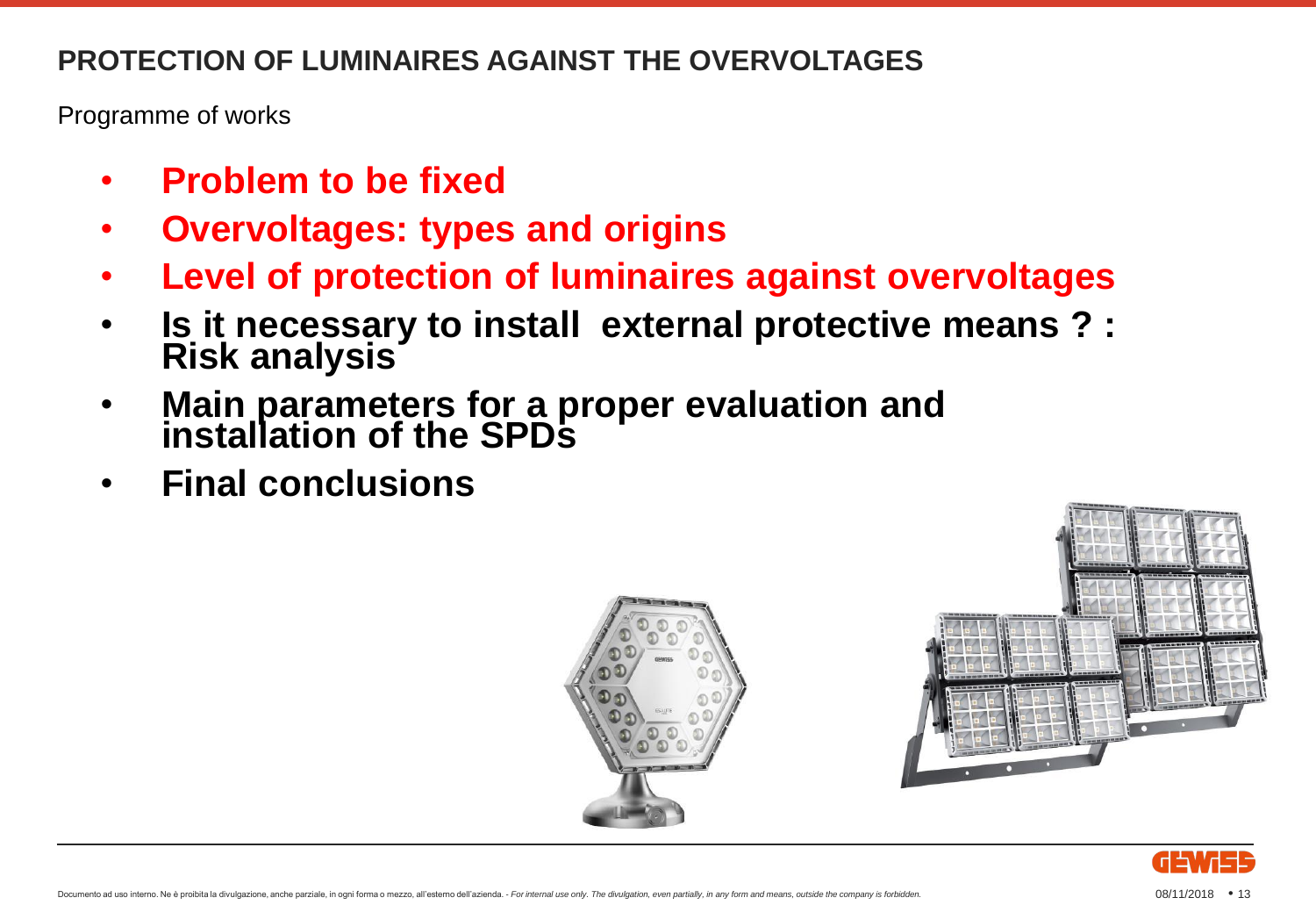Programme of works

- **Problem to be fixed**
- **Overvoltages: types and origins**
- **Level of protection of luminaires against overvoltages**
- **Is it necessary to install external protective means ? : Risk analysis**
- **Main parameters for a proper evaluation and installation of the SPDs**
- **Final conclusions**





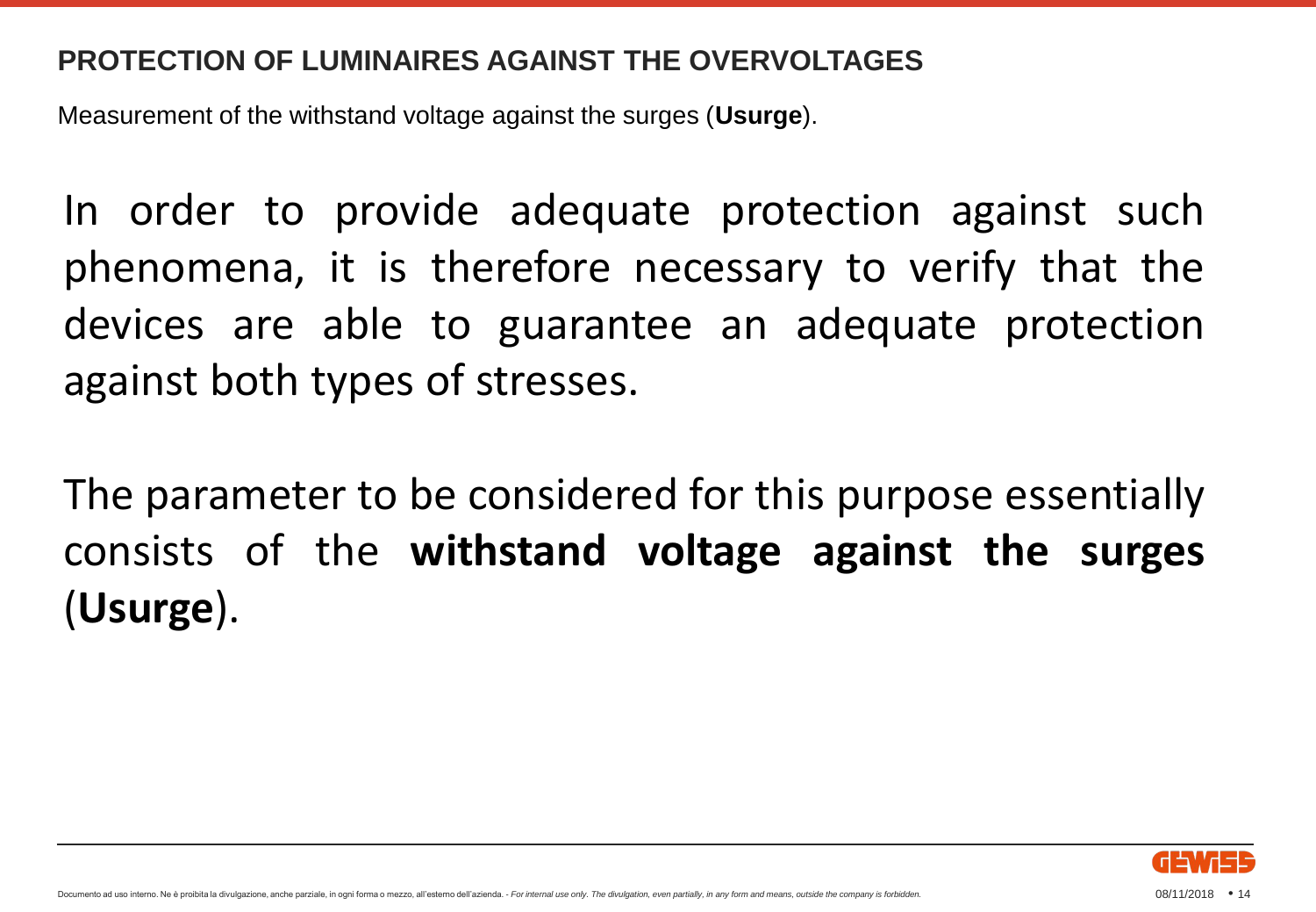Measurement of the withstand voltage against the surges (**Usurge**).

In order to provide adequate protection against such phenomena, it is therefore necessary to verify that the devices are able to guarantee an adequate protection against both types of stresses.

The parameter to be considered for this purpose essentially consists of the **withstand voltage against the surges** (**Usurge**).

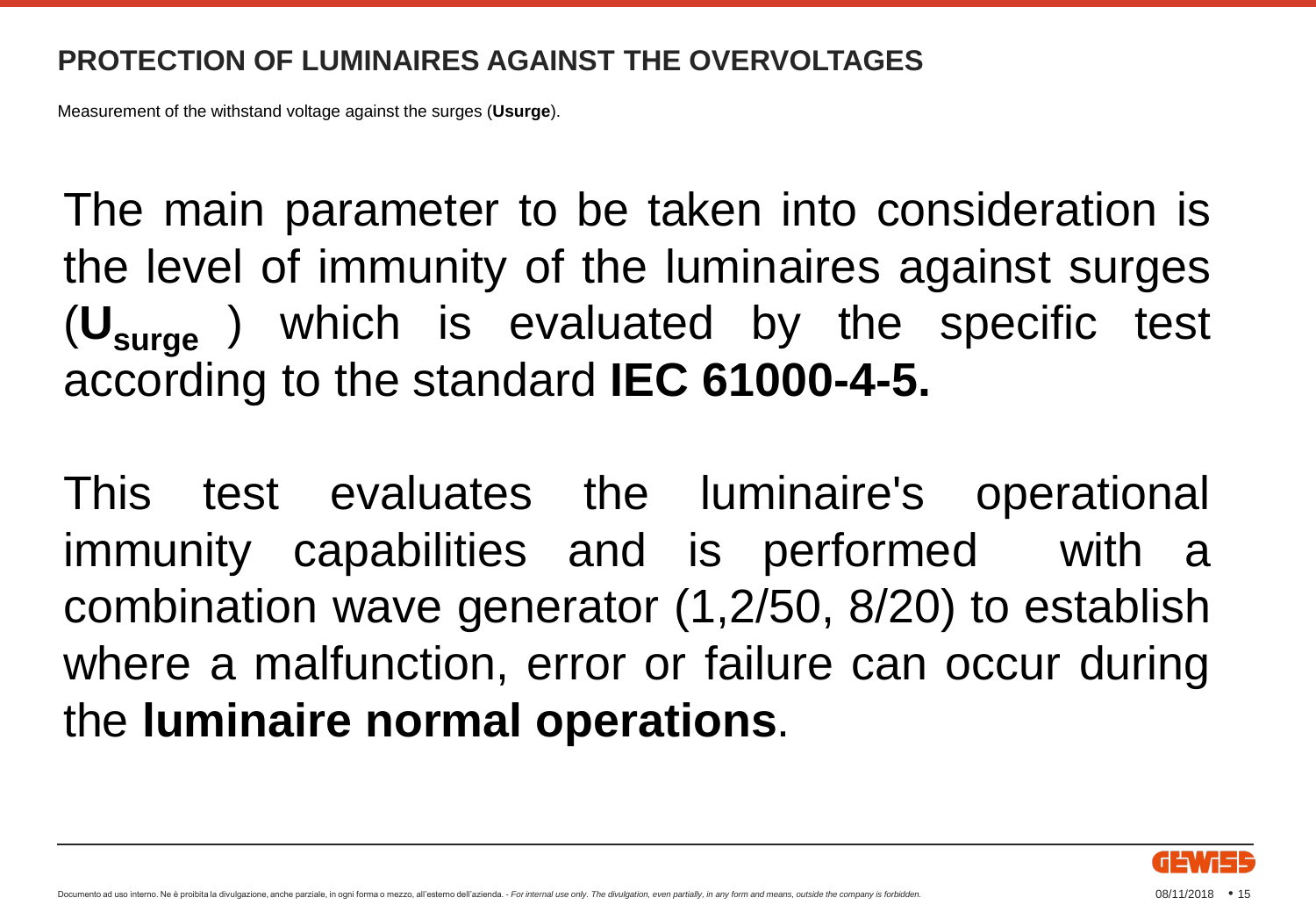Measurement of the withstand voltage against the surges (**Usurge**).

The main parameter to be taken into consideration is the level of immunity of the luminaires against surges (**Usurge** ) which is evaluated by the specific test according to the standard **IEC 61000-4-5.**

This test evaluates the luminaire's operational immunity capabilities and is performed with a combination wave generator (1,2/50, 8/20) to establish where a malfunction, error or failure can occur during the **luminaire normal operations**.

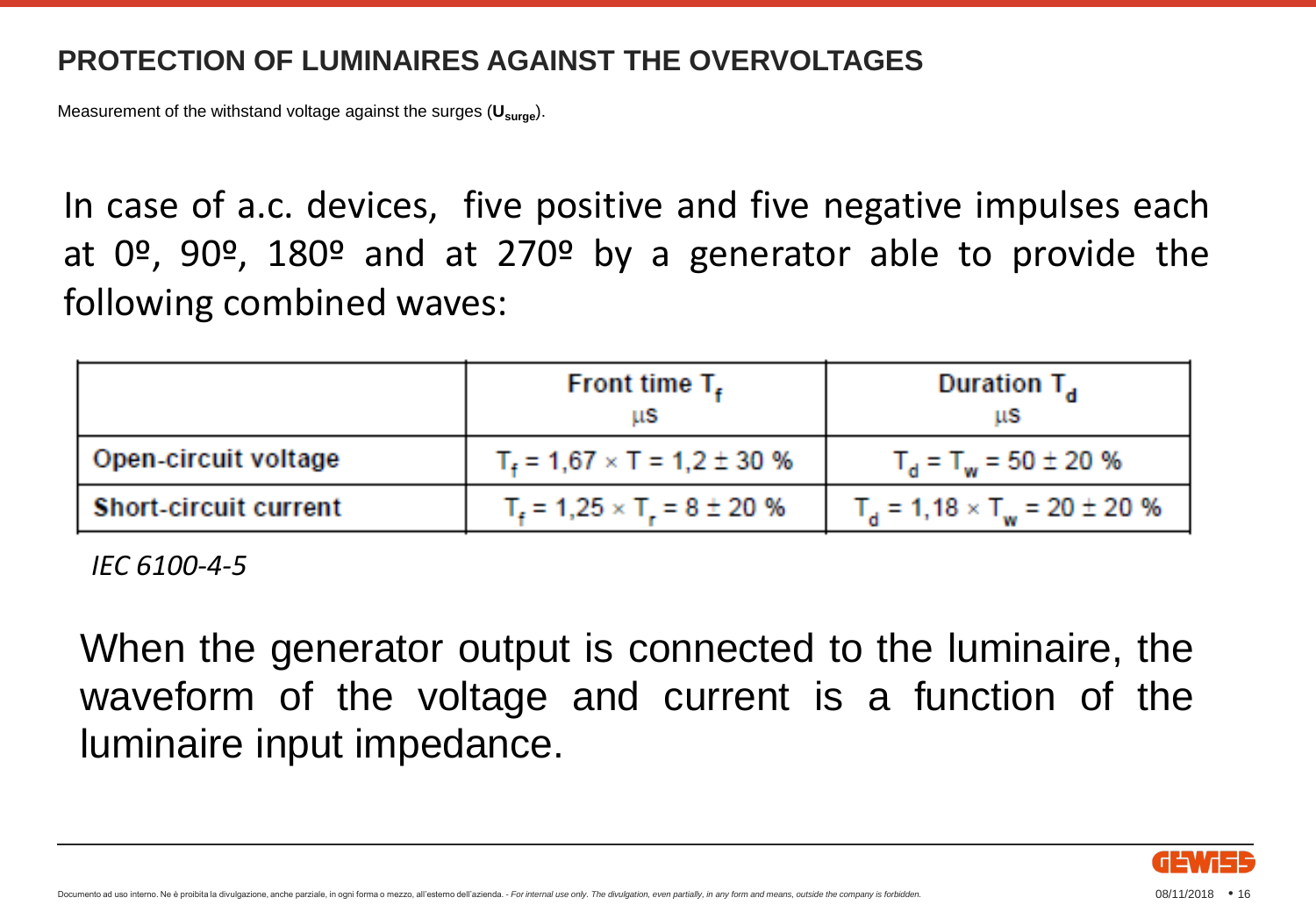Measurement of the withstand voltage against the surges (**Usurge**).

In case of a.c. devices, five positive and five negative impulses each at  $0^\circ$ ,  $90^\circ$ ,  $180^\circ$  and at  $270^\circ$  by a generator able to provide the following combined waves:

|                              | Front time $T_{\rm r}$<br>us         | Duration $T_{\rm a}$<br>ШS            |
|------------------------------|--------------------------------------|---------------------------------------|
| Open-circuit voltage         | $T_f = 1,67 \times T = 1,2 \pm 30$ % | $T_{\rm d}$ = $T_{\rm w}$ = 50 ± 20 % |
| <b>Short-circuit current</b> | $T_c = 1,25 \times T_c = 8 \pm 20$ % | $T_a = 1,18 \times T_w = 20 \pm 20$ % |

*IEC 6100-4-5*

When the generator output is connected to the luminaire, the waveform of the voltage and current is a function of the luminaire input impedance.

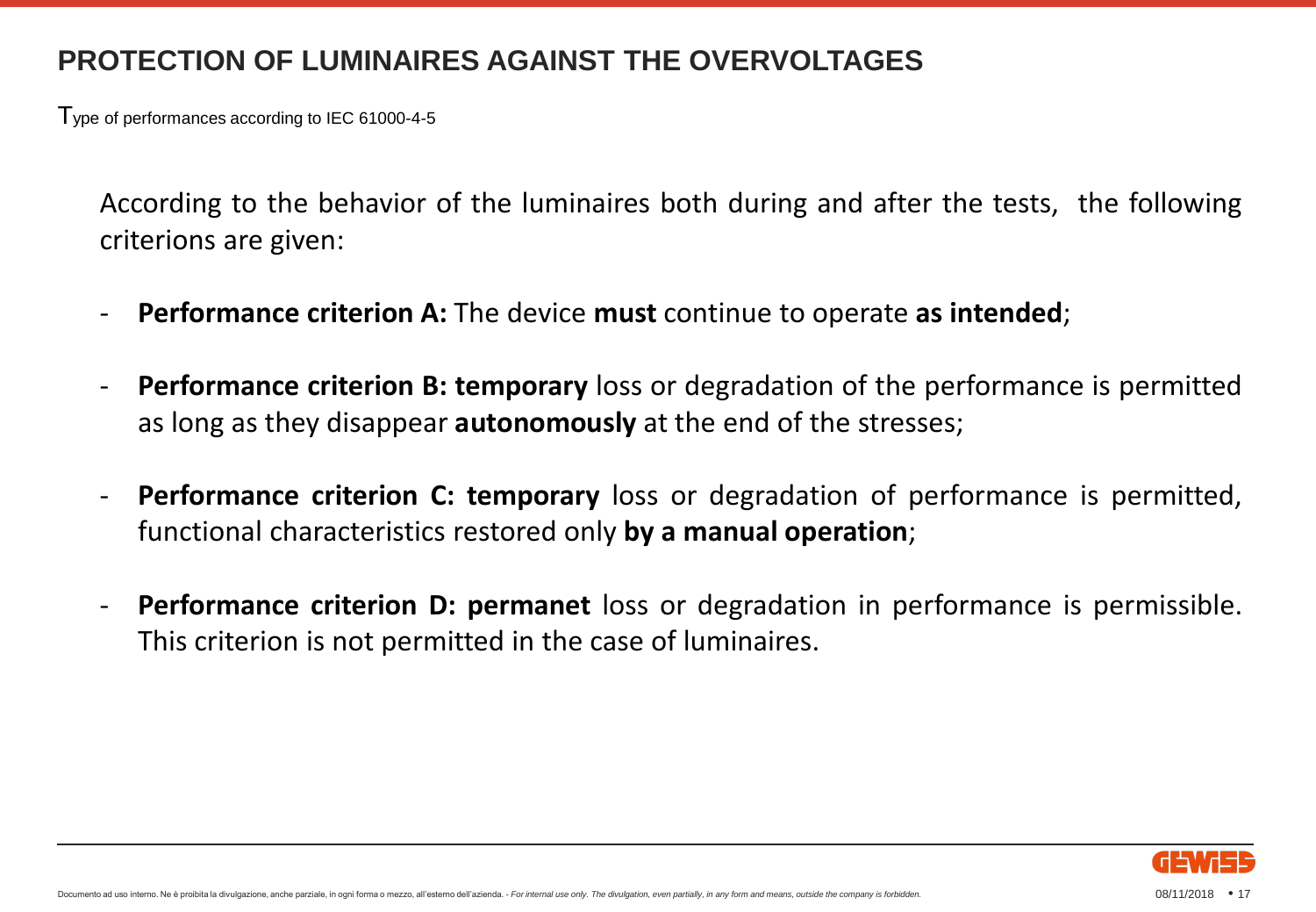Type of performances according to IEC 61000-4-5

According to the behavior of the luminaires both during and after the tests, the following criterions are given:

- **Performance criterion A:** The device **must** continue to operate **as intended**;
- **Performance criterion B: temporary** loss or degradation of the performance is permitted as long as they disappear **autonomously** at the end of the stresses;
- **Performance criterion C: temporary** loss or degradation of performance is permitted, functional characteristics restored only **by a manual operation**;
- **Performance criterion D: permanet** loss or degradation in performance is permissible. This criterion is not permitted in the case of luminaires.

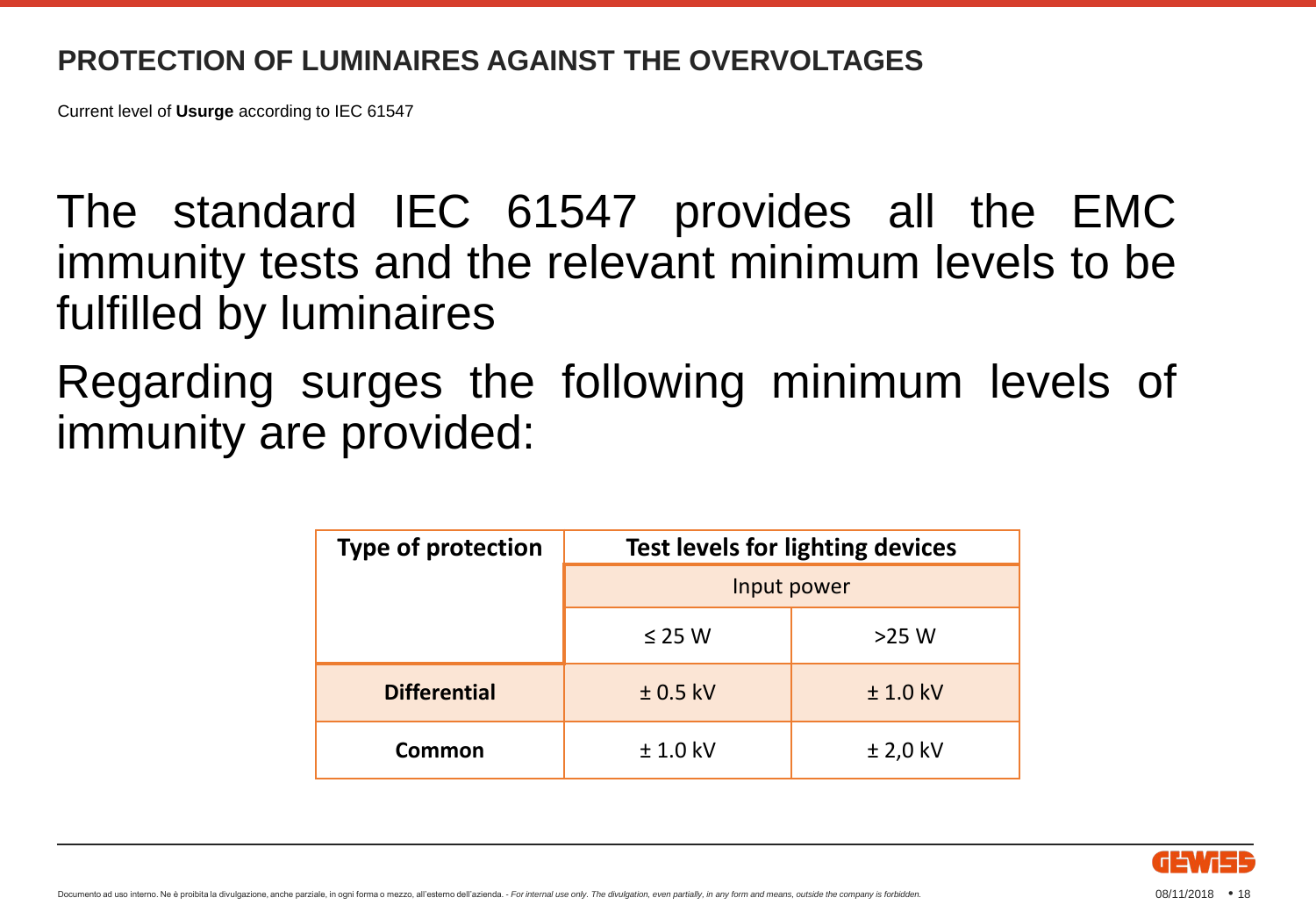Current level of **Usurge** according to IEC 61547

The standard IEC 61547 provides all the EMC immunity tests and the relevant minimum levels to be fulfilled by luminaires

Regarding surges the following minimum levels of immunity are provided:

| <b>Type of protection</b> | <b>Test levels for lighting devices</b> |            |  |
|---------------------------|-----------------------------------------|------------|--|
|                           | Input power                             |            |  |
|                           | $\leq$ 25 W                             | $>25$ W    |  |
| <b>Differential</b>       | $± 0.5$ kV                              | $± 1.0$ kV |  |
| Common                    | $± 1.0$ kV                              | $±$ 2,0 kV |  |

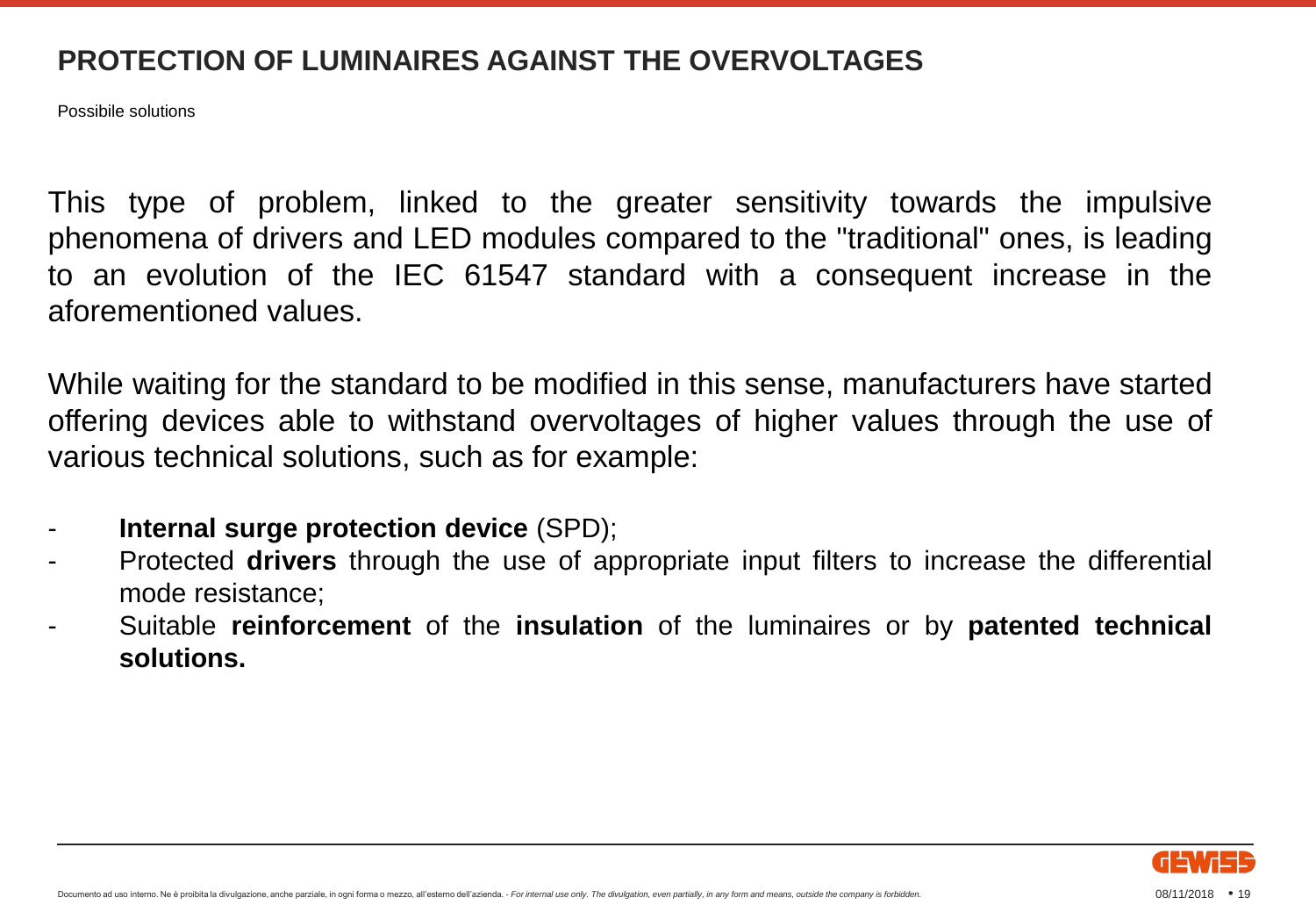Possibile solutions

This type of problem, linked to the greater sensitivity towards the impulsive phenomena of drivers and LED modules compared to the "traditional" ones, is leading to an evolution of the IEC 61547 standard with a consequent increase in the aforementioned values.

While waiting for the standard to be modified in this sense, manufacturers have started offering devices able to withstand overvoltages of higher values through the use of various technical solutions, such as for example:

- **Internal surge protection device** (SPD);
- Protected **drivers** through the use of appropriate input filters to increase the differential mode resistance;
- Suitable **reinforcement** of the **insulation** of the luminaires or by **patented technical solutions.**

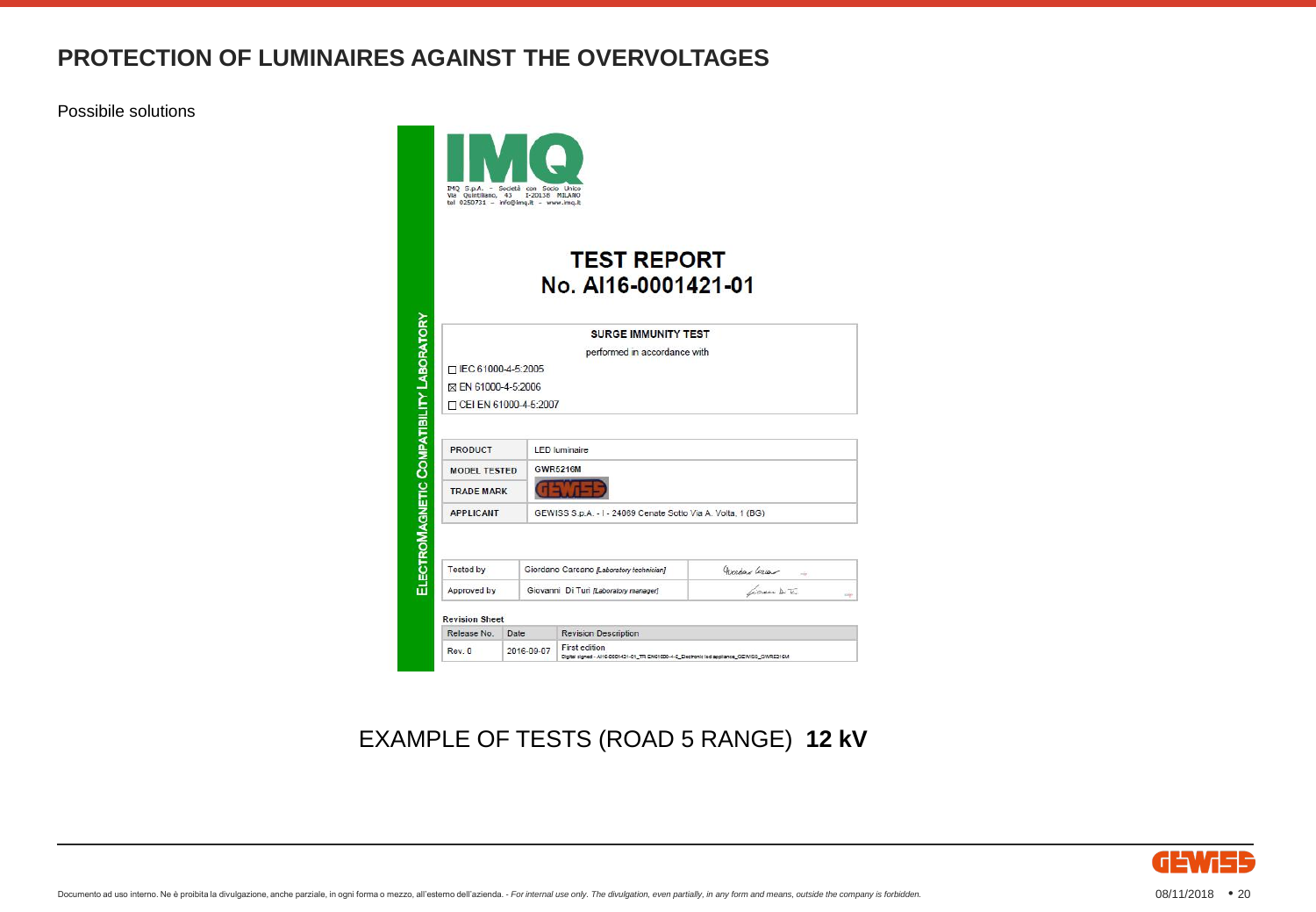Possibile solutions



#### EXAMPLE OF TESTS (ROAD 5 RANGE) **12 kV**

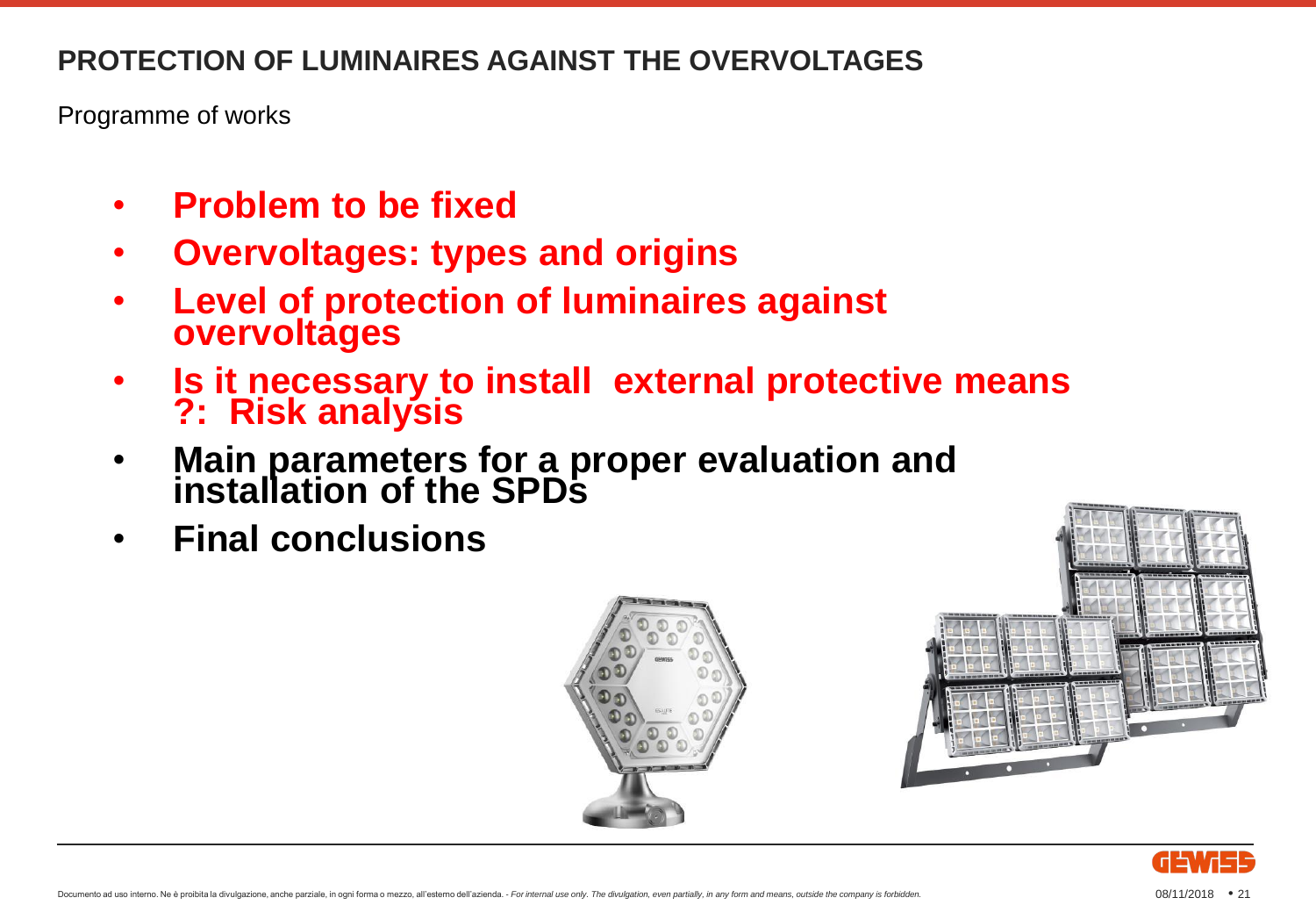Programme of works

- **Problem to be fixed**
- **Overvoltages: types and origins**
- **Level of protection of luminaires against overvoltages**
- **Is it necessary to install external protective means ?: Risk analysis**
- **Main parameters for a proper evaluation and installation of the SPDs**
- **Final conclusions**





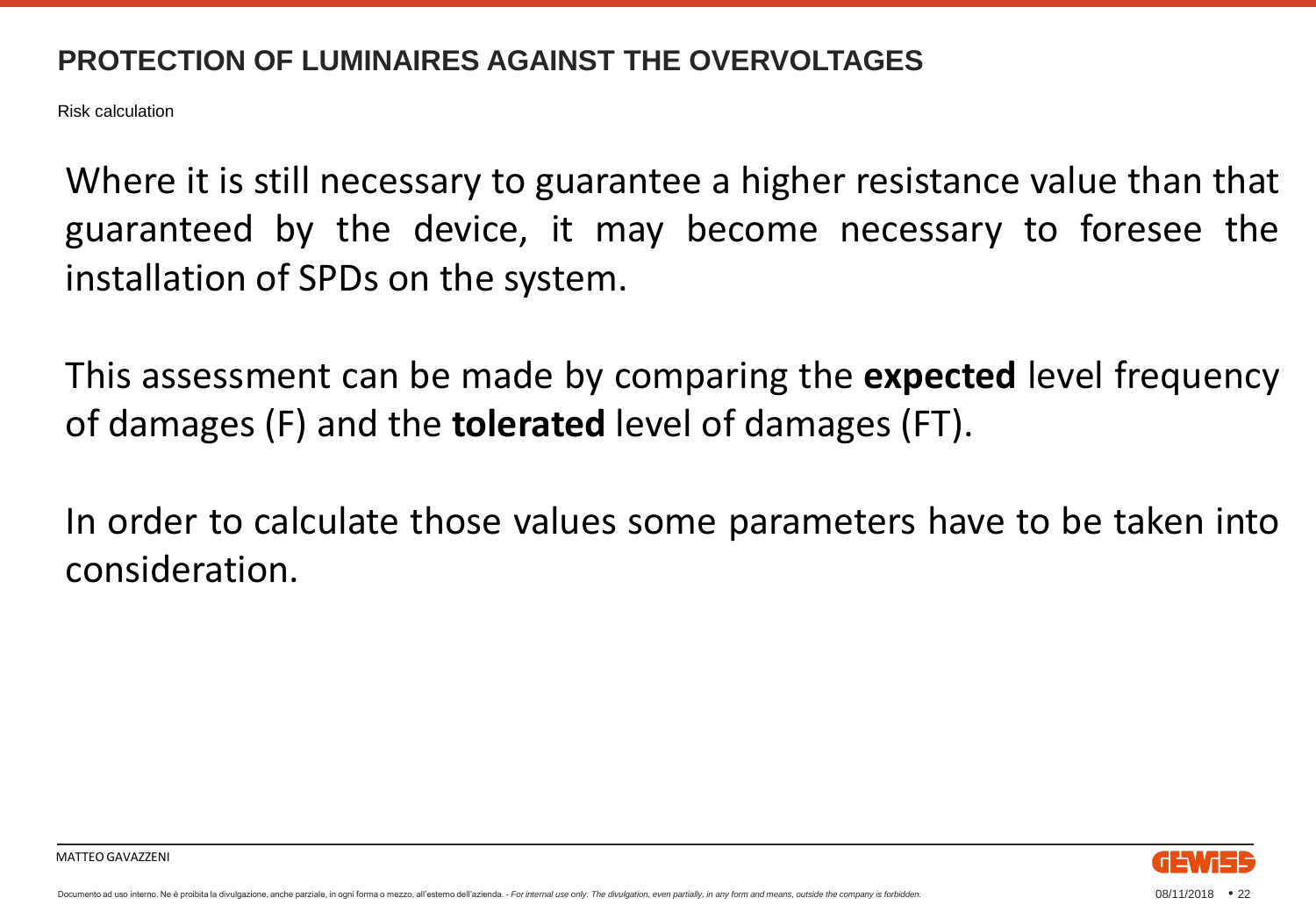Risk calculation

Where it is still necessary to guarantee a higher resistance value than that guaranteed by the device, it may become necessary to foresee the installation of SPDs on the system.

This assessment can be made by comparing the **expected** level frequency of damages (F) and the **tolerated** level of damages (FT).

In order to calculate those values some parameters have to be taken into consideration.

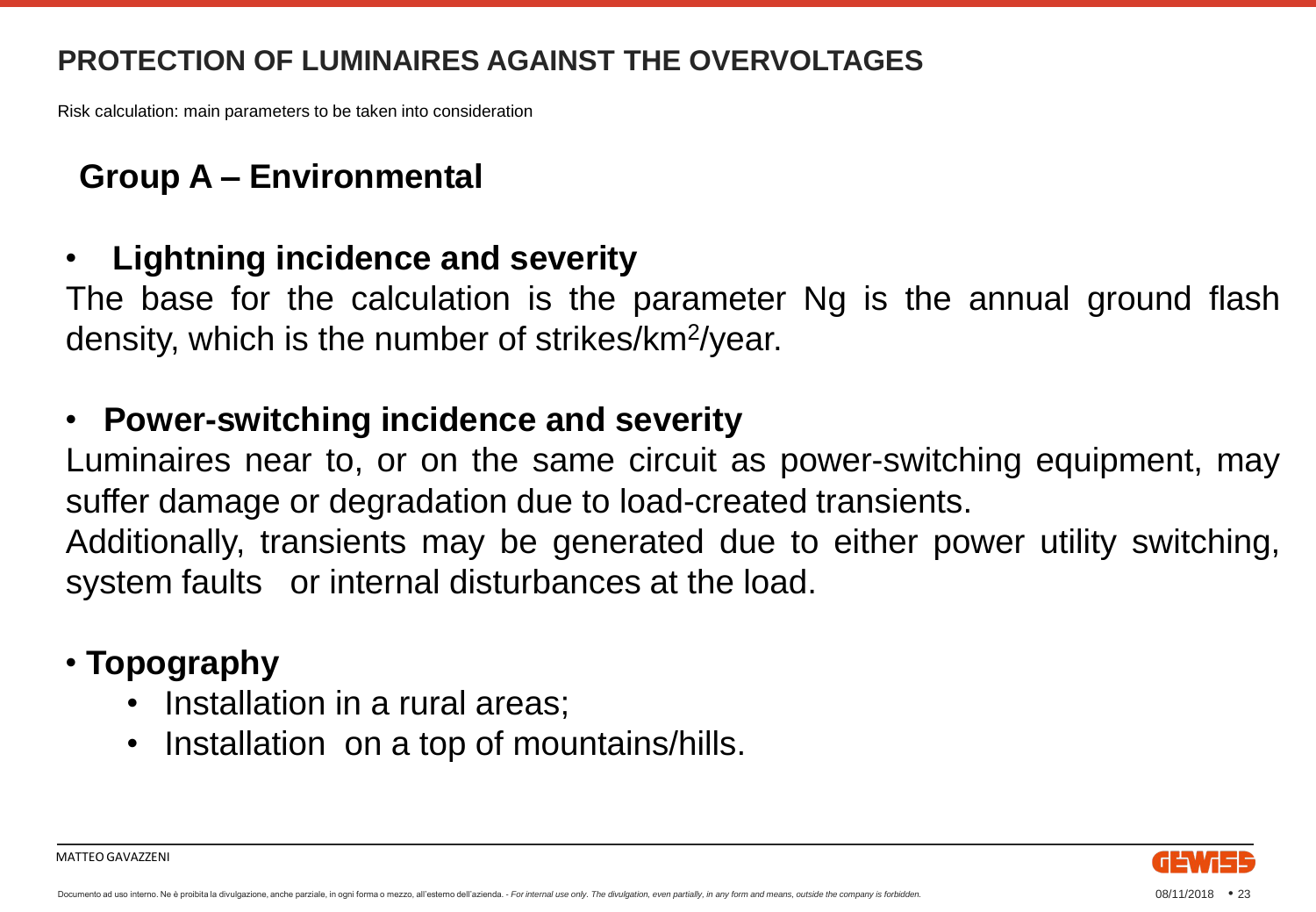Risk calculation: main parameters to be taken into consideration

#### **Group A – Environmental**

#### • **Lightning incidence and severity**

The base for the calculation is the parameter Ng is the annual ground flash density, which is the number of strikes/km<sup>2</sup>/year.

#### • **Power-switching incidence and severity**

Luminaires near to, or on the same circuit as power-switching equipment, may suffer damage or degradation due to load-created transients.

Additionally, transients may be generated due to either power utility switching, system faults or internal disturbances at the load.

#### • **Topography**

- Installation in a rural areas;
- Installation on a top of mountains/hills.

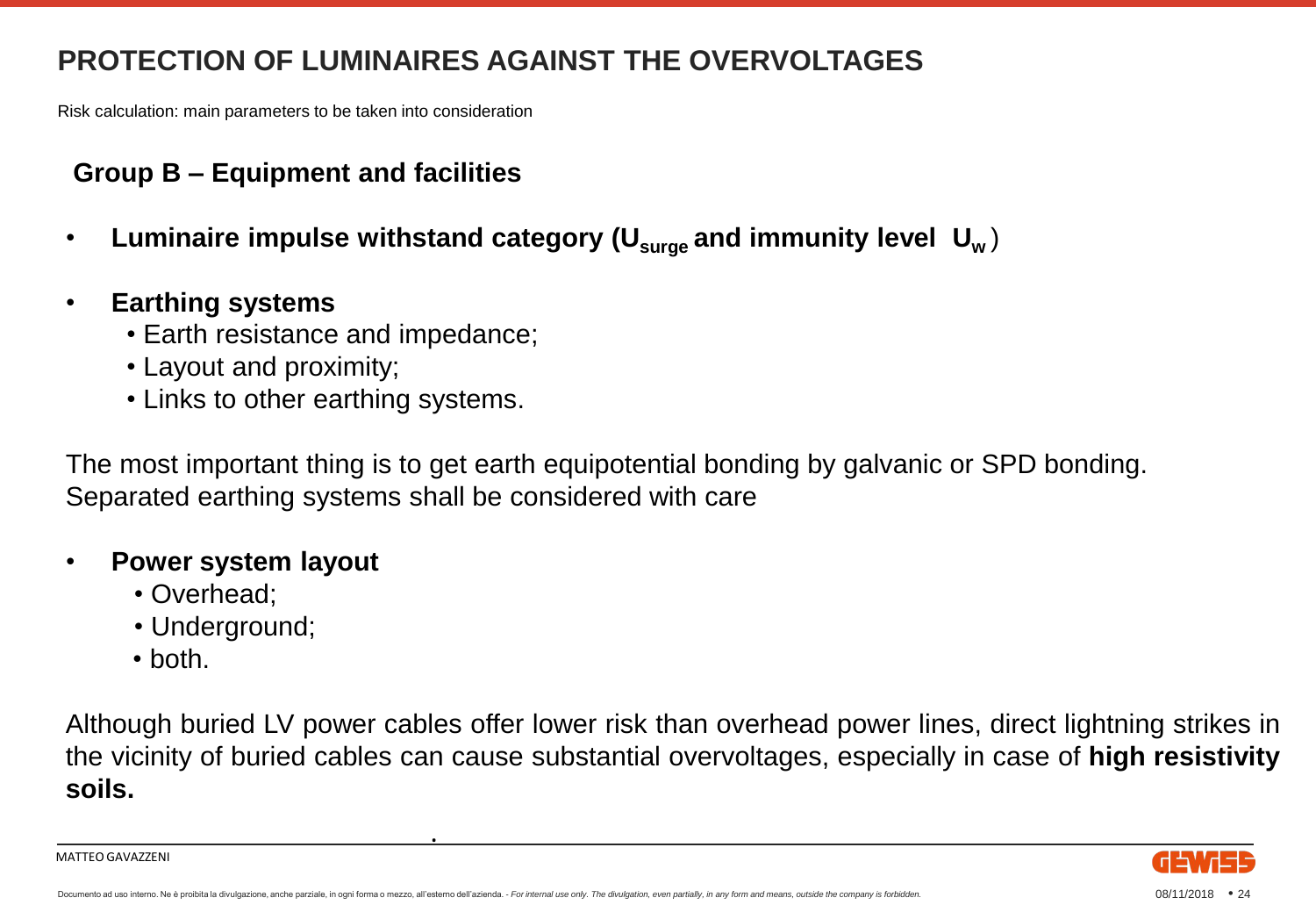Risk calculation: main parameters to be taken into consideration

#### **Group B – Equipment and facilities**

- **Luminaire impulse withstand category (Usurge and immunity level U<sup>w</sup>** )
- **Earthing systems**
	- Earth resistance and impedance;
	- Layout and proximity;
	- Links to other earthing systems.

The most important thing is to get earth equipotential bonding by galvanic or SPD bonding. Separated earthing systems shall be considered with care

#### • **Power system layout**

- Overhead;
- Underground;
- both.

Although buried LV power cables offer lower risk than overhead power lines, direct lightning strikes in the vicinity of buried cables can cause substantial overvoltages, especially in case of **high resistivity soils.**

MATTEO GAVAZZENI



.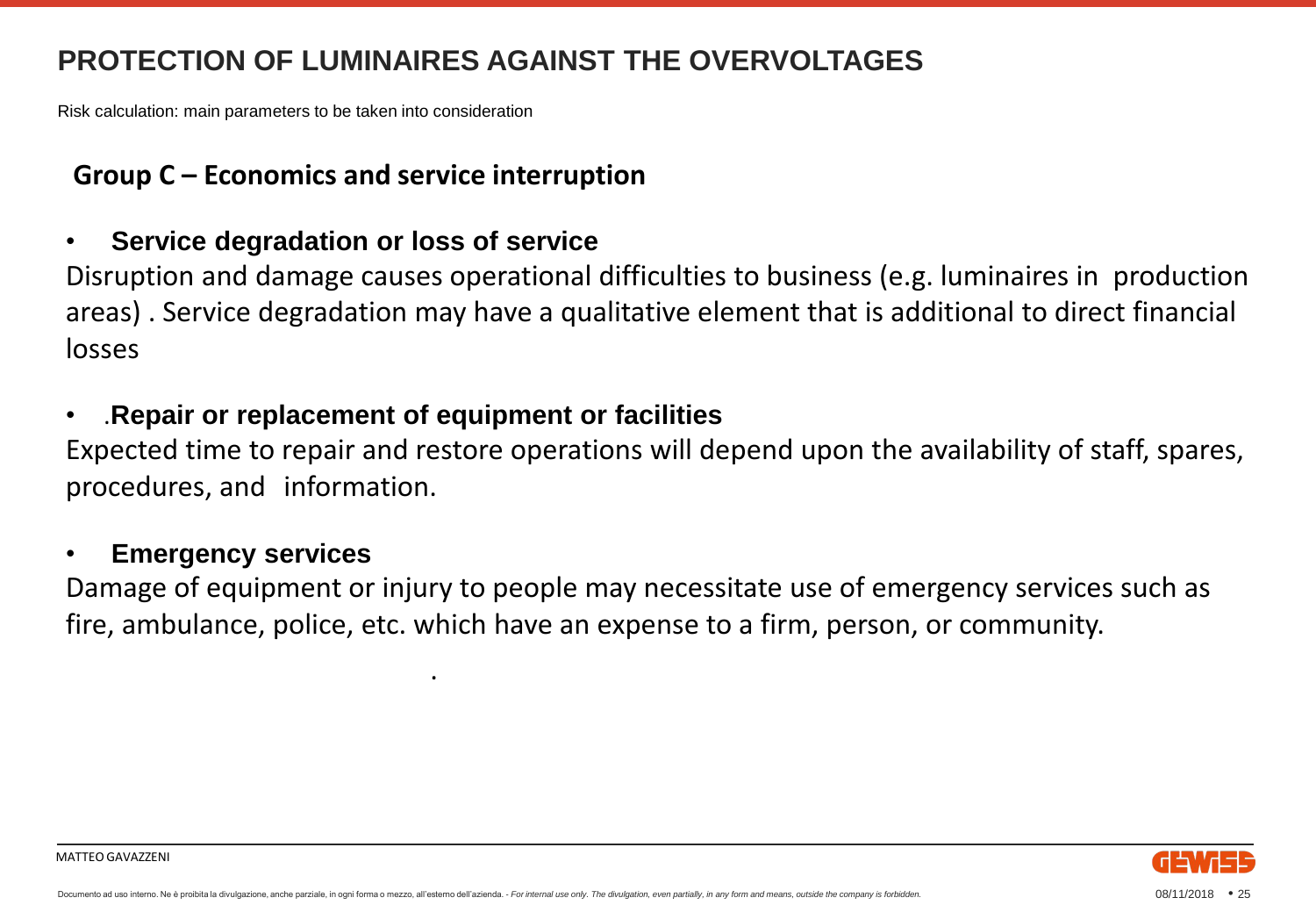Risk calculation: main parameters to be taken into consideration

#### **Group C – Economics and service interruption**

#### • **Service degradation or loss of service**

Disruption and damage causes operational difficulties to business (e.g. luminaires in production areas) . Service degradation may have a qualitative element that is additional to direct financial losses

#### • .**Repair or replacement of equipment or facilities**

.

Expected time to repair and restore operations will depend upon the availability of staff, spares, procedures, and information.

#### • **Emergency services**

MATTEO GAVAZZENI

Damage of equipment or injury to people may necessitate use of emergency services such as fire, ambulance, police, etc. which have an expense to a firm, person, or community.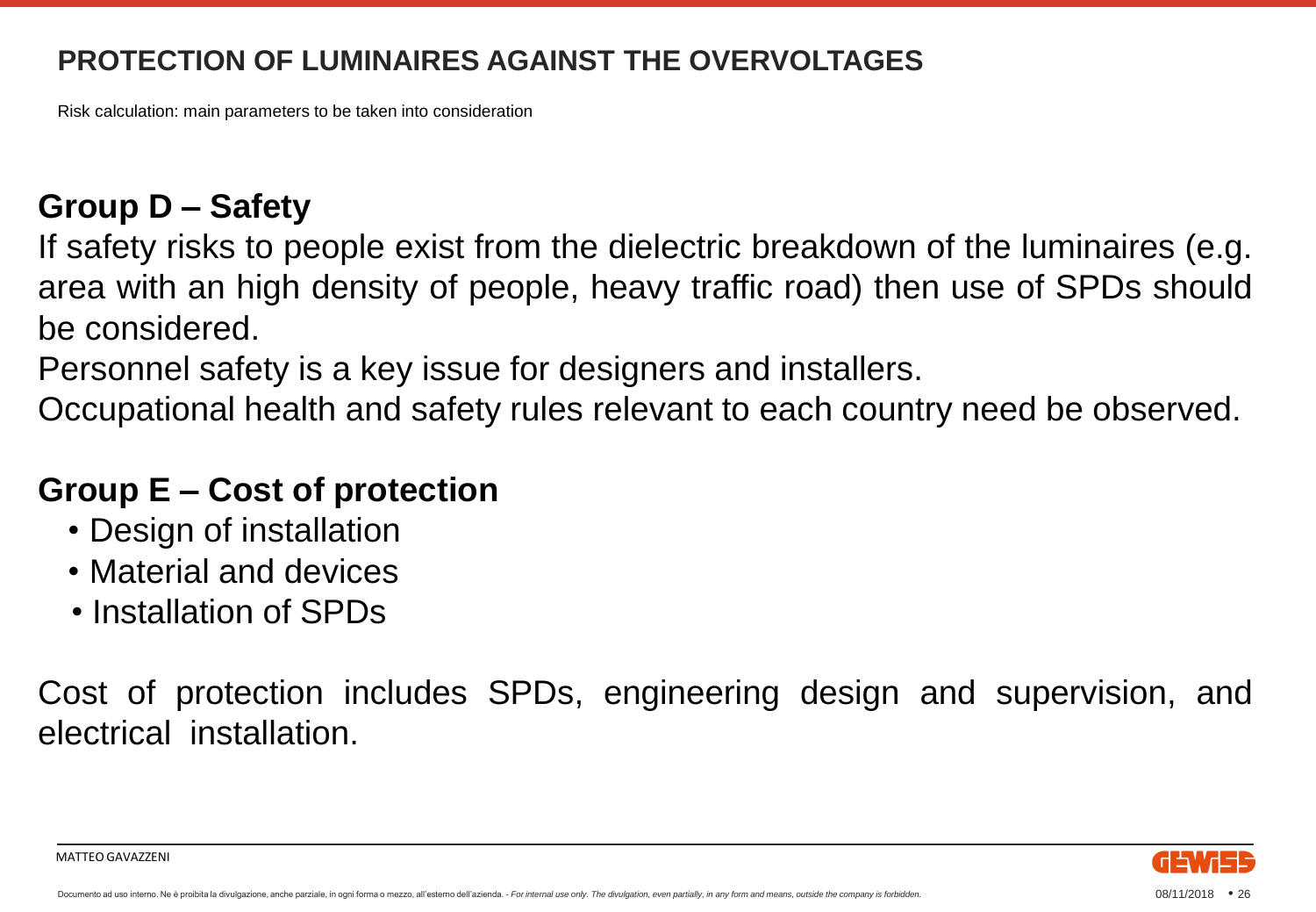Risk calculation: main parameters to be taken into consideration

#### **Group D – Safety**

If safety risks to people exist from the dielectric breakdown of the luminaires (e.g. area with an high density of people, heavy traffic road) then use of SPDs should be considered.

Personnel safety is a key issue for designers and installers.

Occupational health and safety rules relevant to each country need be observed.

#### **Group E – Cost of protection**

- Design of installation
- Material and devices
- Installation of SPDs

MATTEO GAVAZZENI

Cost of protection includes SPDs, engineering design and supervision, and electrical installation.

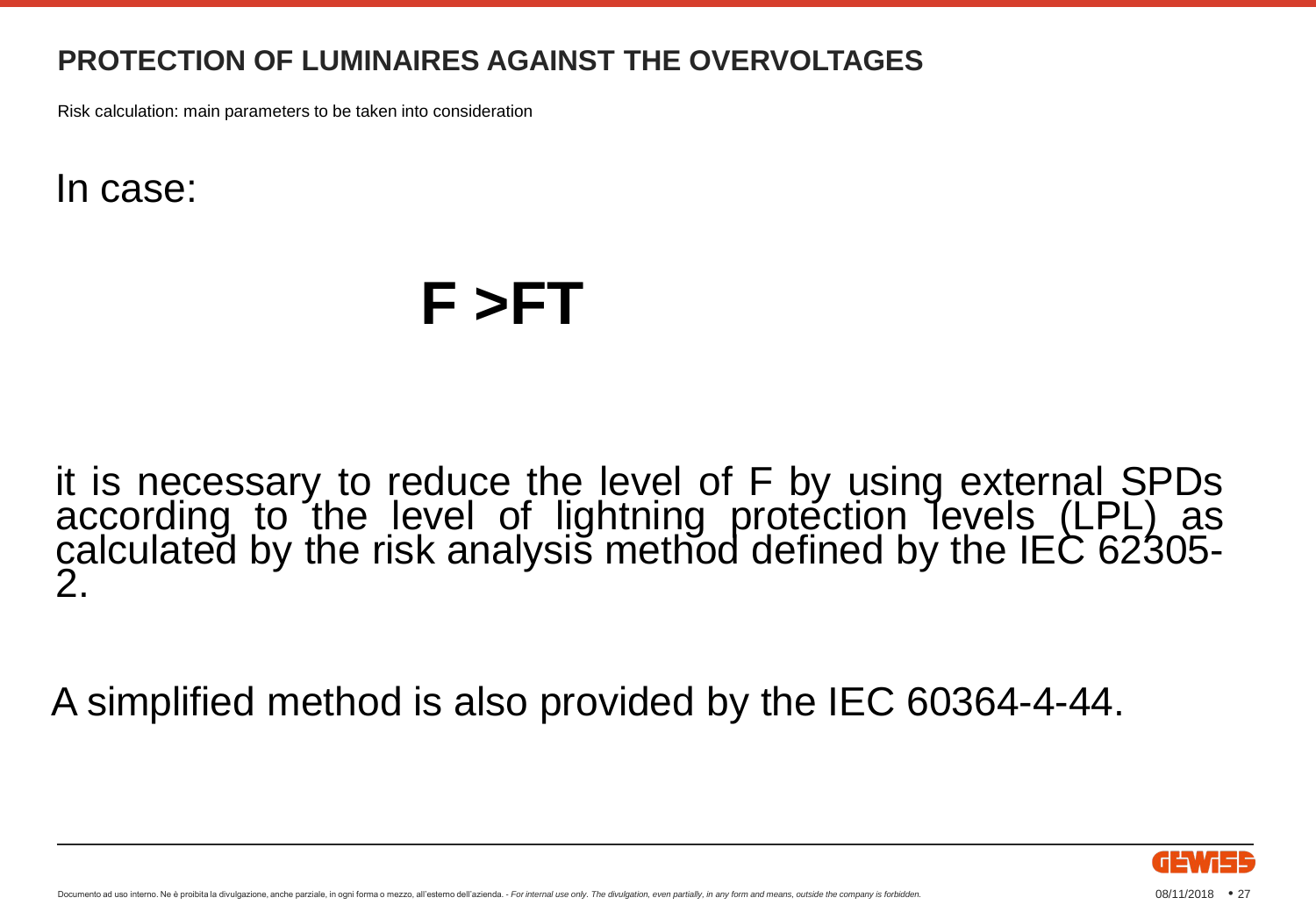Risk calculation: main parameters to be taken into consideration

In case:

## **F >FT**

it is necessary to reduce the level of F by using external SPDs according to the level of lightning protection levels (LPL) as calculated by the risk analysis method defined by the IEC 62305- 2.

A simplified method is also provided by the IEC 60364-4-44.

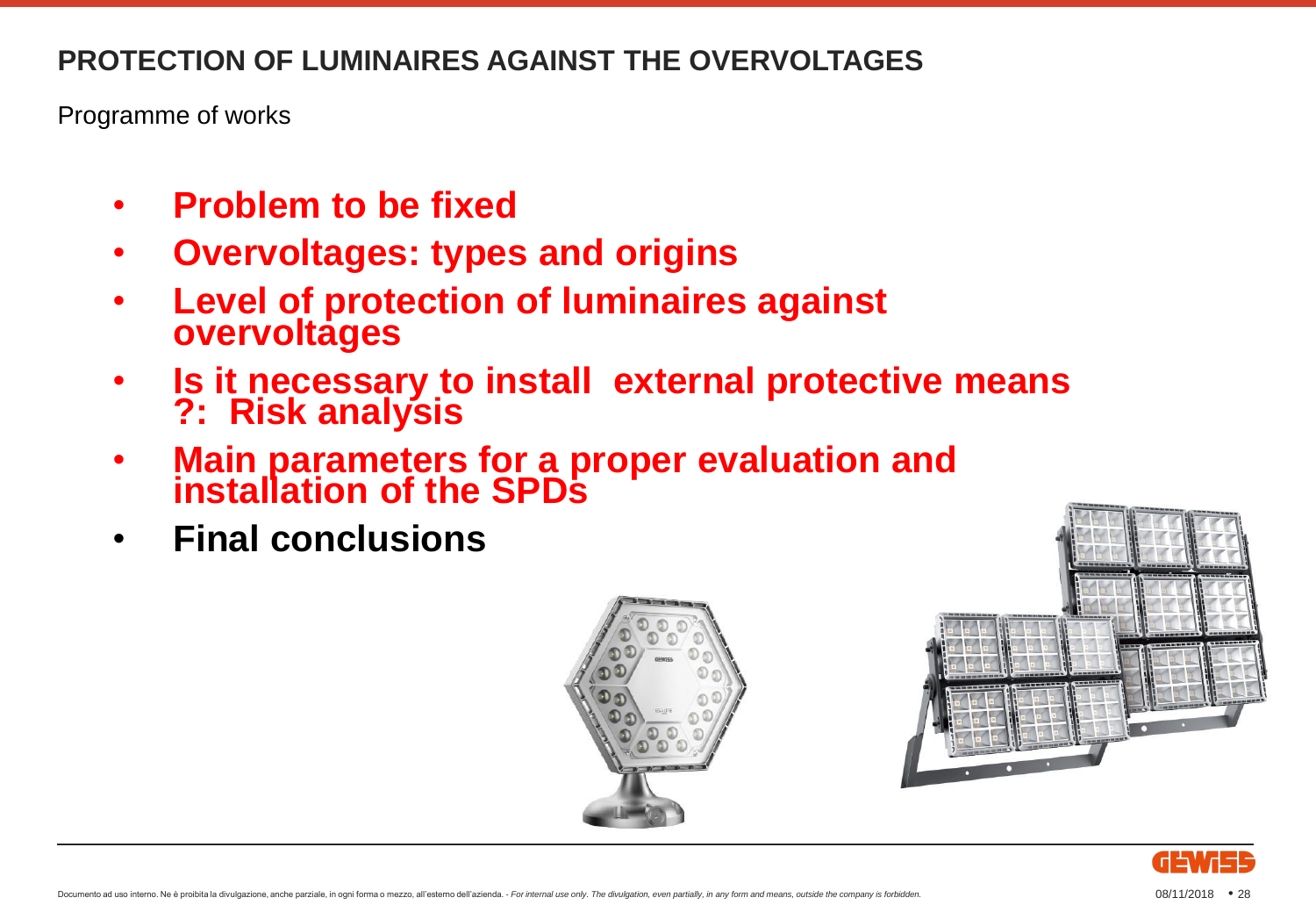Programme of works

- **Problem to be fixed**
- **Overvoltages: types and origins**
- **Level of protection of luminaires against overvoltages**
- **Is it necessary to install external protective means ?: Risk analysis**
- **Main parameters for a proper evaluation and installation of the SPDs**
- **Final conclusions**





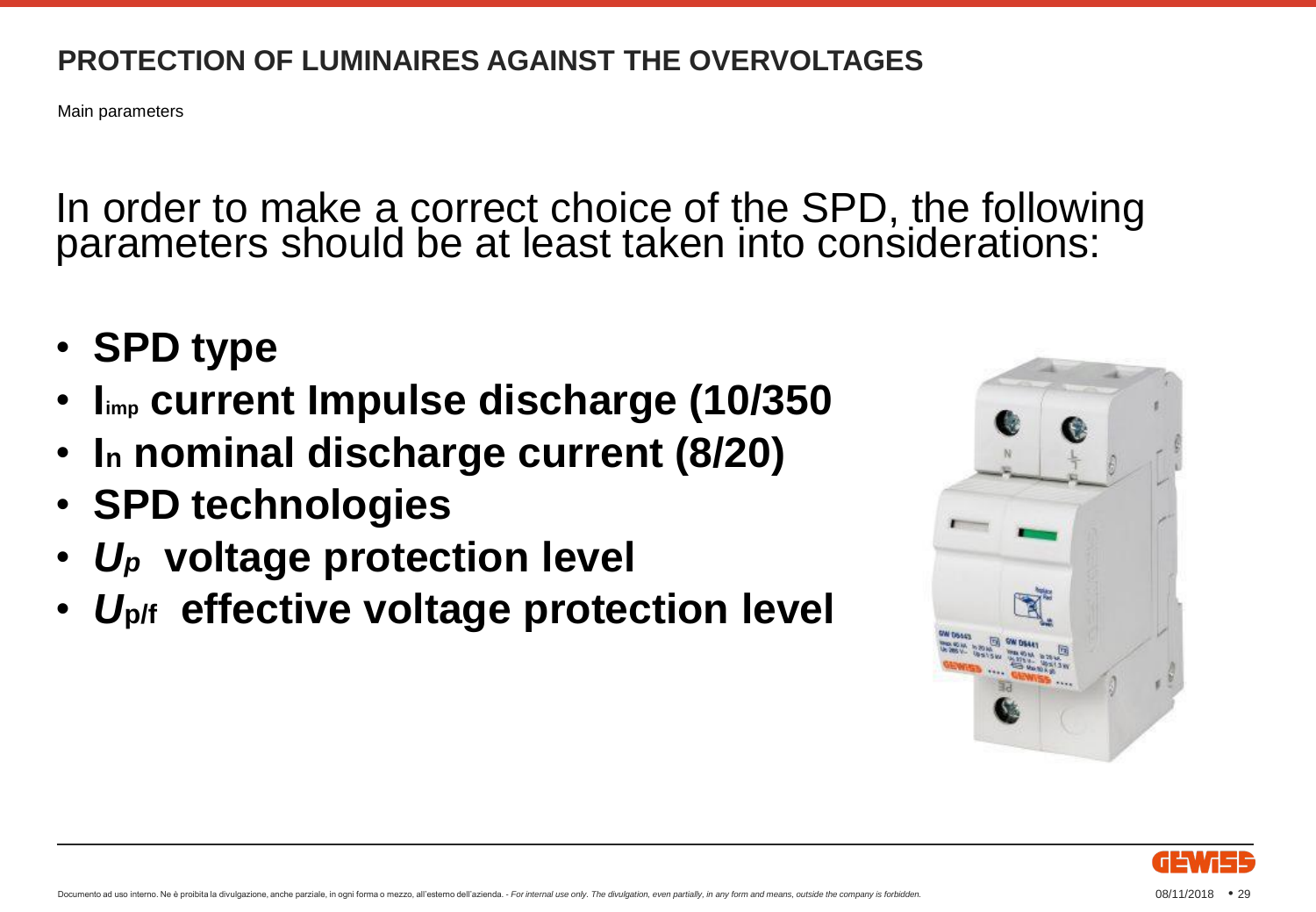Main parameters

In order to make a correct choice of the SPD, the following parameters should be at least taken into considerations:

- **SPD type**
- **Iimp current Impulse discharge (10/350)**
- **I<sup>n</sup> nominal discharge current (8/20)**
- **SPD technologies**
- *U<sup>p</sup>* **voltage protection level**
- *U***p/f effective voltage protection level**



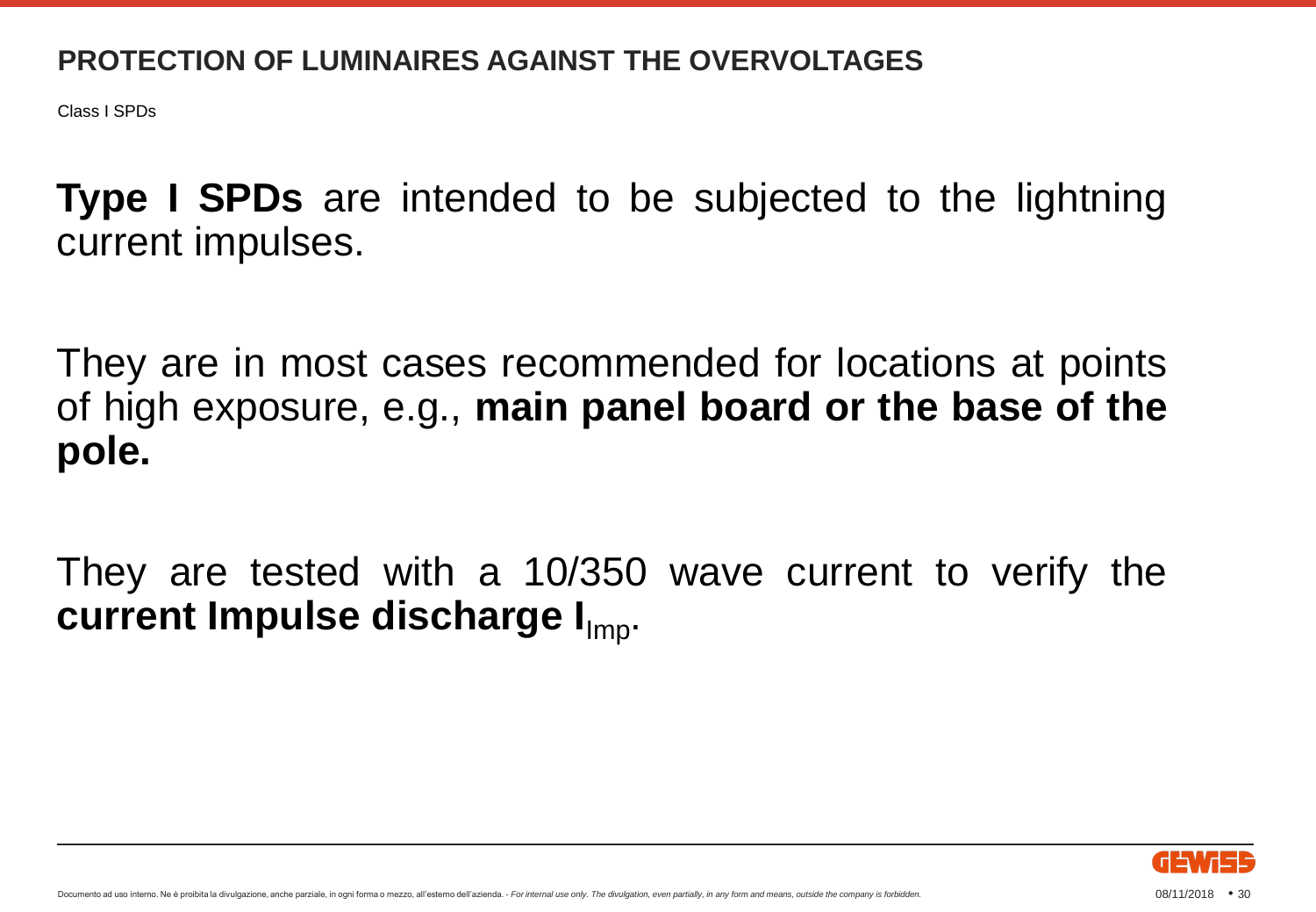Class I SPDs

**Type I SPDs** are intended to be subjected to the lightning current impulses.

They are in most cases recommended for locations at points of high exposure, e.g., **main panel board or the base of the pole.**

They are tested with a 10/350 wave current to verify the **current Impulse discharge I** Imp.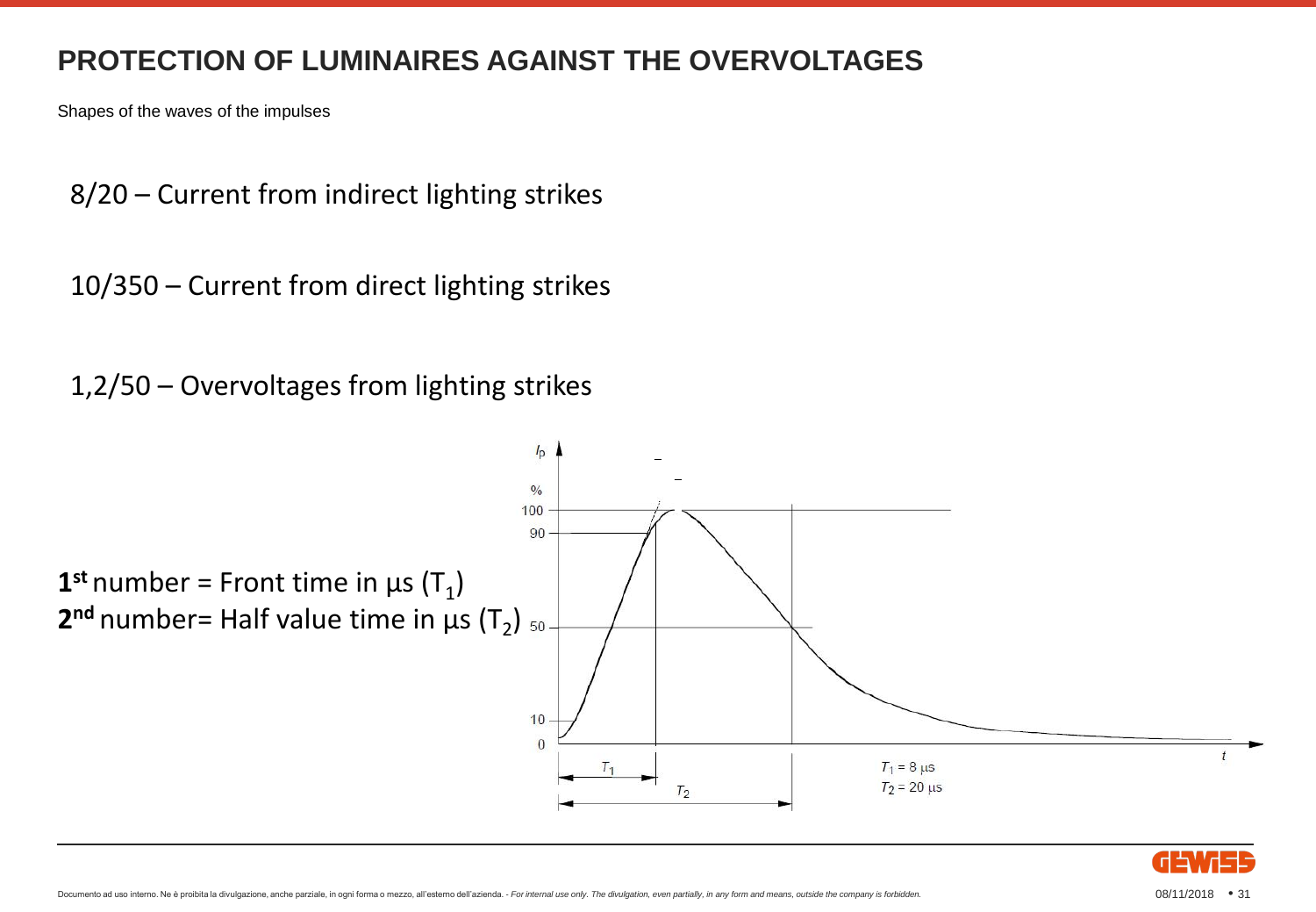Shapes of the waves of the impulses

8/20 – Current from indirect lighting strikes

10/350 – Current from direct lighting strikes

1,2/50 – Overvoltages from lighting strikes



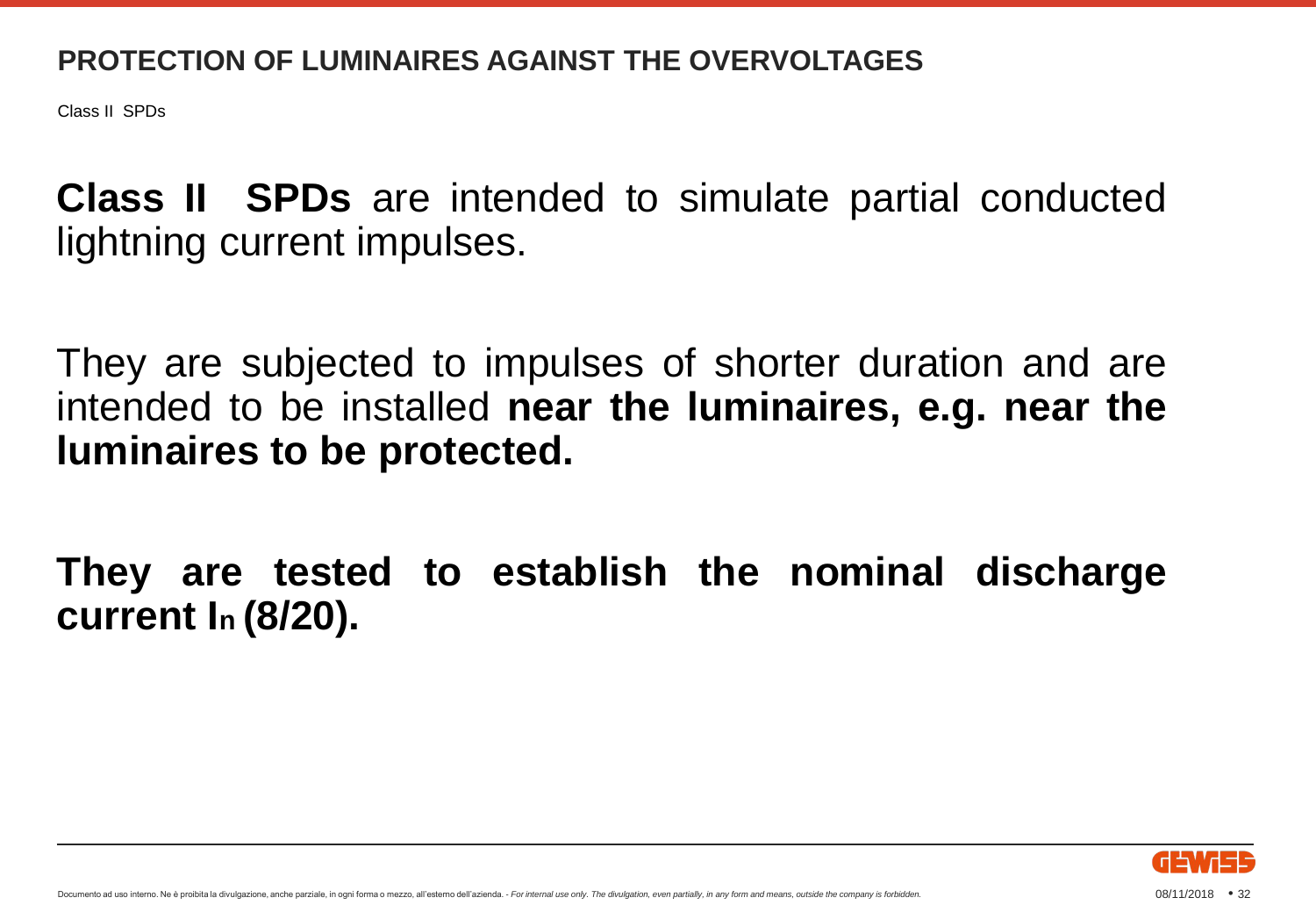Class II SPDs

**Class II SPDs** are intended to simulate partial conducted lightning current impulses.

They are subjected to impulses of shorter duration and are intended to be installed **near the luminaires, e.g. near the luminaires to be protected.**

**They are tested to establish the nominal discharge current I<sup>n</sup> (8/20).**

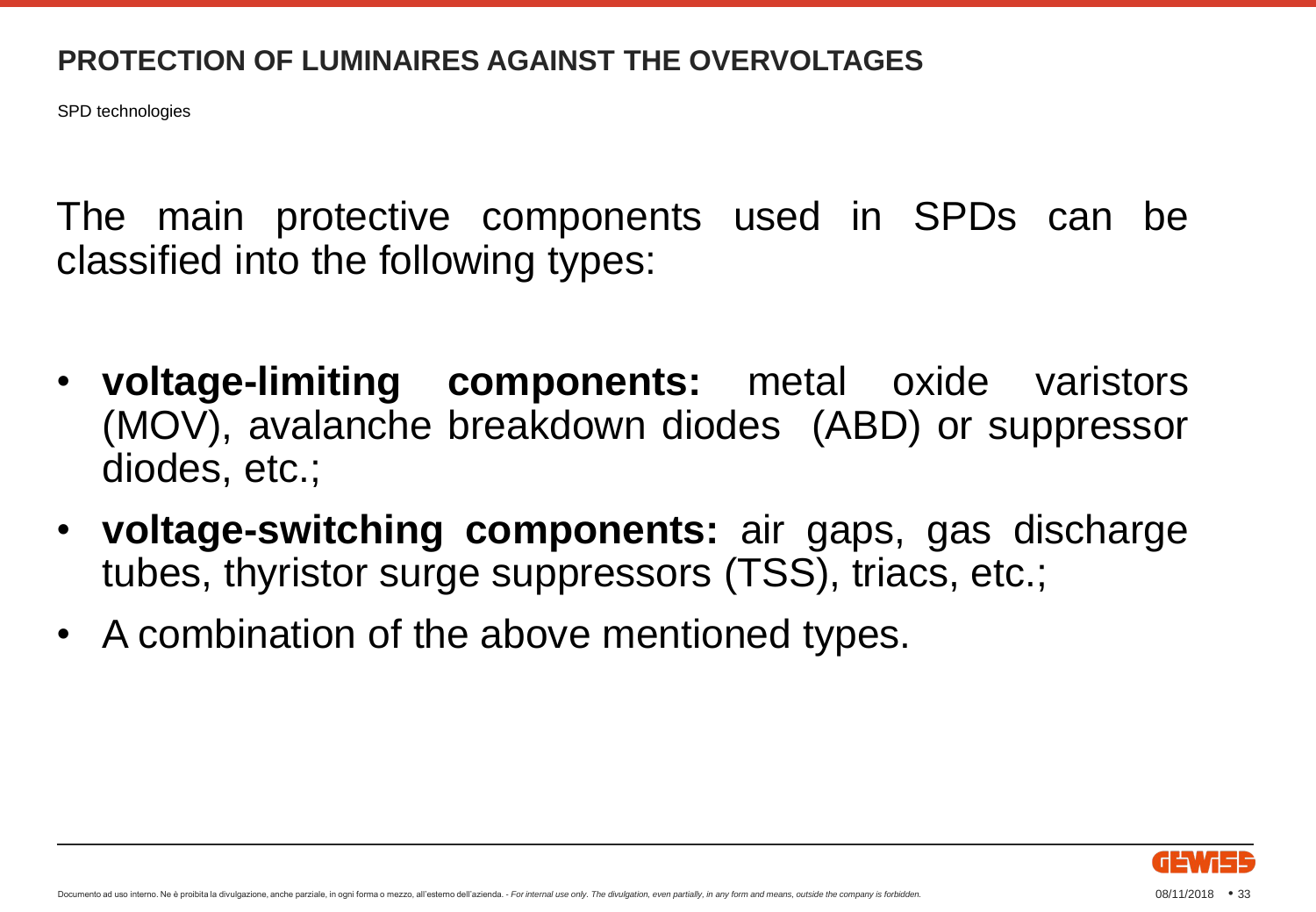SPD technologies

The main protective components used in SPDs can be classified into the following types:

- **voltage-limiting components:** metal oxide varistors (MOV), avalanche breakdown diodes (ABD) or suppressor diodes, etc.;
- **voltage-switching components:** air gaps, gas discharge tubes, thyristor surge suppressors (TSS), triacs, etc.;
- A combination of the above mentioned types.

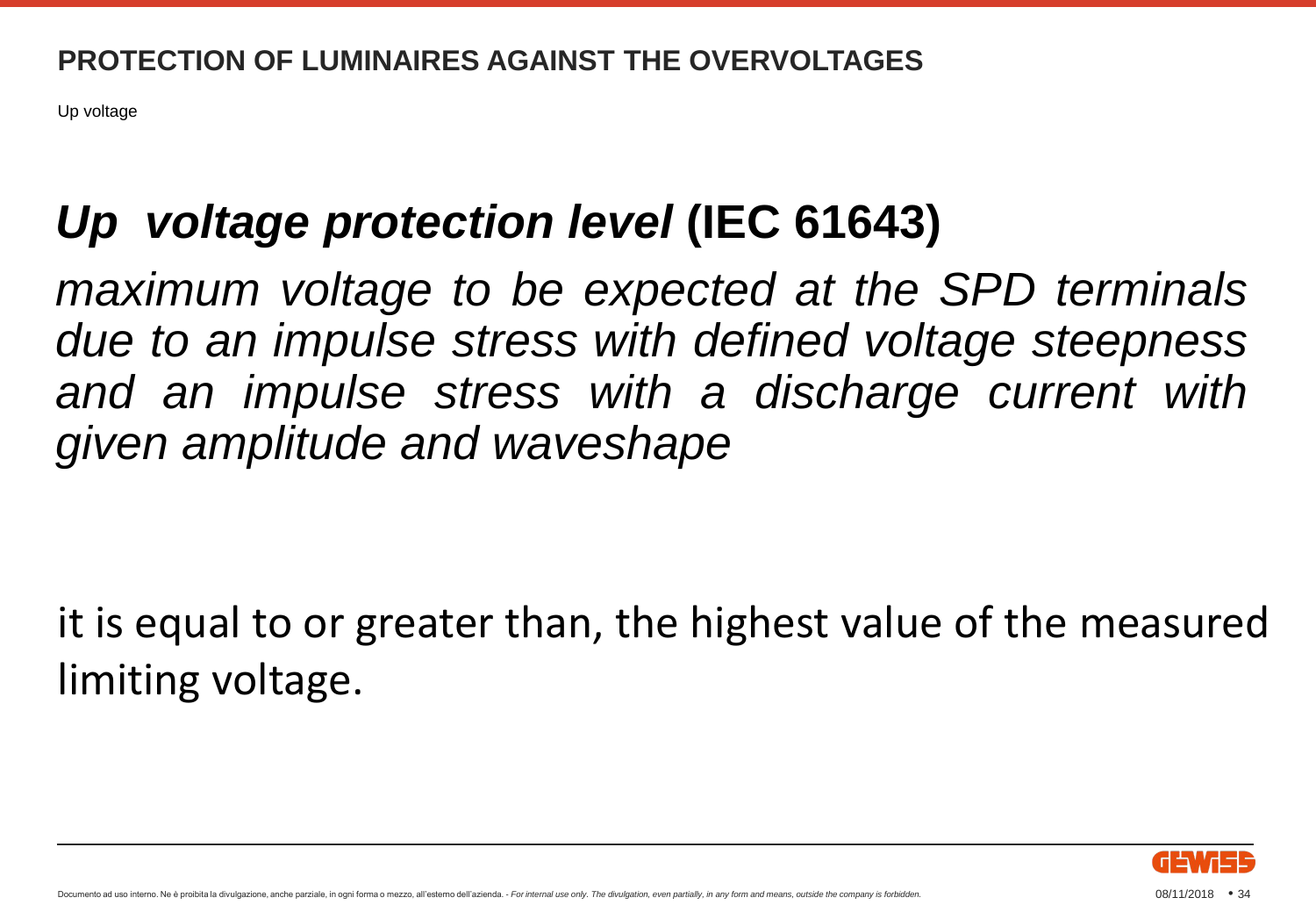Up voltage

## *Up voltage protection level* **(IEC 61643)**

*maximum voltage to be expected at the SPD terminals due to an impulse stress with defined voltage steepness and an impulse stress with a discharge current with given amplitude and waveshape*

it is equal to or greater than, the highest value of the measured limiting voltage.

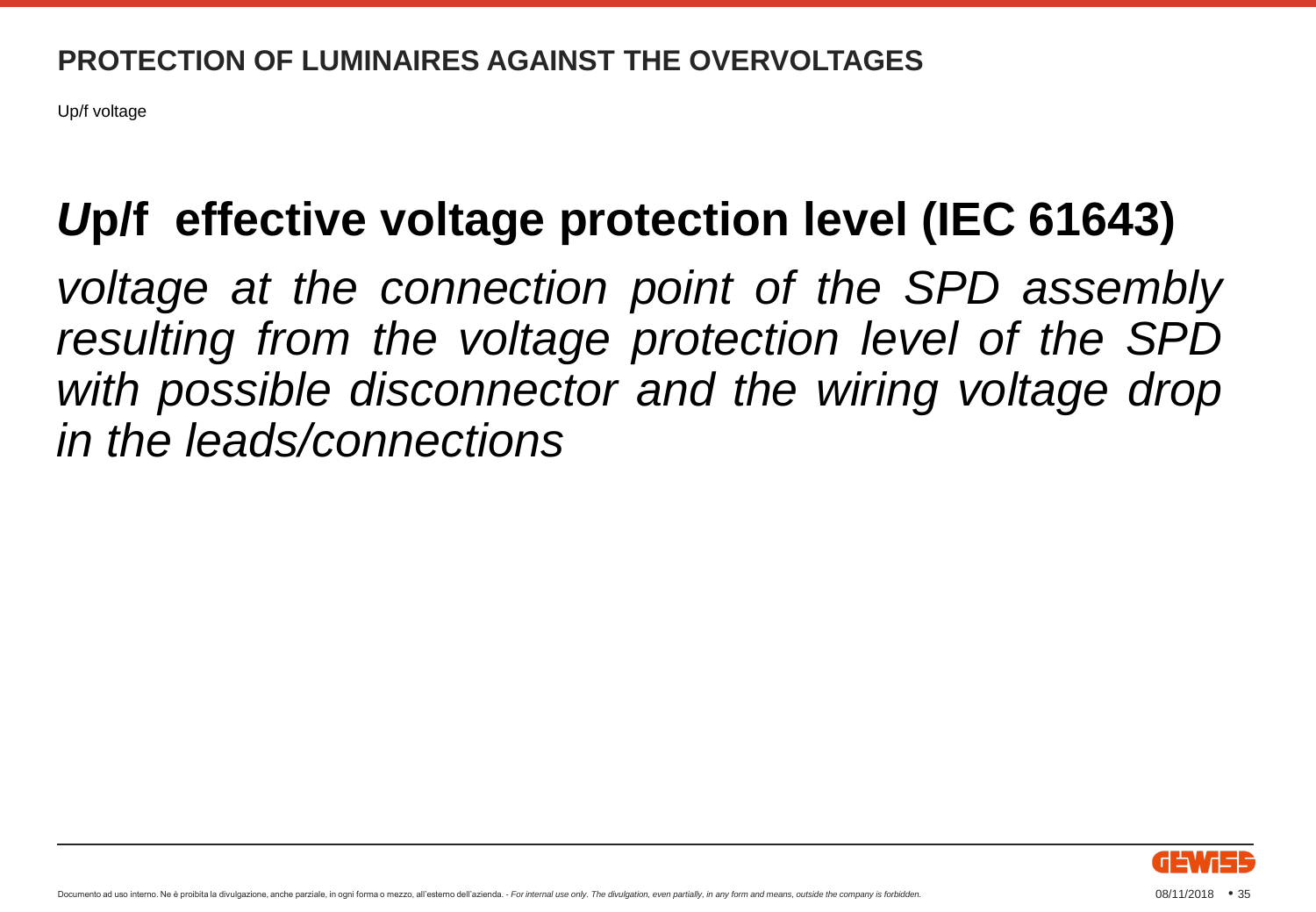Up/f voltage

## *U***p/f effective voltage protection level (IEC 61643)**

*voltage at the connection point of the SPD assembly resulting from the voltage protection level of the SPD with possible disconnector and the wiring voltage drop in the leads/connections*

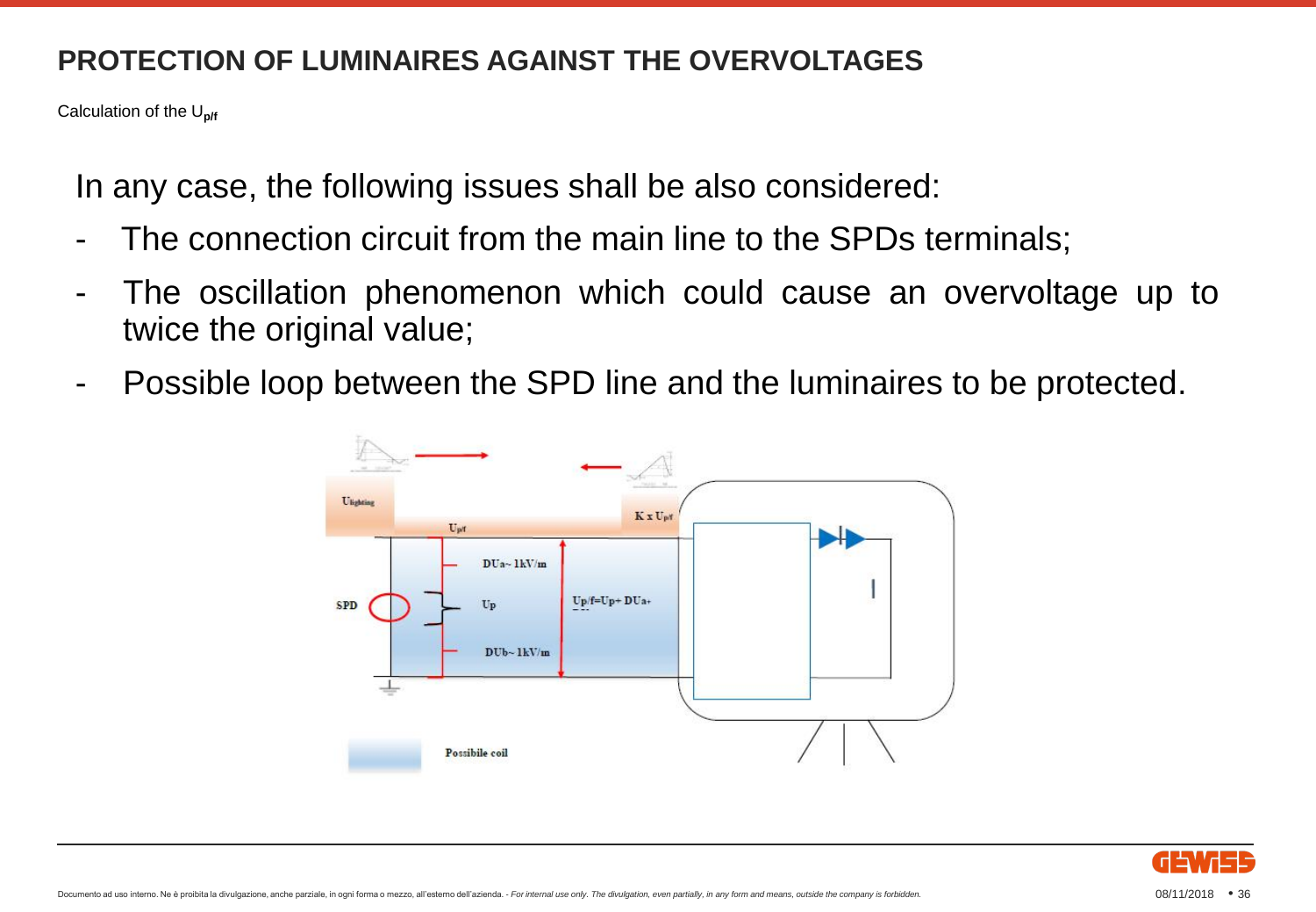Calculation of the U**p/f**

In any case, the following issues shall be also considered:

- The connection circuit from the main line to the SPDs terminals;
- The oscillation phenomenon which could cause an overvoltage up to twice the original value;
- Possible loop between the SPD line and the luminaires to be protected.



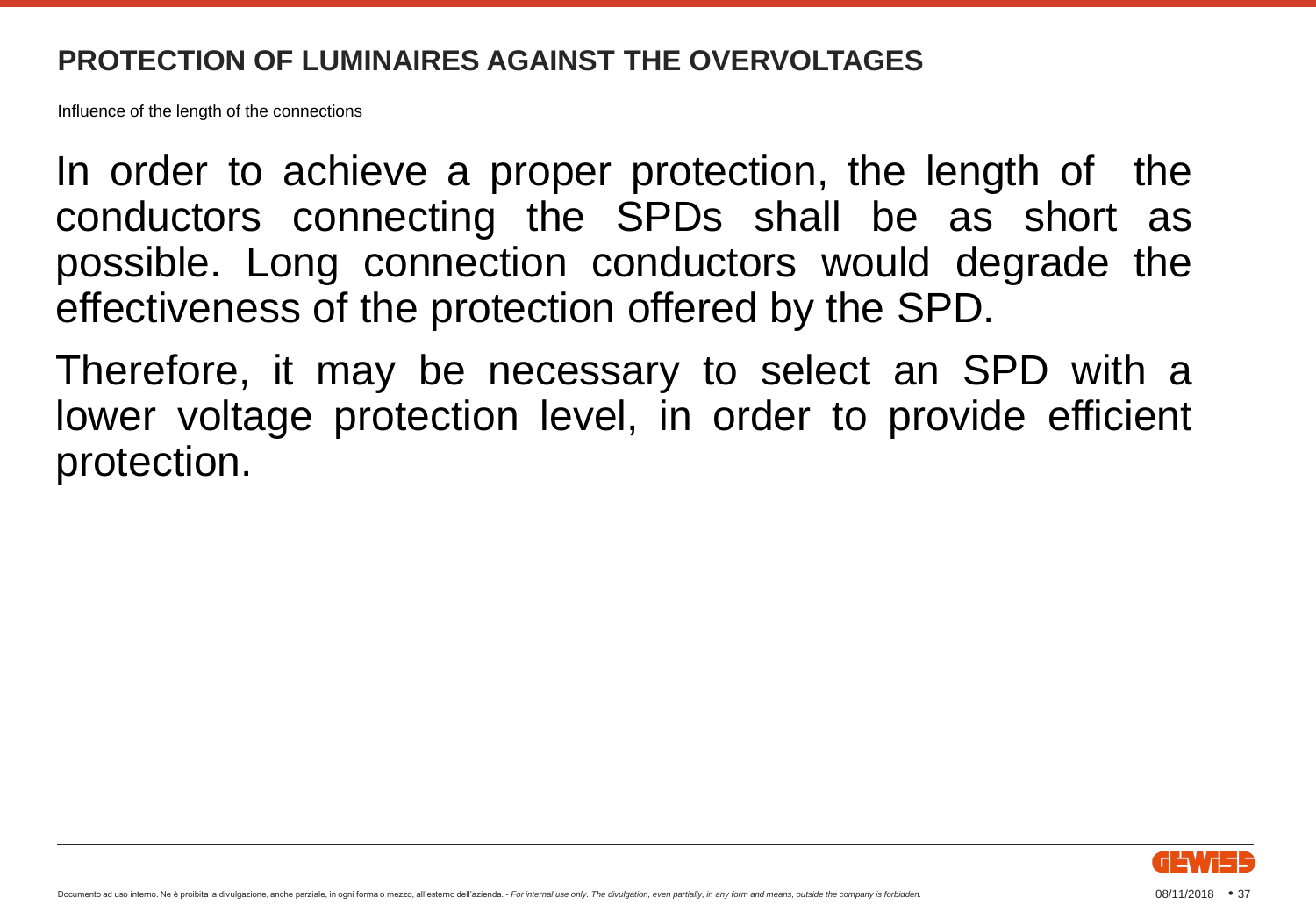Influence of the length of the connections

In order to achieve a proper protection, the length of the conductors connecting the SPDs shall be as short as possible. Long connection conductors would degrade the effectiveness of the protection offered by the SPD.

Therefore, it may be necessary to select an SPD with a lower voltage protection level, in order to provide efficient protection.

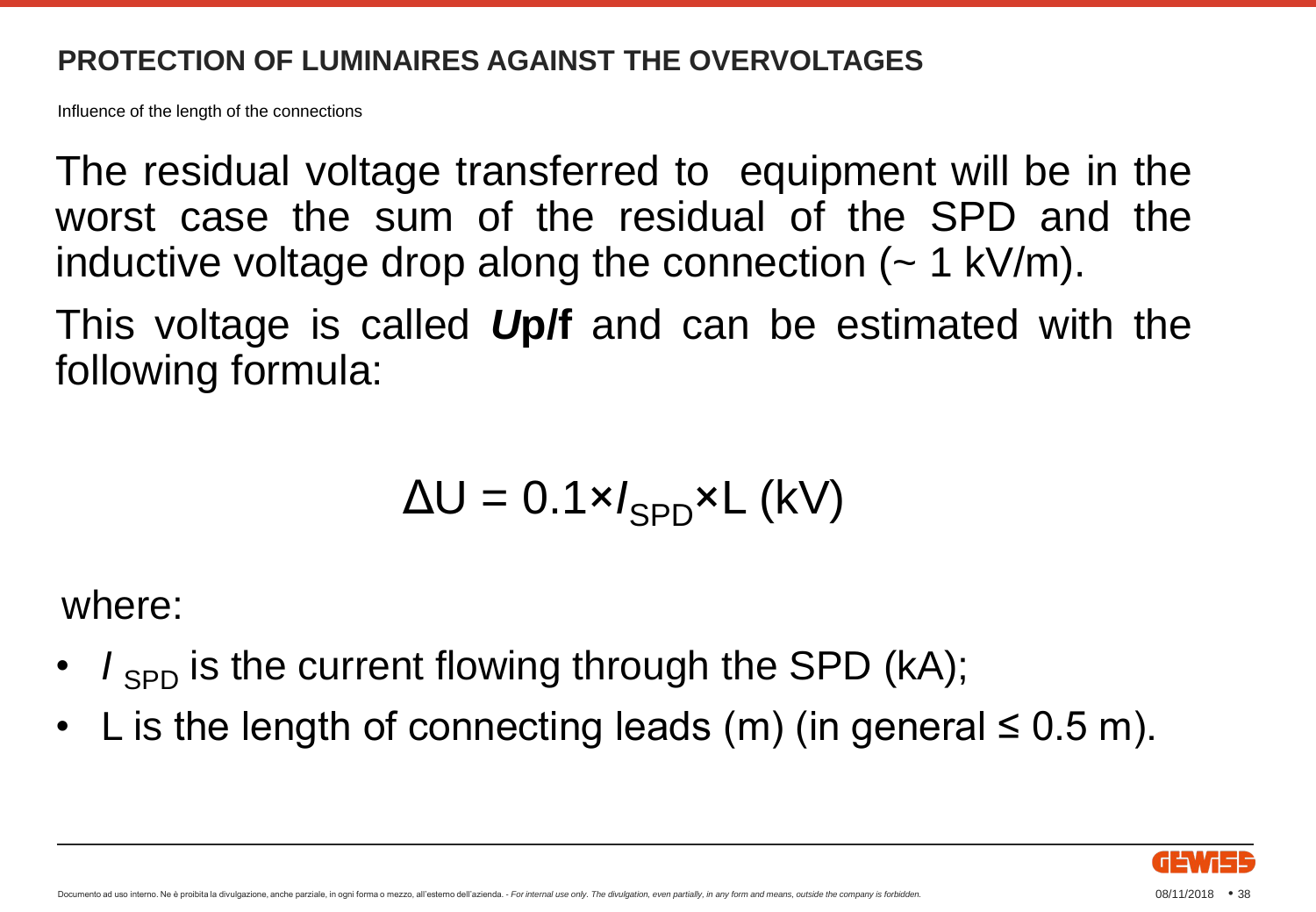Influence of the length of the connections

The residual voltage transferred to equipment will be in the worst case the sum of the residual of the SPD and the inductive voltage drop along the connection  $($   $\sim$  1 kV/m).

This voltage is called *U***p/f** and can be estimated with the following formula:

$$
\Delta U = 0.1 \times I_{SPD} \times L \text{ (kV)}
$$

where:

- $I_{SPD}$  is the current flowing through the SPD (kA);
- L is the length of connecting leads (m) (in general  $\leq 0.5$  m).

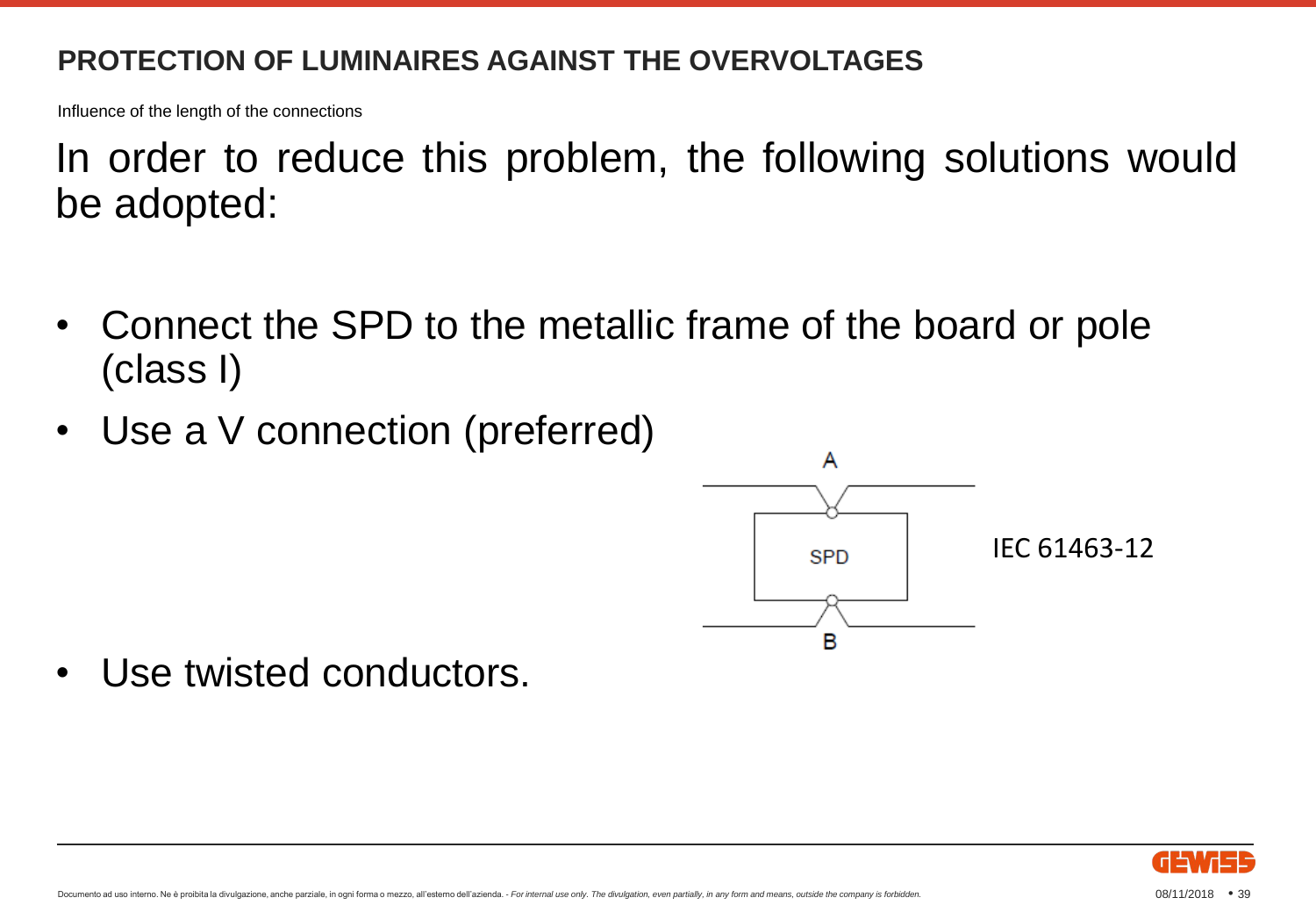Influence of the length of the connections

In order to reduce this problem, the following solutions would be adopted:

- Connect the SPD to the metallic frame of the board or pole (class I)
- Use a V connection (preferred)



• Use twisted conductors.

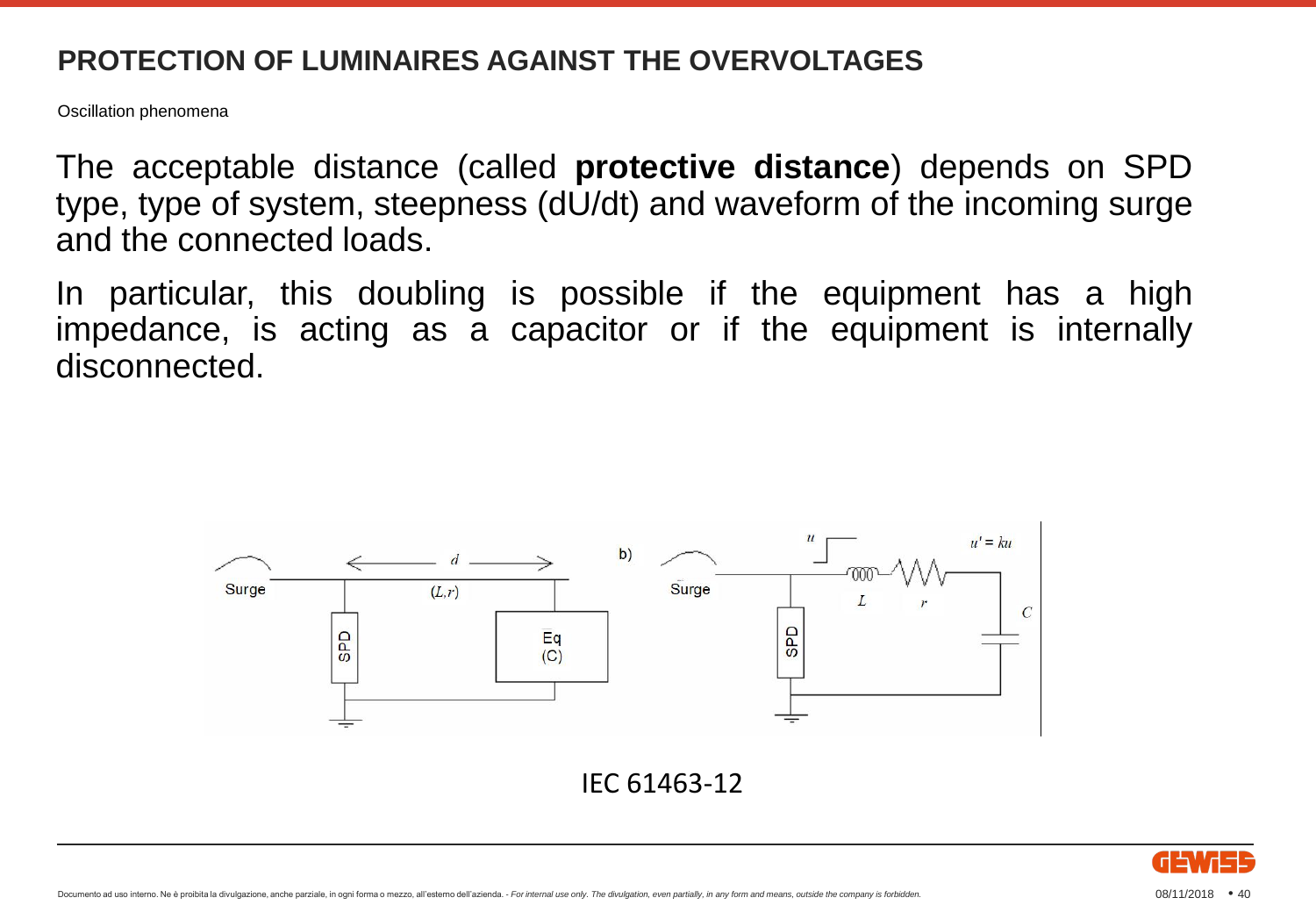Oscillation phenomena

The acceptable distance (called **protective distance**) depends on SPD type, type of system, steepness (dU/dt) and waveform of the incoming surge and the connected loads.

In particular, this doubling is possible if the equipment has a high impedance, is acting as a capacitor or if the equipment is internally disconnected.



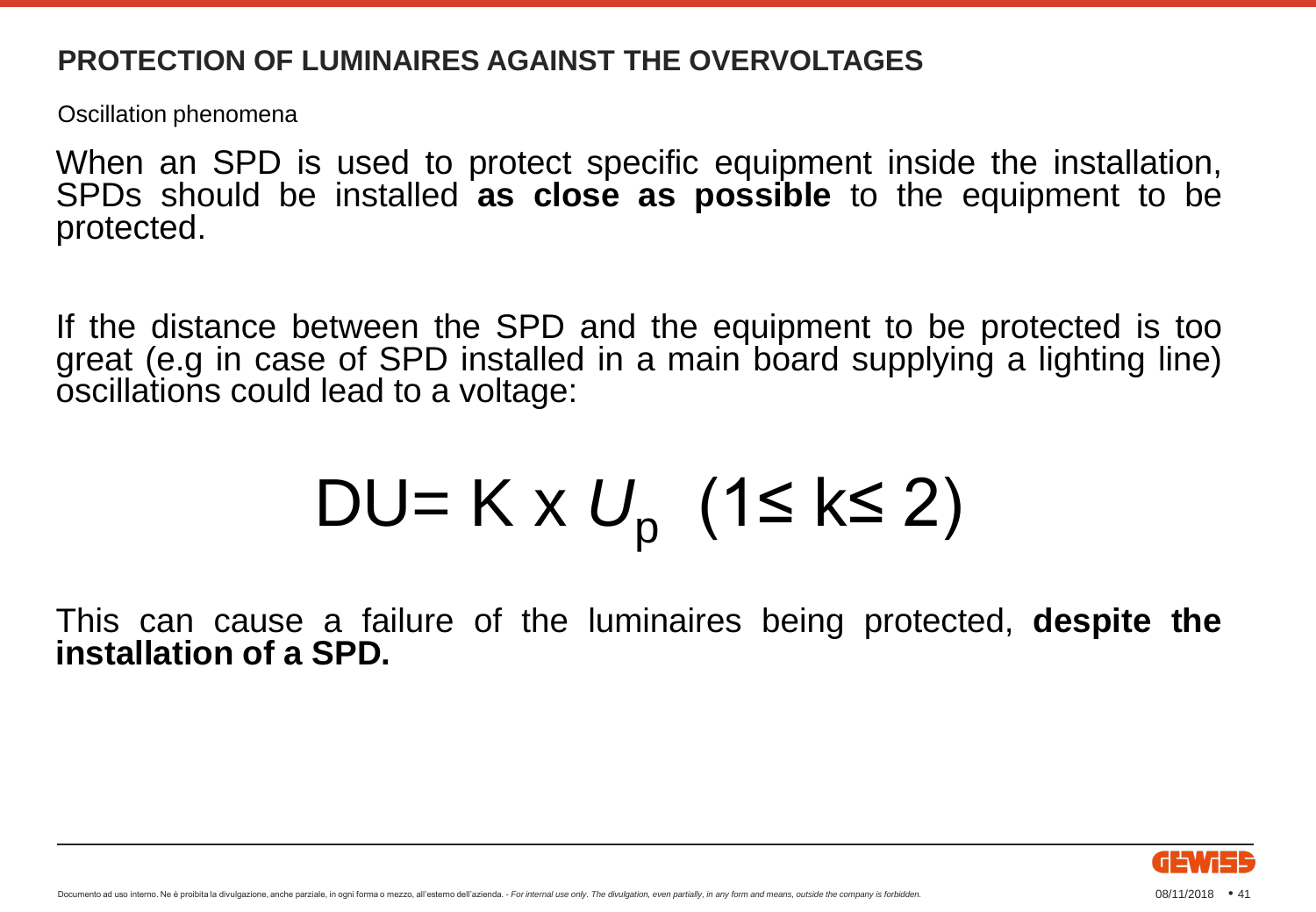Oscillation phenomena

When an SPD is used to protect specific equipment inside the installation, SPDs should be installed **as close as possible** to the equipment to be protected.

If the distance between the SPD and the equipment to be protected is too great (e.g in case of SPD installed in a main board supplying a lighting line) oscillations could lead to a voltage:

$$
DU=K\times U_p (1\leq k\leq 2)
$$

This can cause a failure of the luminaires being protected, **despite the installation of a SPD.**

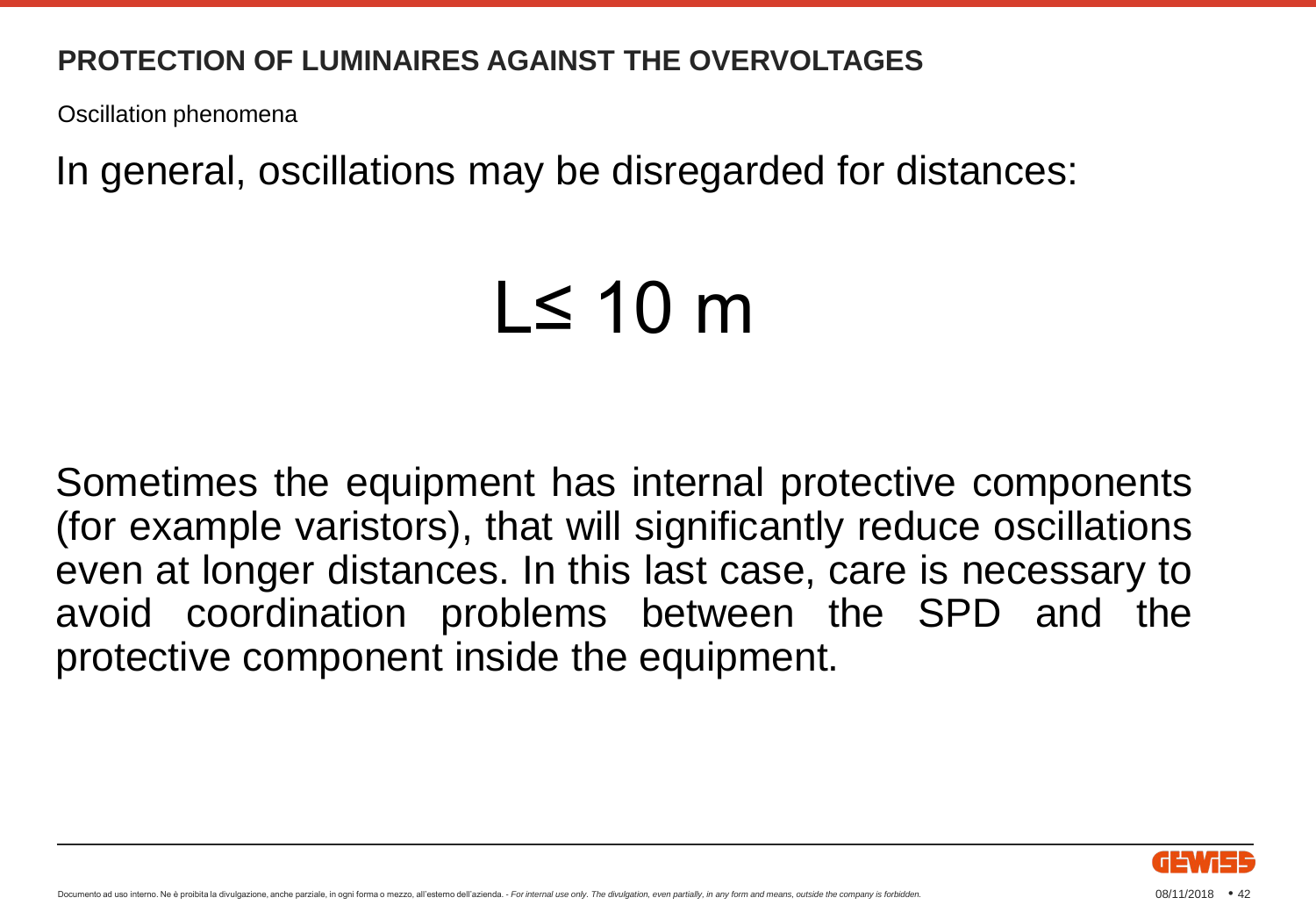Oscillation phenomena

In general, oscillations may be disregarded for distances:

# L≤ 10 m

Sometimes the equipment has internal protective components (for example varistors), that will significantly reduce oscillations even at longer distances. In this last case, care is necessary to avoid coordination problems between the SPD and the protective component inside the equipment.

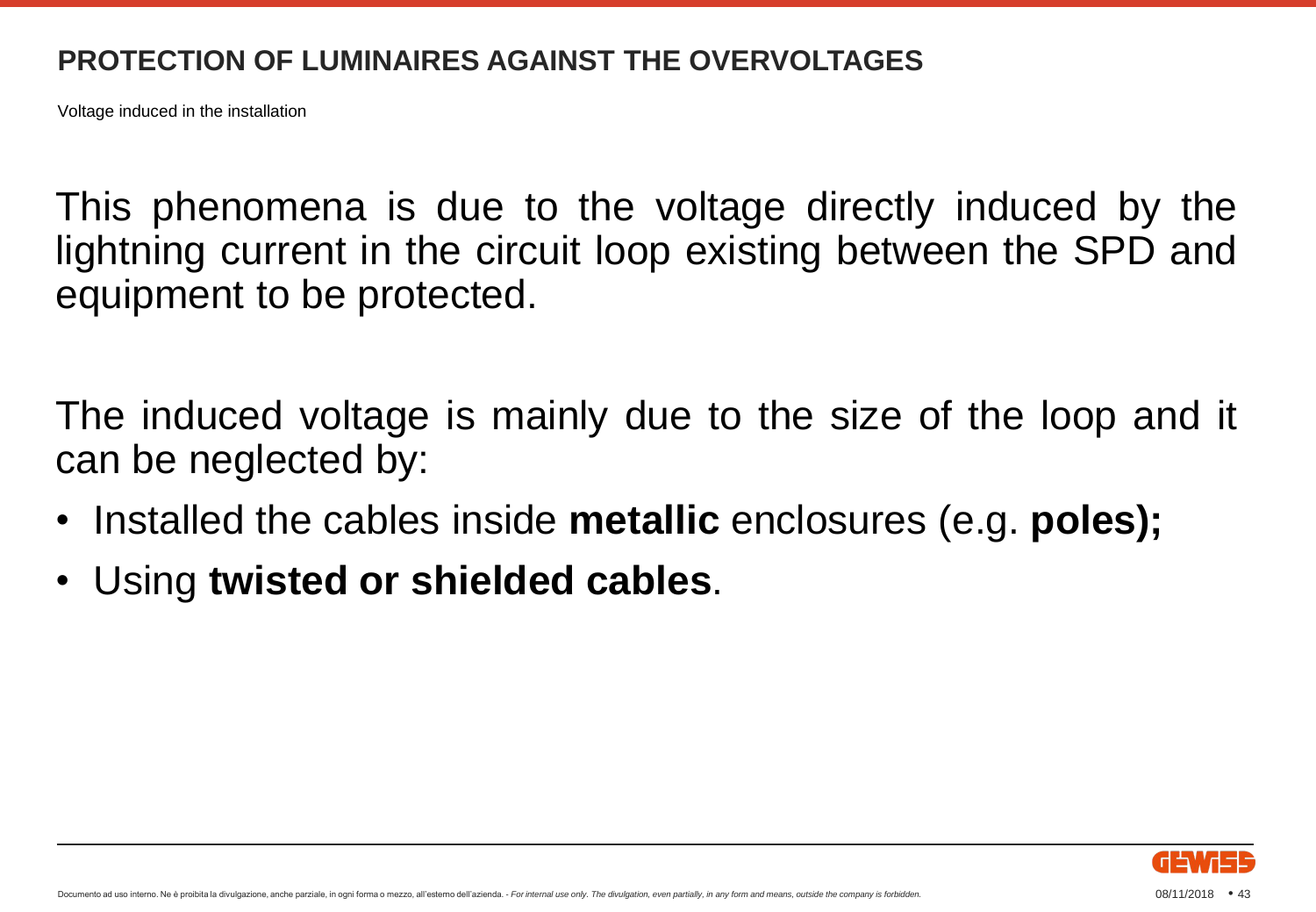Voltage induced in the installation

This phenomena is due to the voltage directly induced by the lightning current in the circuit loop existing between the SPD and equipment to be protected.

The induced voltage is mainly due to the size of the loop and it can be neglected by:

- Installed the cables inside **metallic** enclosures (e.g. **poles);**
- Using **twisted or shielded cables**.

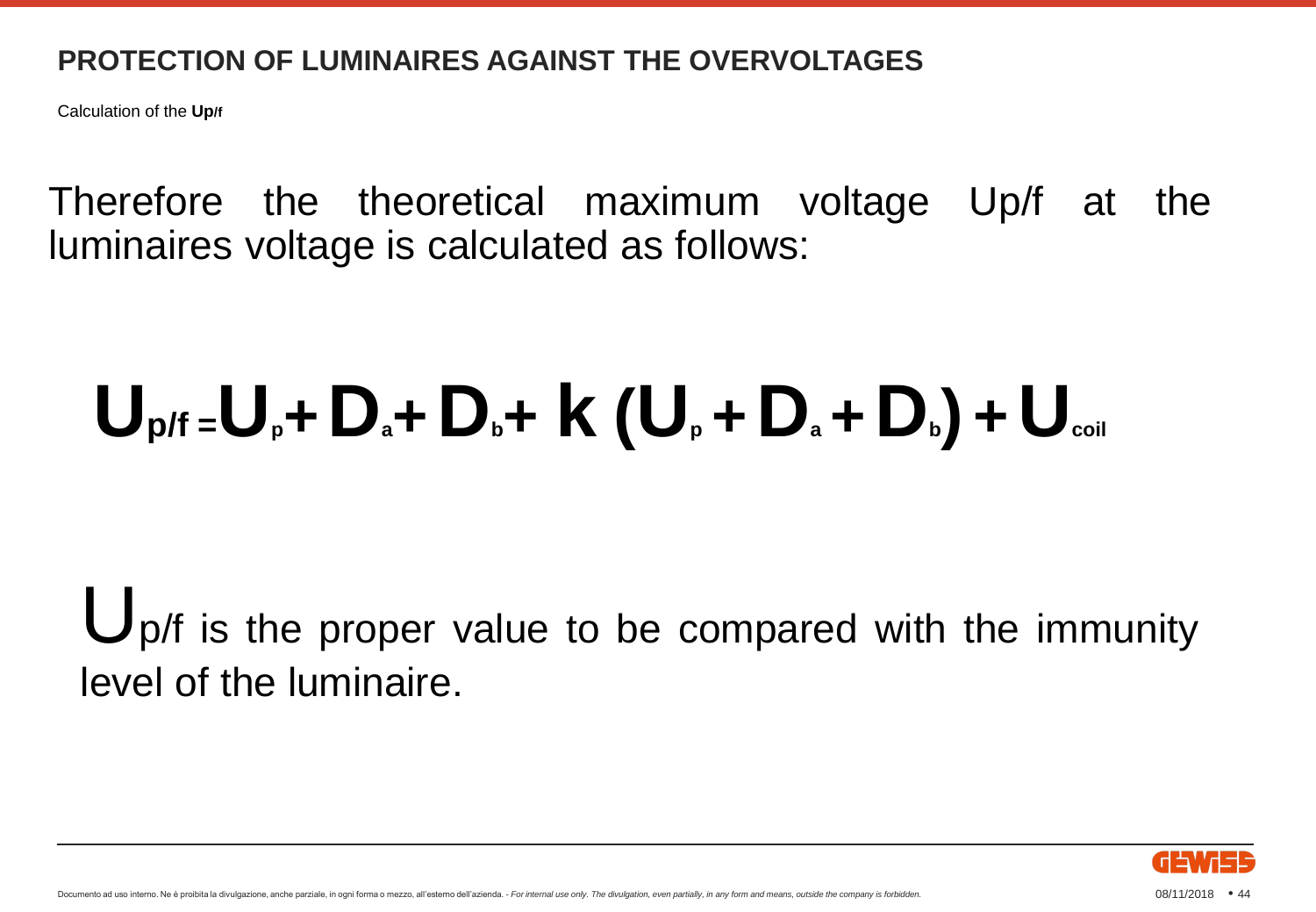Calculation of the **Up/f**

Therefore the theoretical maximum voltage Up/f at the luminaires voltage is calculated as follows:

# $\mathbf{U}_{\mathsf{p}}$ /**f** =  $\mathbf{U}_{\mathsf{p}} + \mathbf{D}_{\mathsf{a}} + \mathbf{D}_{\mathsf{b}} + \mathbf{K} \left( \mathbf{U}_{\mathsf{p}} + \mathbf{D}_{\mathsf{a}} + \mathbf{D}_{\mathsf{b}} \right) + \mathbf{U}_{\text{coil}}$

Up/f is the proper value to be compared with the immunity level of the luminaire.

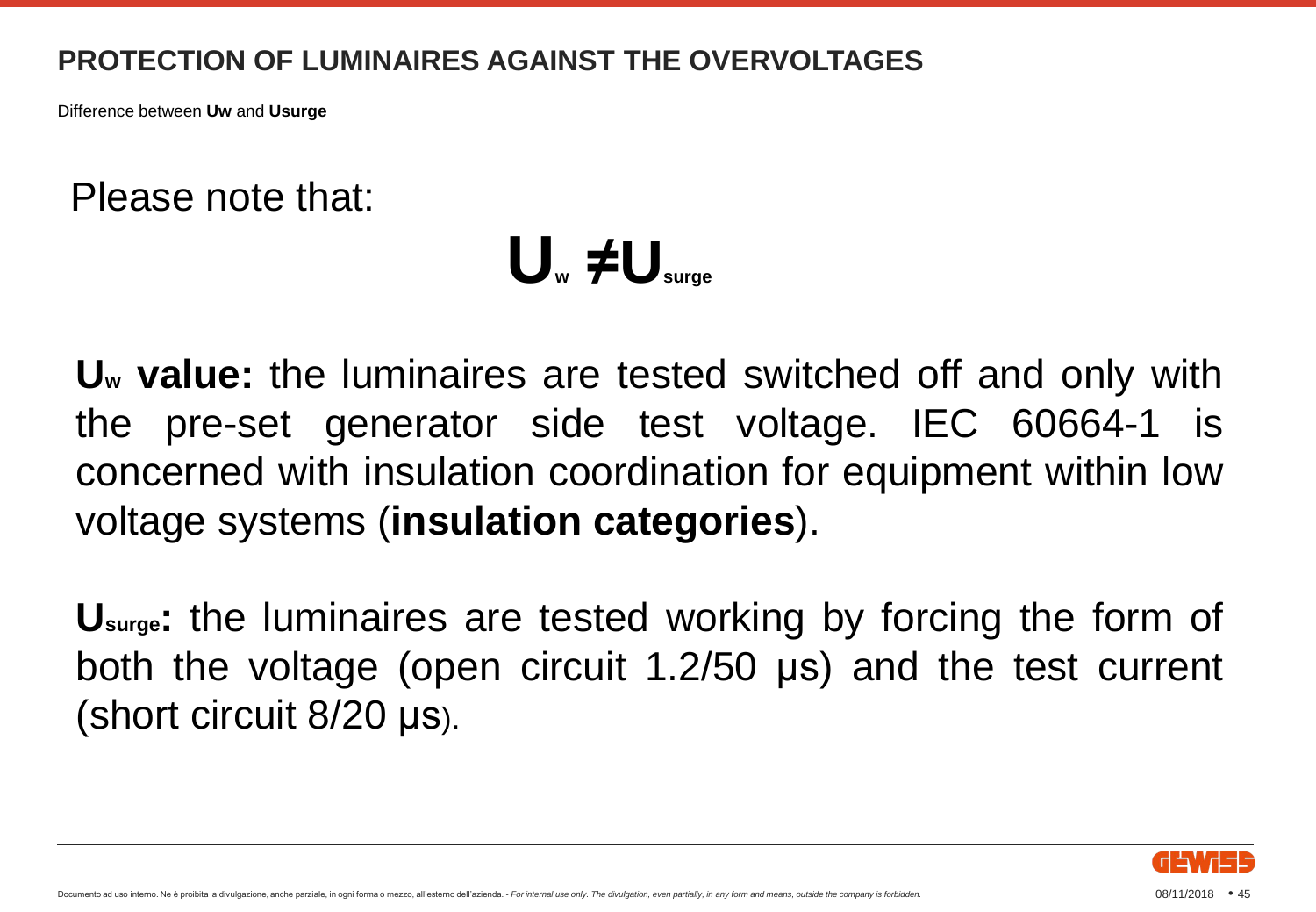Difference between **Uw** and **Usurge**

Please note that:

## **U<sup>w</sup> ≠Usurge**

**U<sup>w</sup> value:** the luminaires are tested switched off and only with the pre-set generator side test voltage. IEC 60664-1 is concerned with insulation coordination for equipment within low voltage systems (**insulation categories**).

**Usurge:** the luminaires are tested working by forcing the form of both the voltage (open circuit 1.2/50 μs) and the test current (short circuit 8/20 μs).

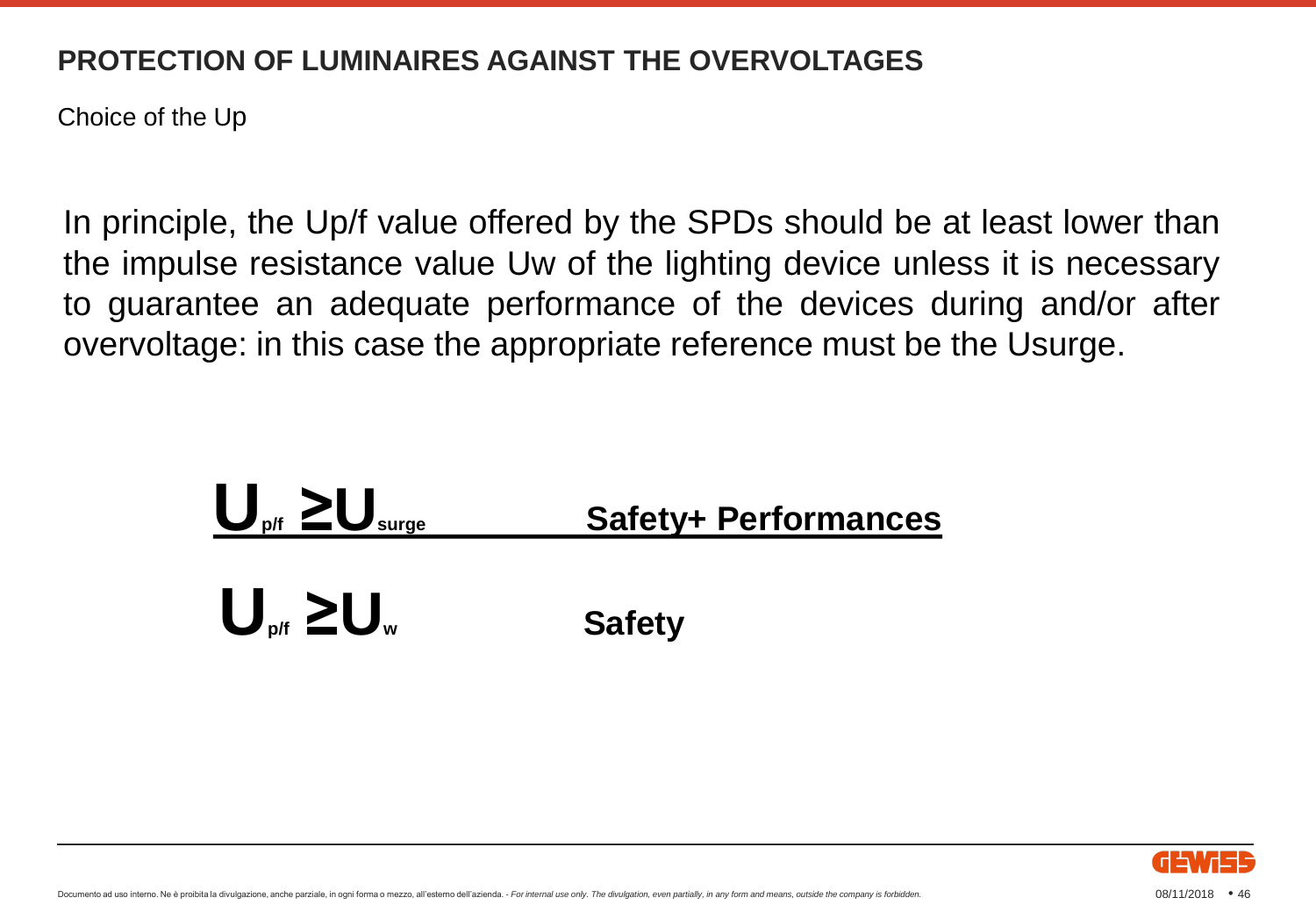Choice of the Up

In principle, the Up/f value offered by the SPDs should be at least lower than the impulse resistance value Uw of the lighting device unless it is necessary to guarantee an adequate performance of the devices during and/or after overvoltage: in this case the appropriate reference must be the Usurge.



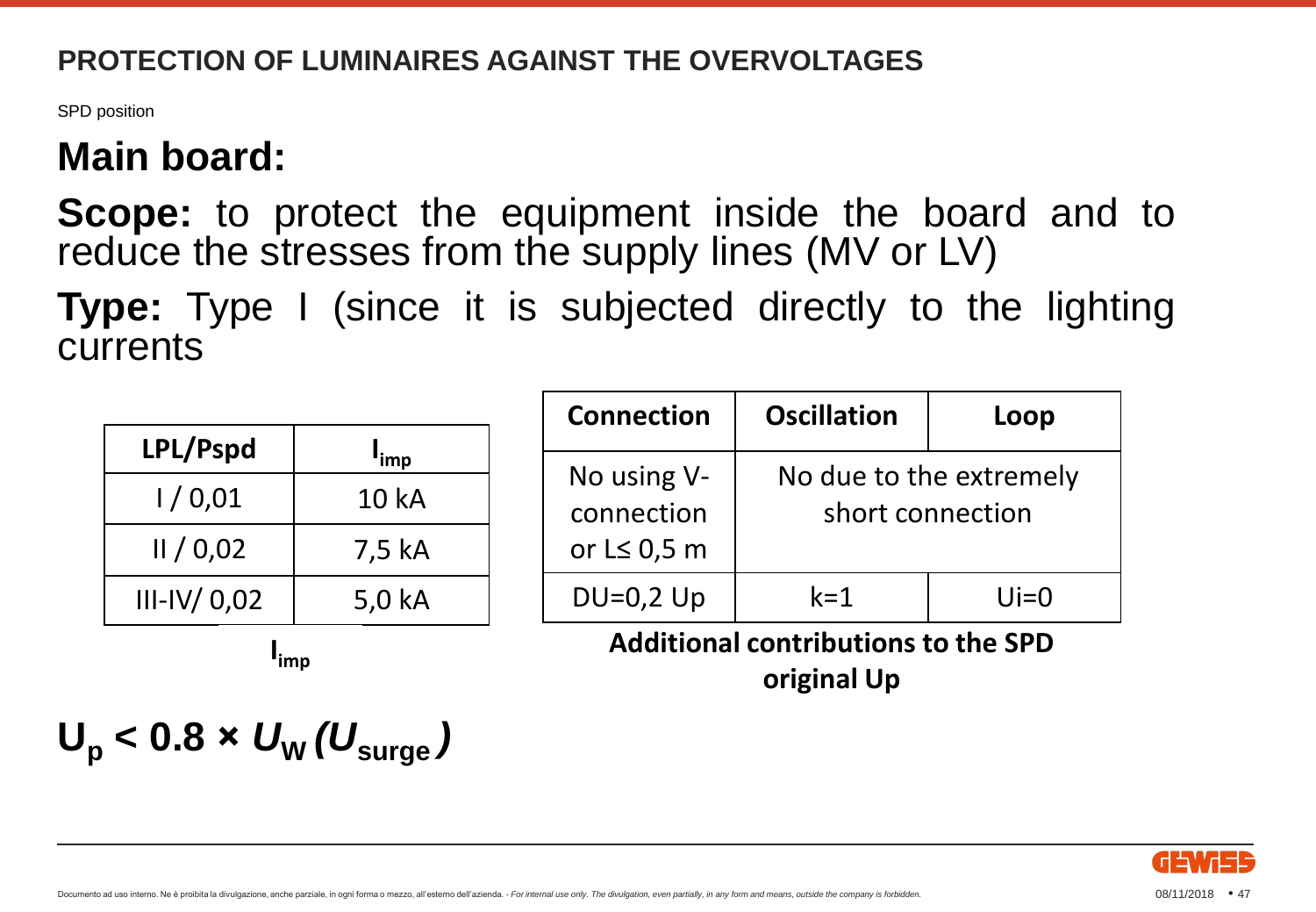SPD position

## **Main board:**

**Scope:** to protect the equipment inside the board and to reduce the stresses from the supply lines (MV or LV)

**Type:** Type I (since it is subjected directly to the lighting currents

| LPL/Pspd      | <sup>l</sup> imp |
|---------------|------------------|
| 1/0,01        | 10 kA            |
| II / 0.02     | 7,5 kA           |
| $III-IV/0,02$ | 5,0 kA           |

| <b>Connection</b>                              | <b>Oscillation</b>                          | Loop    |  |
|------------------------------------------------|---------------------------------------------|---------|--|
| No using V-<br>connection<br>or $L \leq 0.5$ m | No due to the extremely<br>short connection |         |  |
| $DU=0,2$ Up                                    | $k = 1$                                     | $U = 0$ |  |
| <b>Additional contributions to the SPD</b>     |                                             |         |  |

**original Up**

**I imp**

$$
U_{\rm p} < 0.8 \times U_{\rm W} (U_{\rm surge})
$$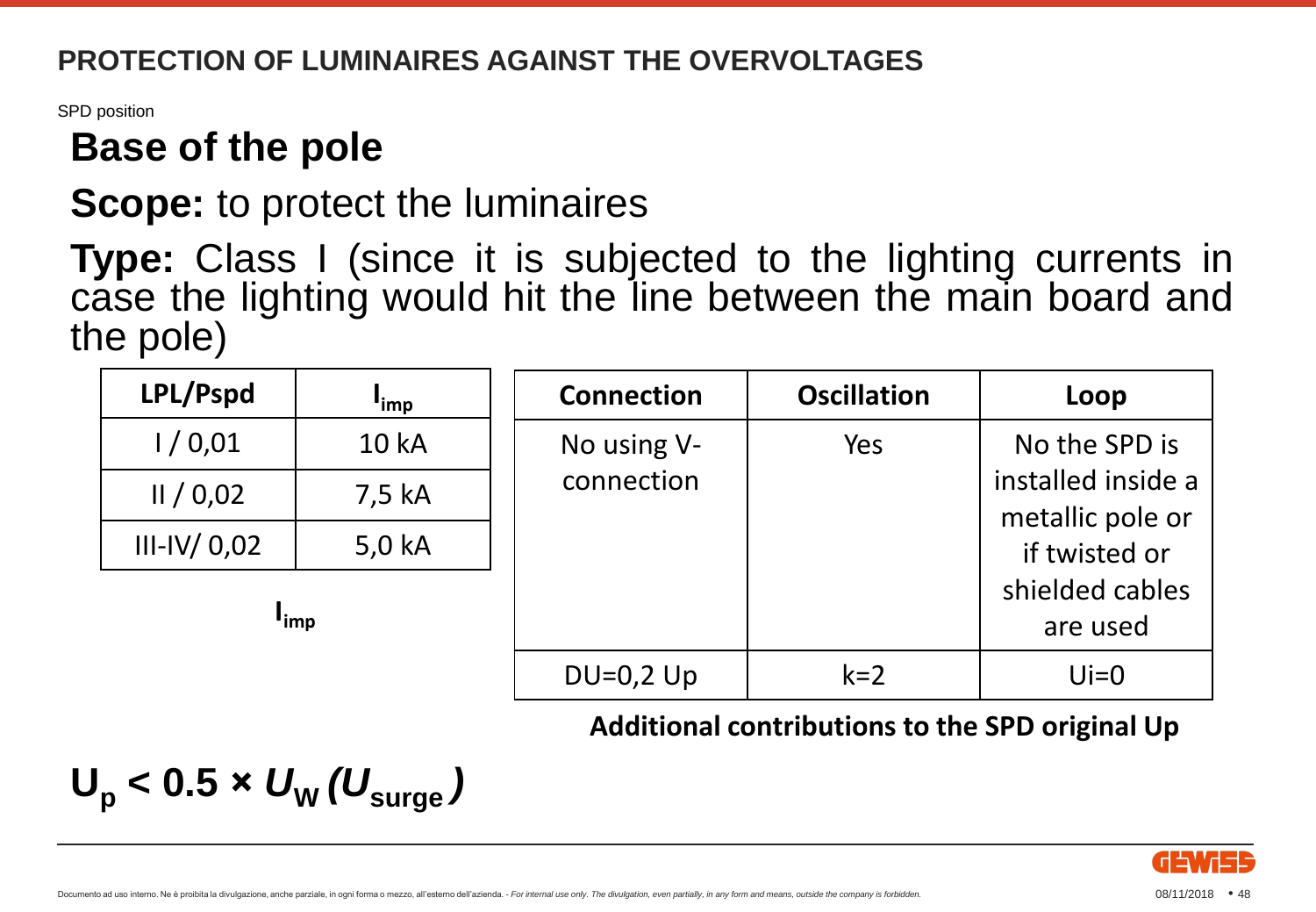SPD position

### **Base of the pole**

### **Scope:** to protect the luminaires

**Type:** Class I (since it is subjected to the lighting currents in case the lighting would hit the line between the main board and the pole)

| LPL/Pspd          | <sup>I</sup> imp | <b>Connection</b> | <b>Oscillation</b> | Loop                                   |
|-------------------|------------------|-------------------|--------------------|----------------------------------------|
| 1/0,01            | <b>10 kA</b>     | No using V-       | Yes                | No the SPD is                          |
| II/0.02           | 7,5 kA           | connection        |                    | installed inside a<br>metallic pole or |
| $III$ -IV/ $0,02$ | 5,0 kA           |                   |                    | if twisted or                          |
| "imp              |                  |                   |                    | shielded cables                        |
|                   |                  |                   |                    | are used                               |
|                   |                  | $DU=0,2$ Up       | $k=2$              | $U = 0$                                |

#### **Additional contributions to the SPD original Up**

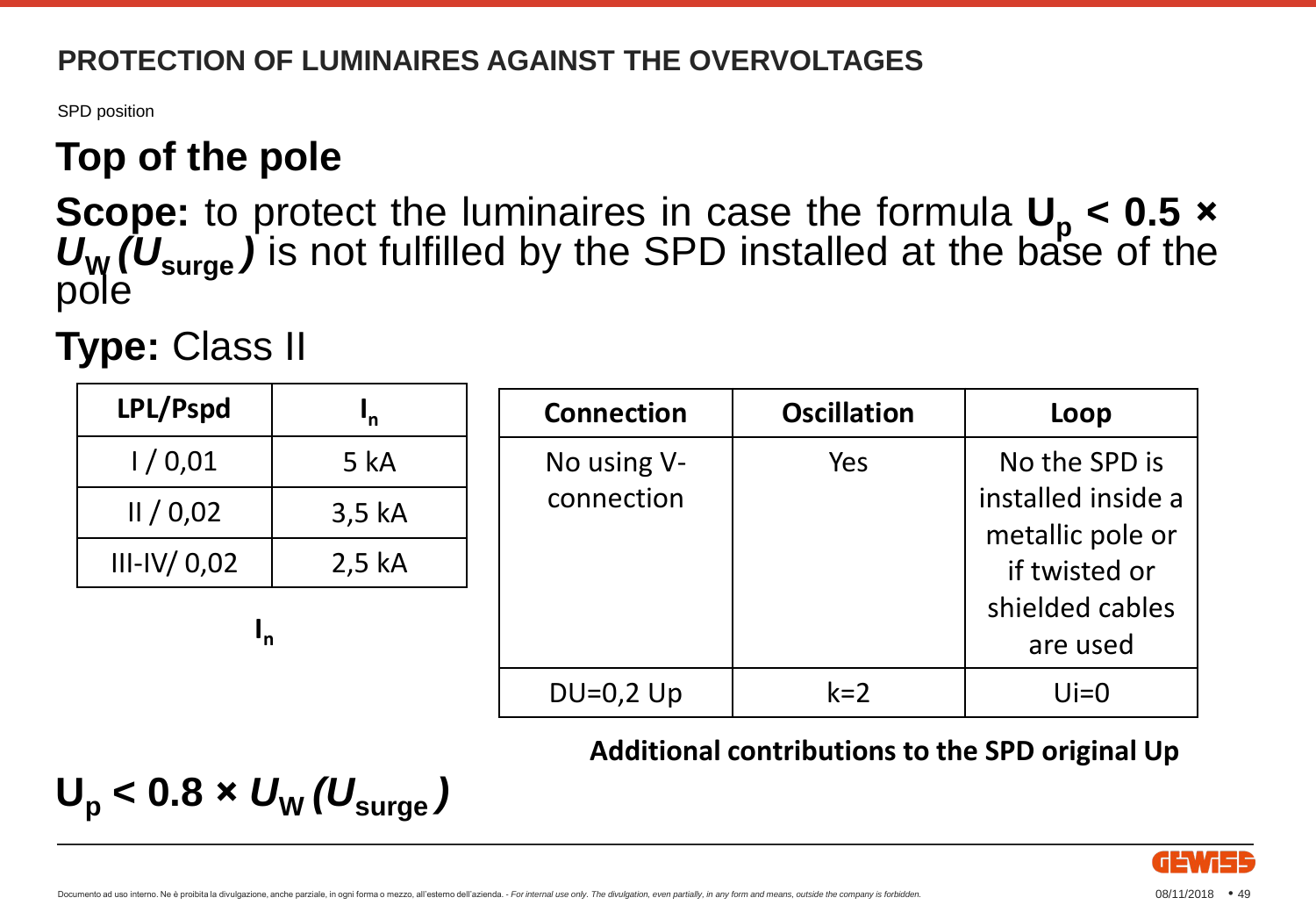SPD position

## **Top of the pole**

**Scope:** to protect the luminaires in case the formula **U<sup>p</sup> < 0.5 ×** *U*<sup>W</sup> *(U*<sub>surge</sub>) is not fulfilled by the SPD installed at the base of the pole

**Type:** Class II

| LPL/Pspd          | 'n          | <b>Connection</b> | <b>Oscillation</b> | Loop                                   |
|-------------------|-------------|-------------------|--------------------|----------------------------------------|
| 1/0,01            | <b>5 kA</b> | No using V-       | Yes                | No the SPD is                          |
| II/0.02           | 3,5 kA      | connection        |                    | installed inside a<br>metallic pole or |
| $III$ -IV/ $0,02$ | $2,5$ kA    |                   |                    | if twisted or                          |
| 'n                |             |                   |                    | shielded cables                        |
|                   |             |                   |                    | are used                               |
|                   |             | $DU=0,2$ Up       | $k=2$              | $U = 0$                                |

**Additional contributions to the SPD original Up**

$$
U_{\rm p} < 0.8 \times U_{\rm W} (U_{\rm surge})
$$

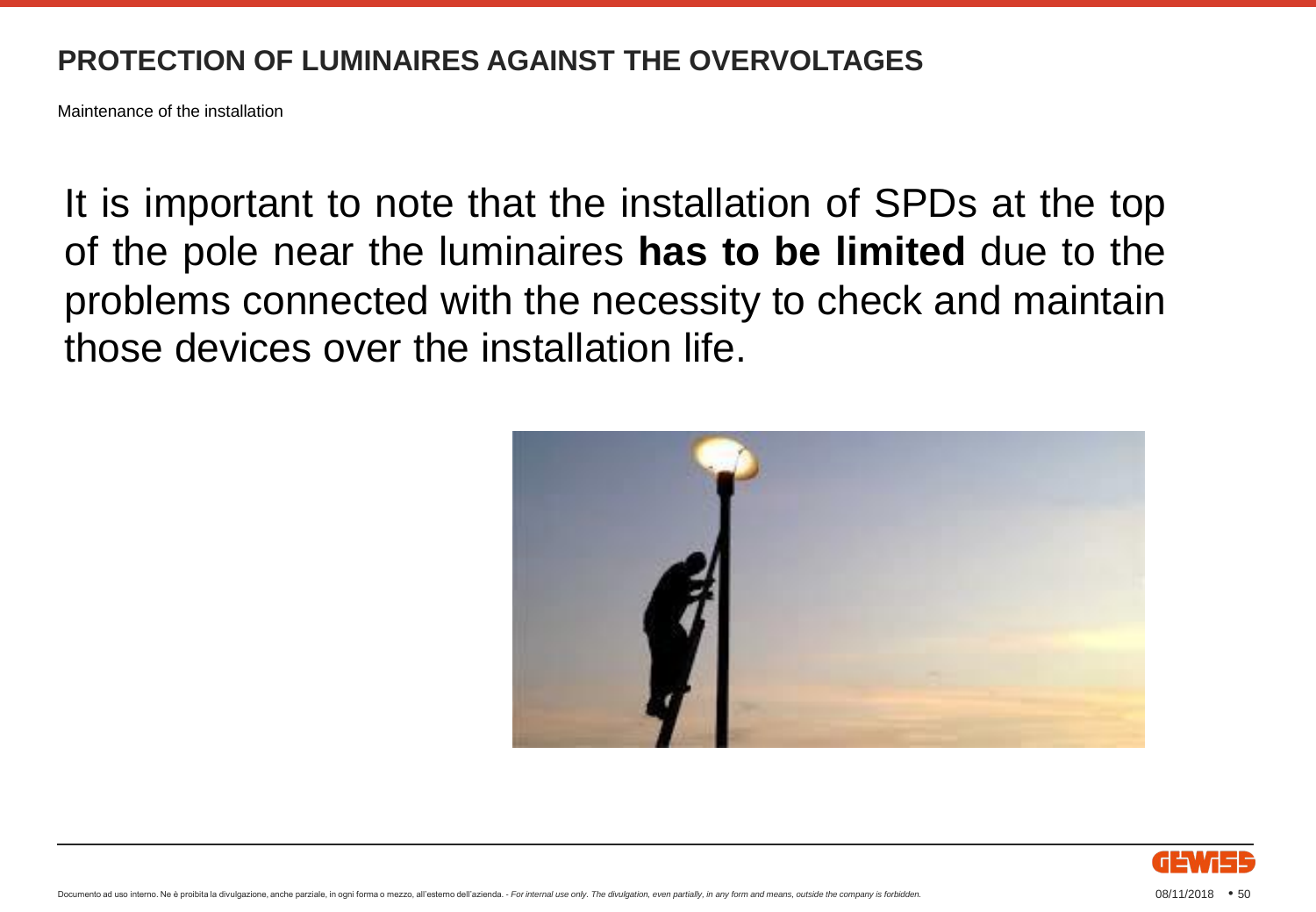Maintenance of the installation

It is important to note that the installation of SPDs at the top of the pole near the luminaires **has to be limited** due to the problems connected with the necessity to check and maintain those devices over the installation life.



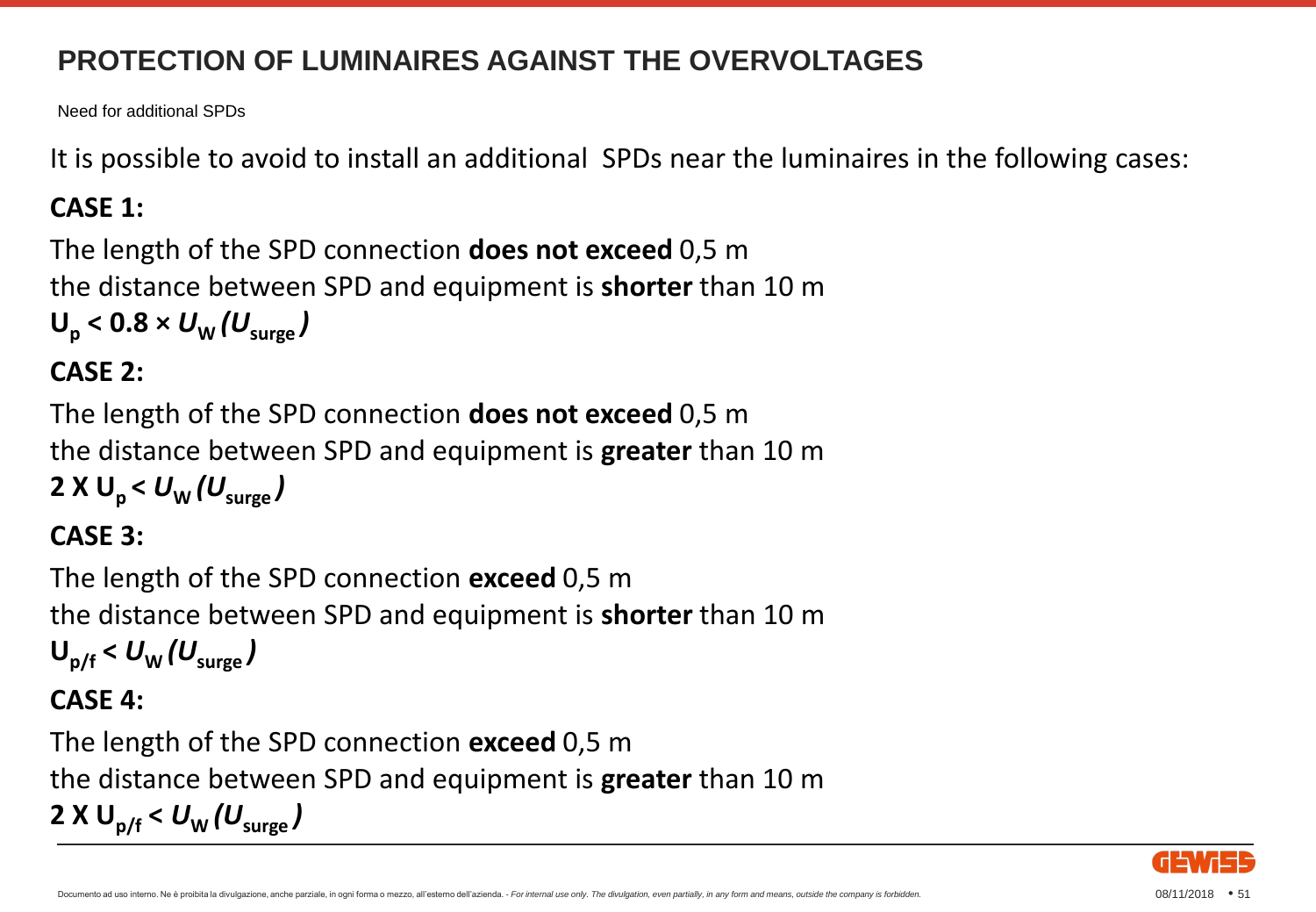Need for additional SPDs

It is possible to avoid to install an additional SPDs near the luminaires in the following cases:

#### **CASE 1:**

```
The length of the SPD connection does not exceed 0,5 m
the distance between SPD and equipment is shorter than 10 m 
U_p < 0.8 \times U_w (U_{\text{surface}})
```
#### **CASE 2:**

The length of the SPD connection **does not exceed** 0,5 m the distance between SPD and equipment is **greater** than 10 m **2 X U<sub>p</sub> <**  $U_W$  **(U<sub>surge</sub>)** 

#### **CASE 3:**

```
The length of the SPD connection exceed 0,5 m
the distance between SPD and equipment is shorter than 10 m 
U_{\text{p/f}} < U_{\text{w}} (U_{\text{surge}})
```
#### **CASE 4:**

The length of the SPD connection **exceed** 0,5 m the distance between SPD and equipment is **greater** than 10 m **2 X U**<sub>p/f</sub>  $< U_{\text{w}}(U_{\text{sure}})$ 

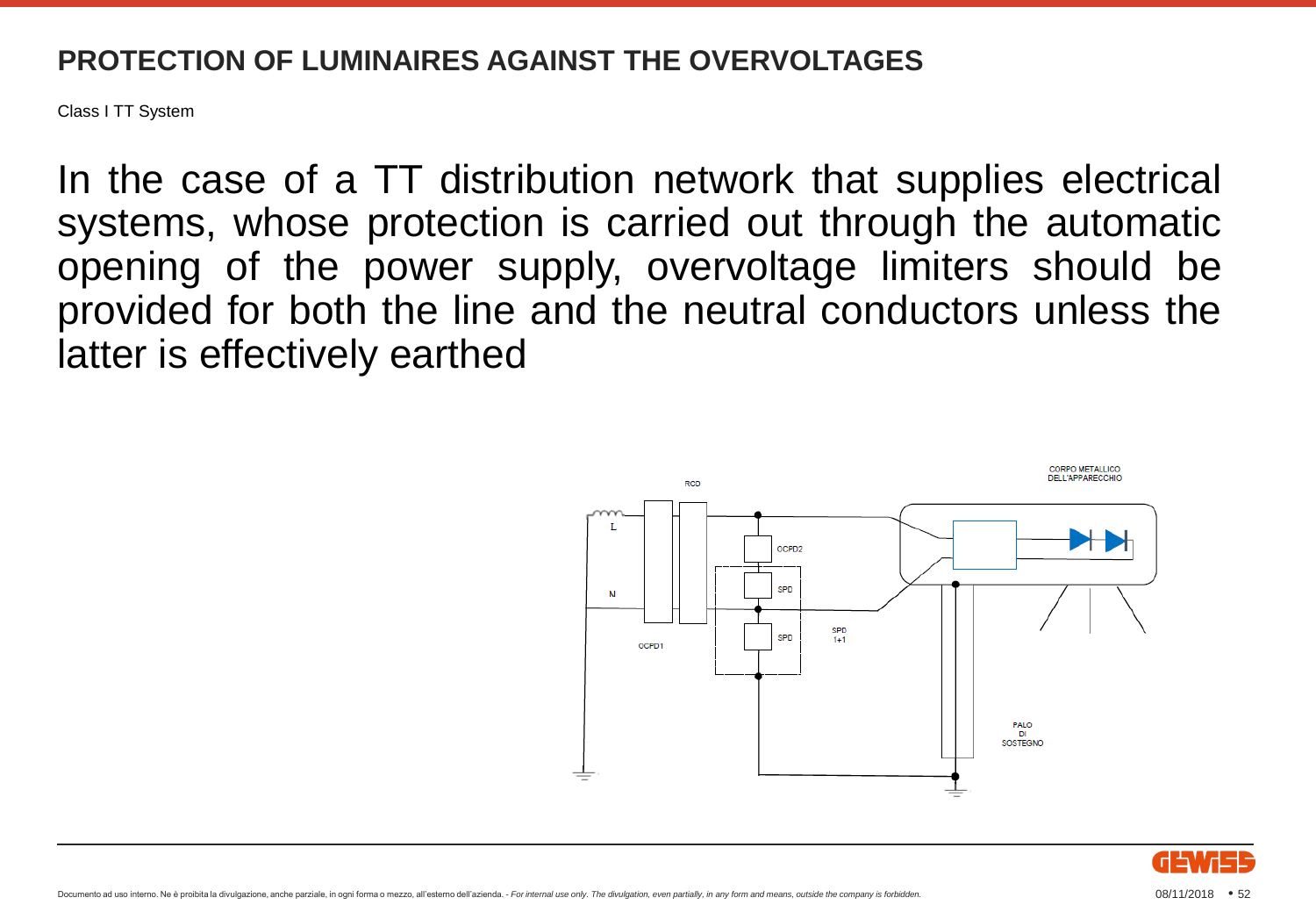Class I TT System

In the case of a TT distribution network that supplies electrical systems, whose protection is carried out through the automatic opening of the power supply, overvoltage limiters should be provided for both the line and the neutral conductors unless the latter is effectively earthed



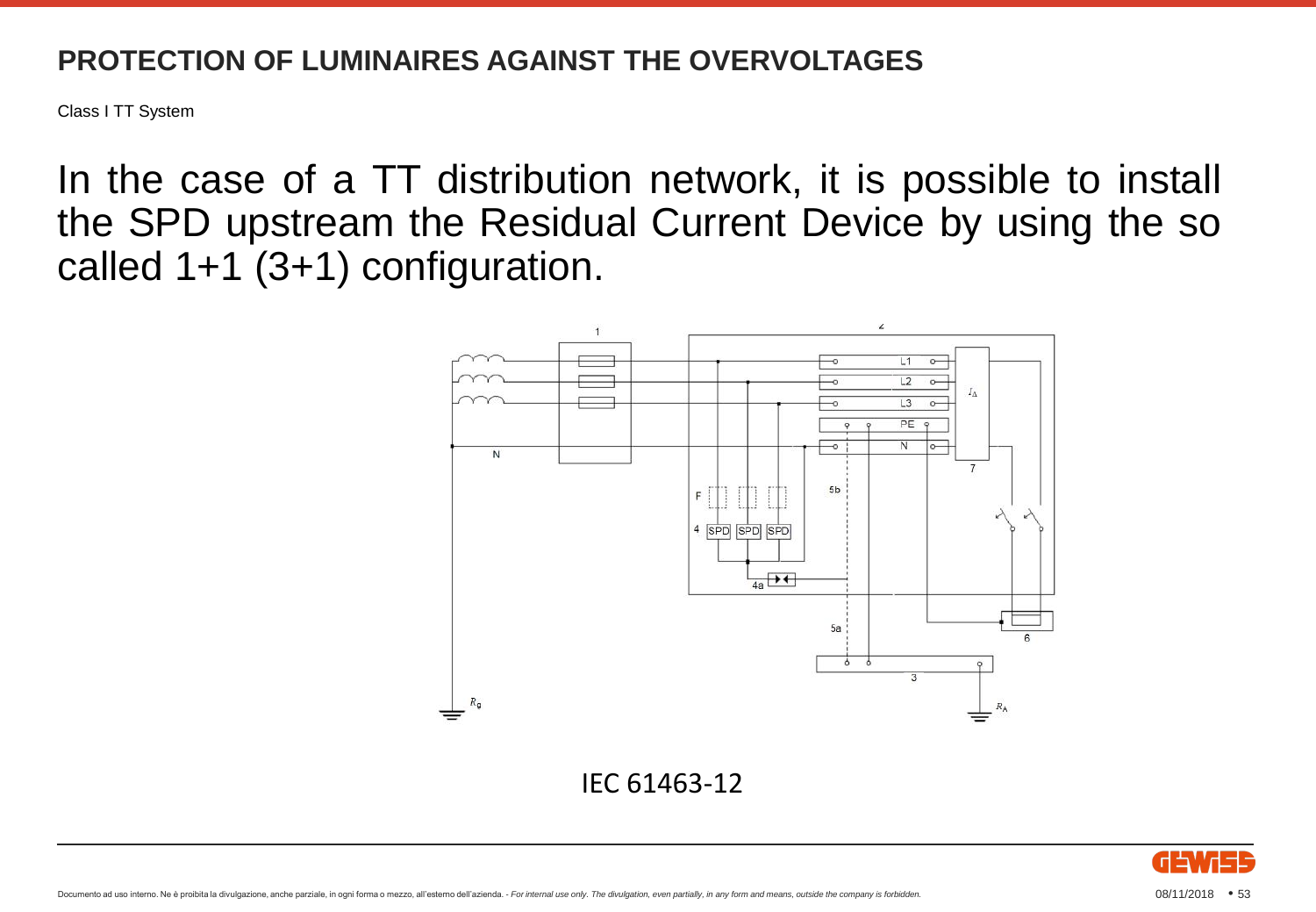Class I TT System

In the case of a TT distribution network, it is possible to install the SPD upstream the Residual Current Device by using the so called 1+1 (3+1) configuration.



IEC 61463-12

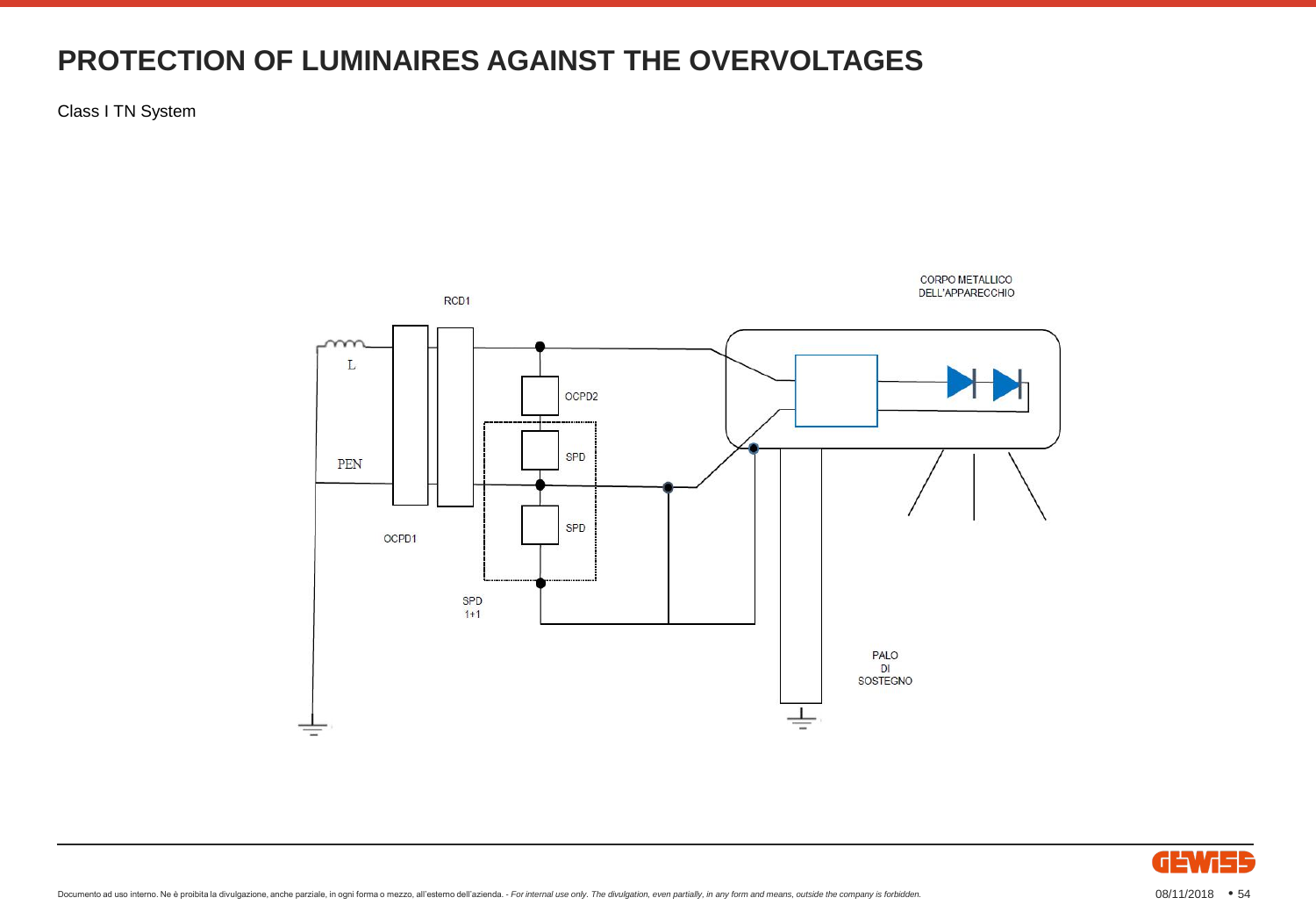Class I TN System



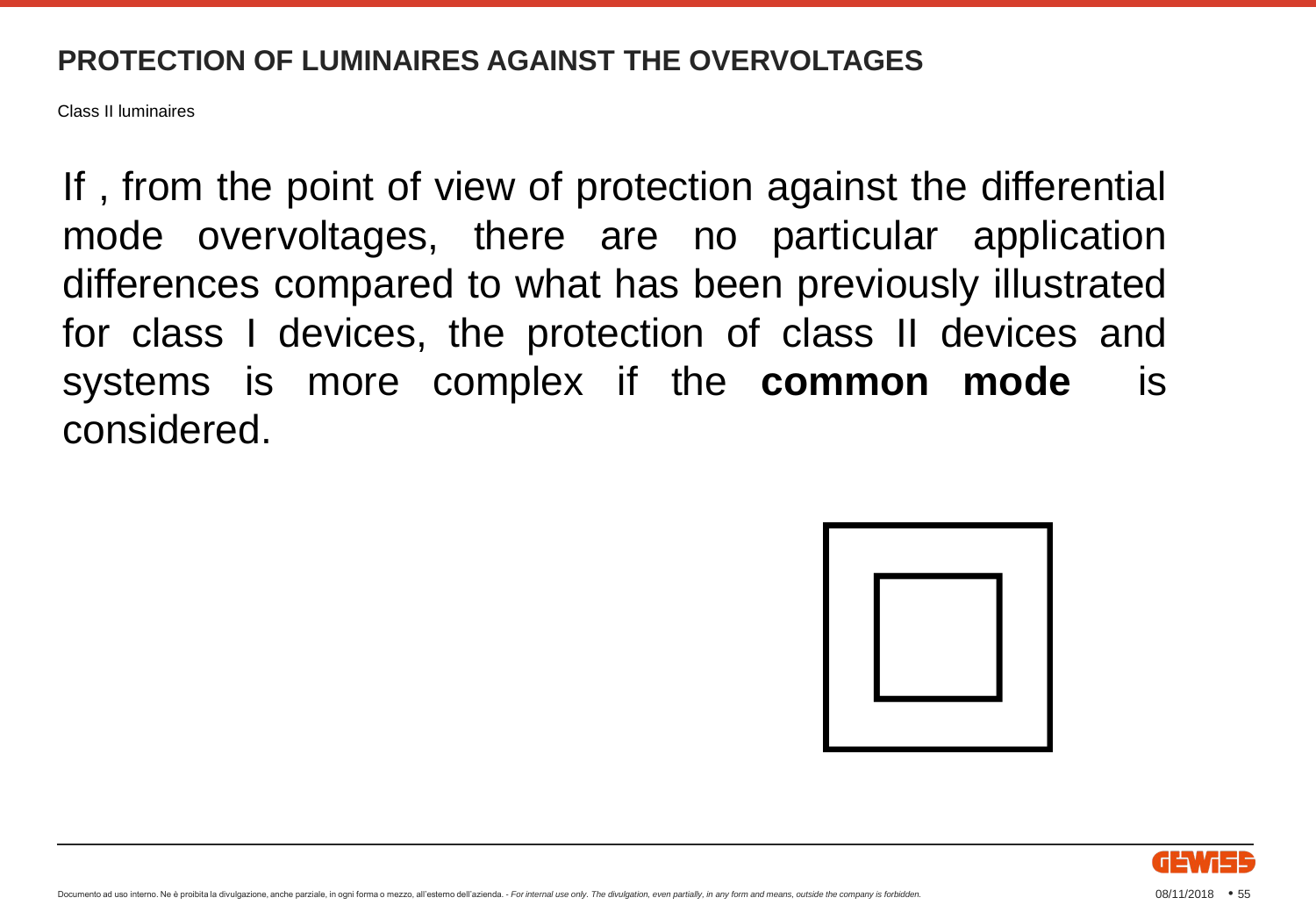Class II luminaires

If , from the point of view of protection against the differential mode overvoltages, there are no particular application differences compared to what has been previously illustrated for class I devices, the protection of class II devices and systems is more complex if the **common mode** is considered.



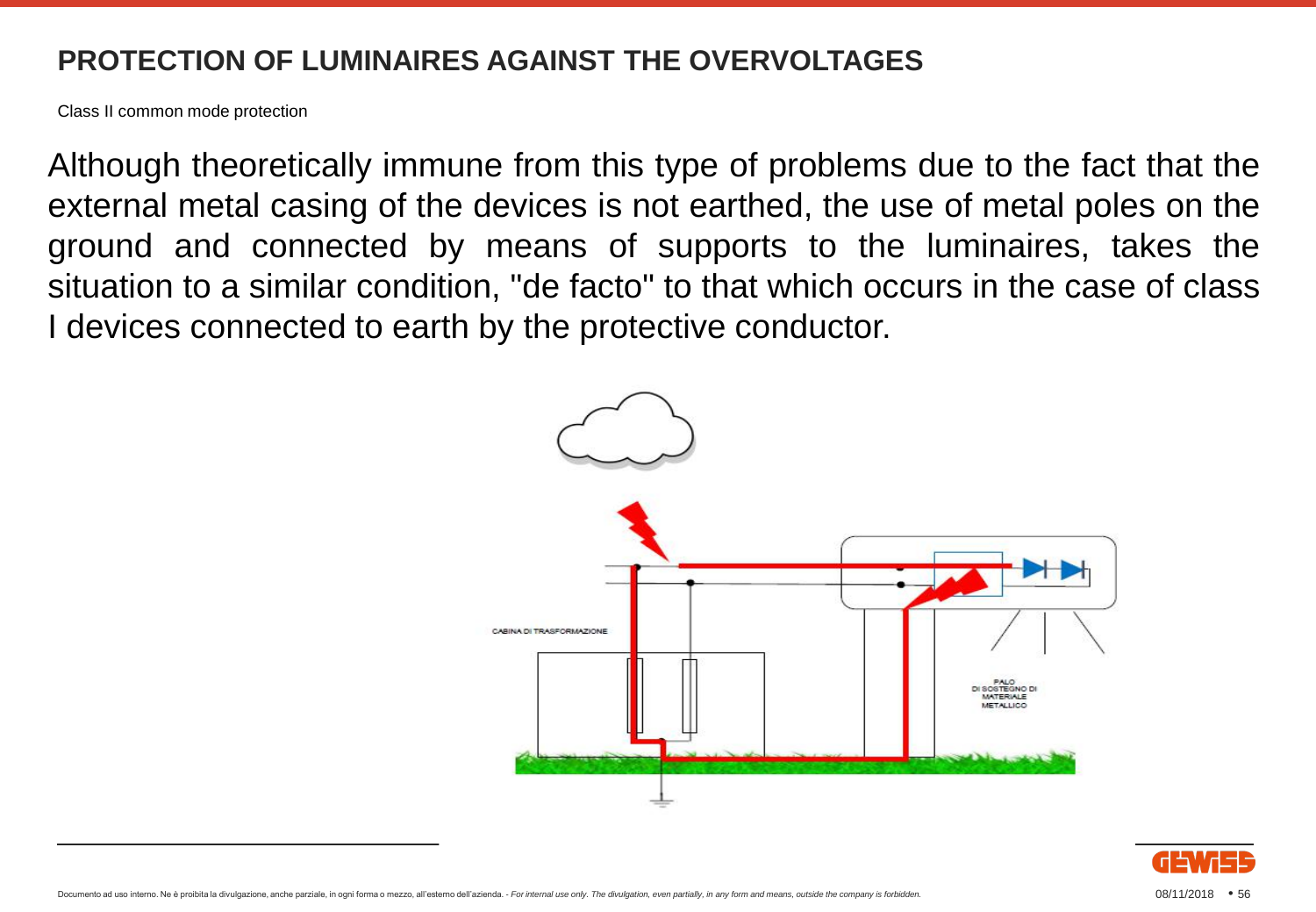Class II common mode protection

Although theoretically immune from this type of problems due to the fact that the external metal casing of the devices is not earthed, the use of metal poles on the ground and connected by means of supports to the luminaires, takes the situation to a similar condition, "de facto" to that which occurs in the case of class I devices connected to earth by the protective conductor.



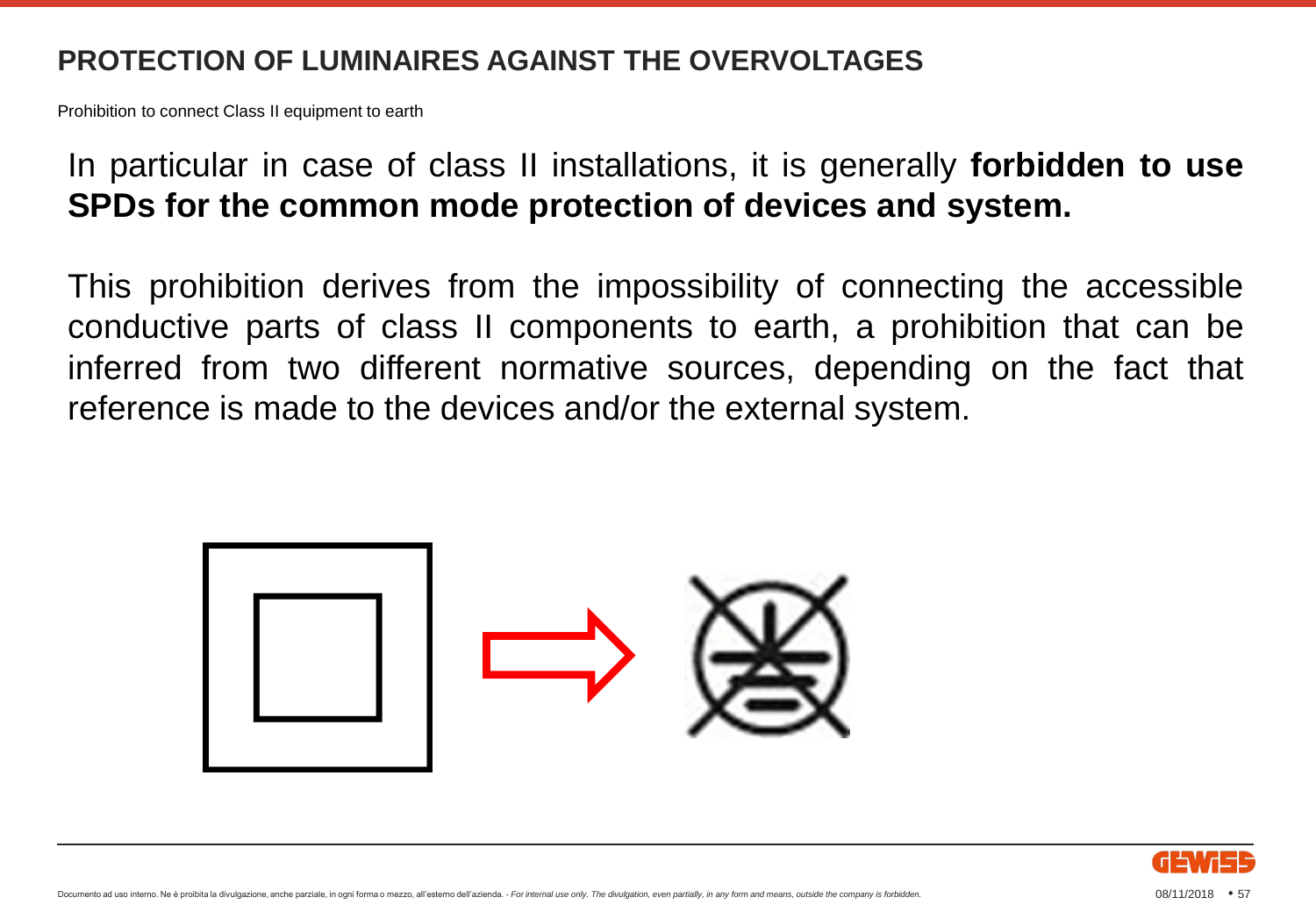Prohibition to connect Class II equipment to earth

#### In particular in case of class II installations, it is generally **forbidden to use SPDs for the common mode protection of devices and system.**

This prohibition derives from the impossibility of connecting the accessible conductive parts of class II components to earth, a prohibition that can be inferred from two different normative sources, depending on the fact that reference is made to the devices and/or the external system.



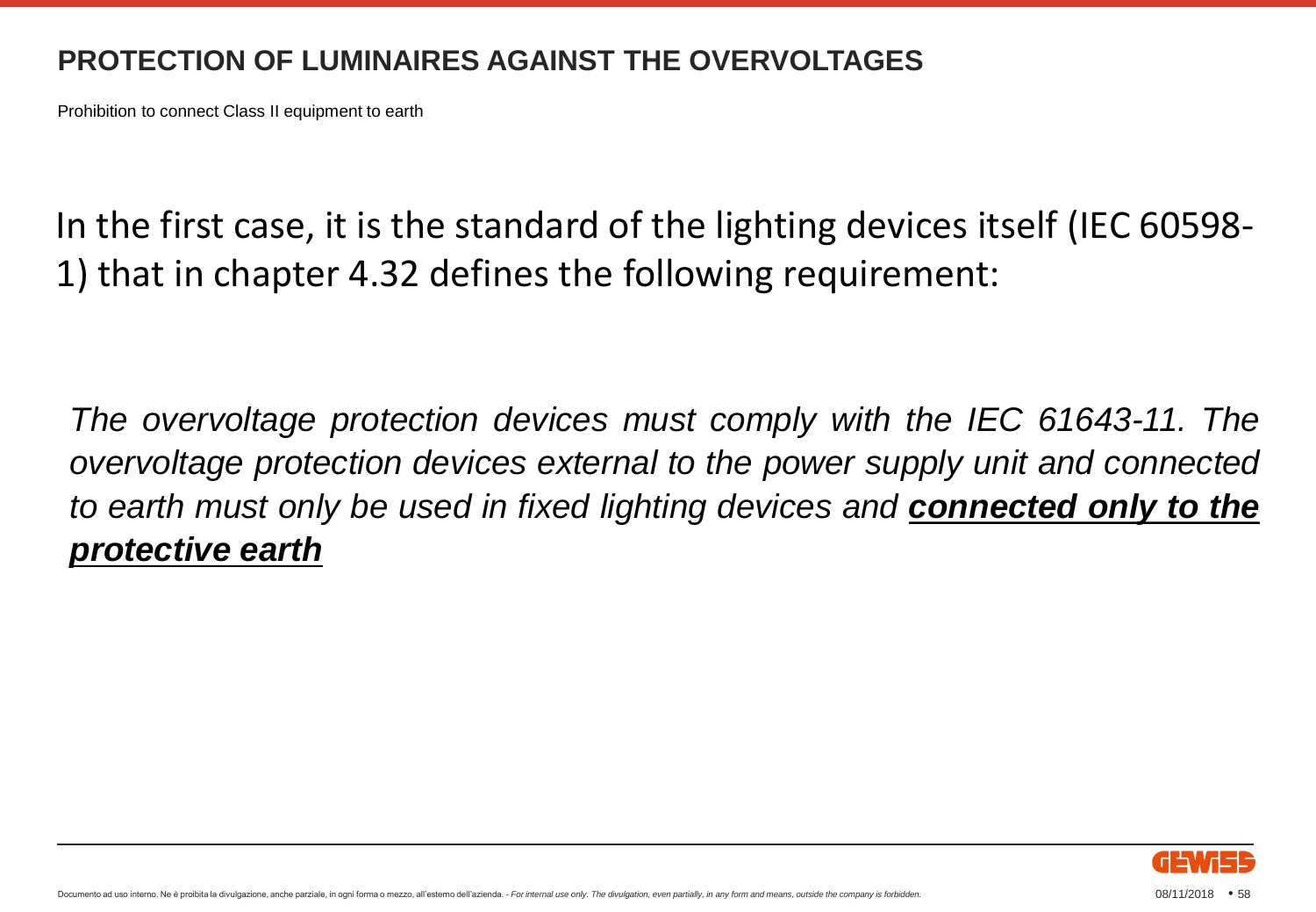Prohibition to connect Class II equipment to earth

In the first case, it is the standard of the lighting devices itself (IEC 60598- 1) that in chapter 4.32 defines the following requirement:

*The overvoltage protection devices must comply with the IEC 61643-11. The overvoltage protection devices external to the power supply unit and connected to earth must only be used in fixed lighting devices and connected only to the protective earth*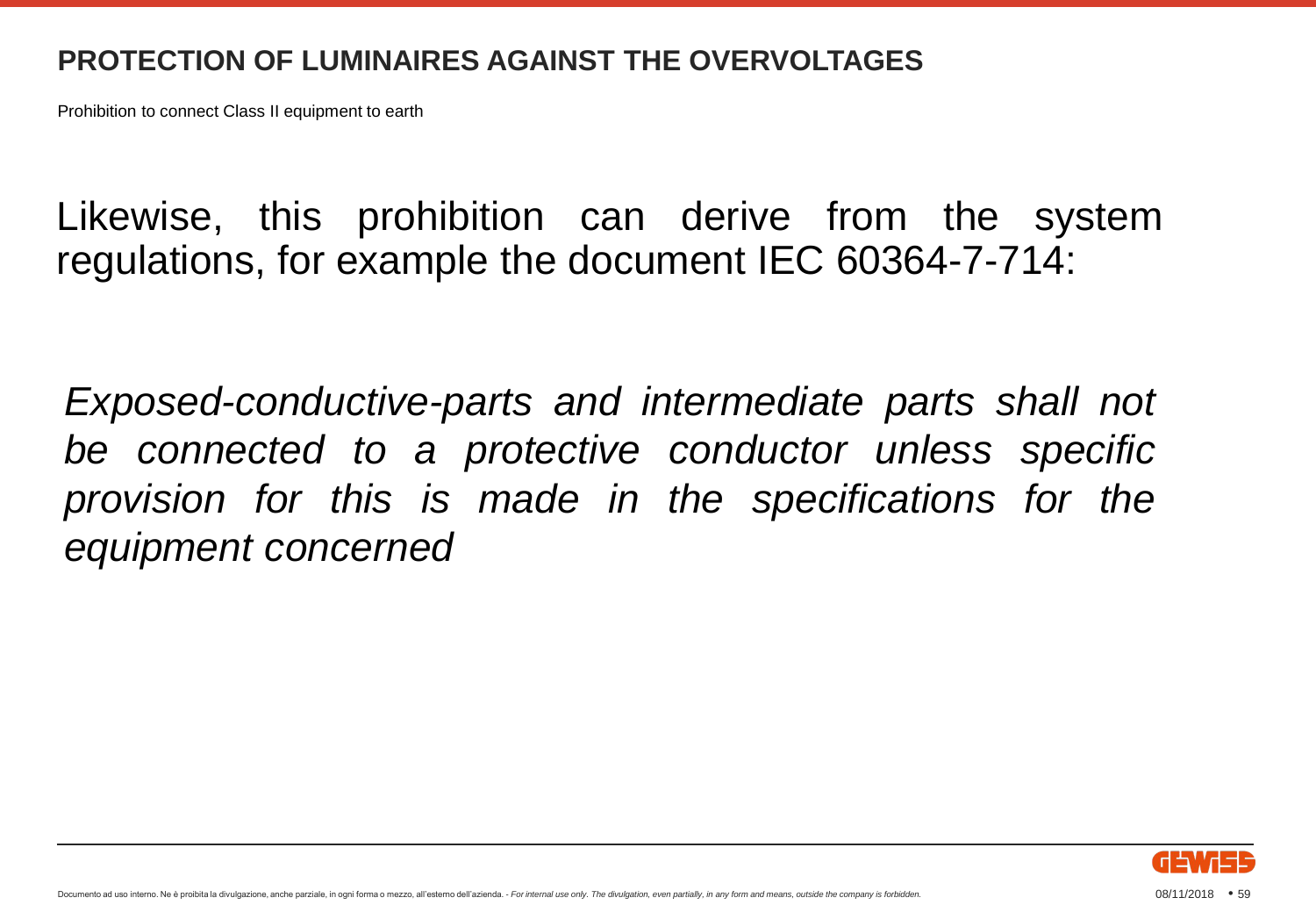Prohibition to connect Class II equipment to earth

Likewise, this prohibition can derive from the system regulations, for example the document IEC 60364-7-714:

*Exposed-conductive-parts and intermediate parts shall not be connected to a protective conductor unless specific provision for this is made in the specifications for the equipment concerned*

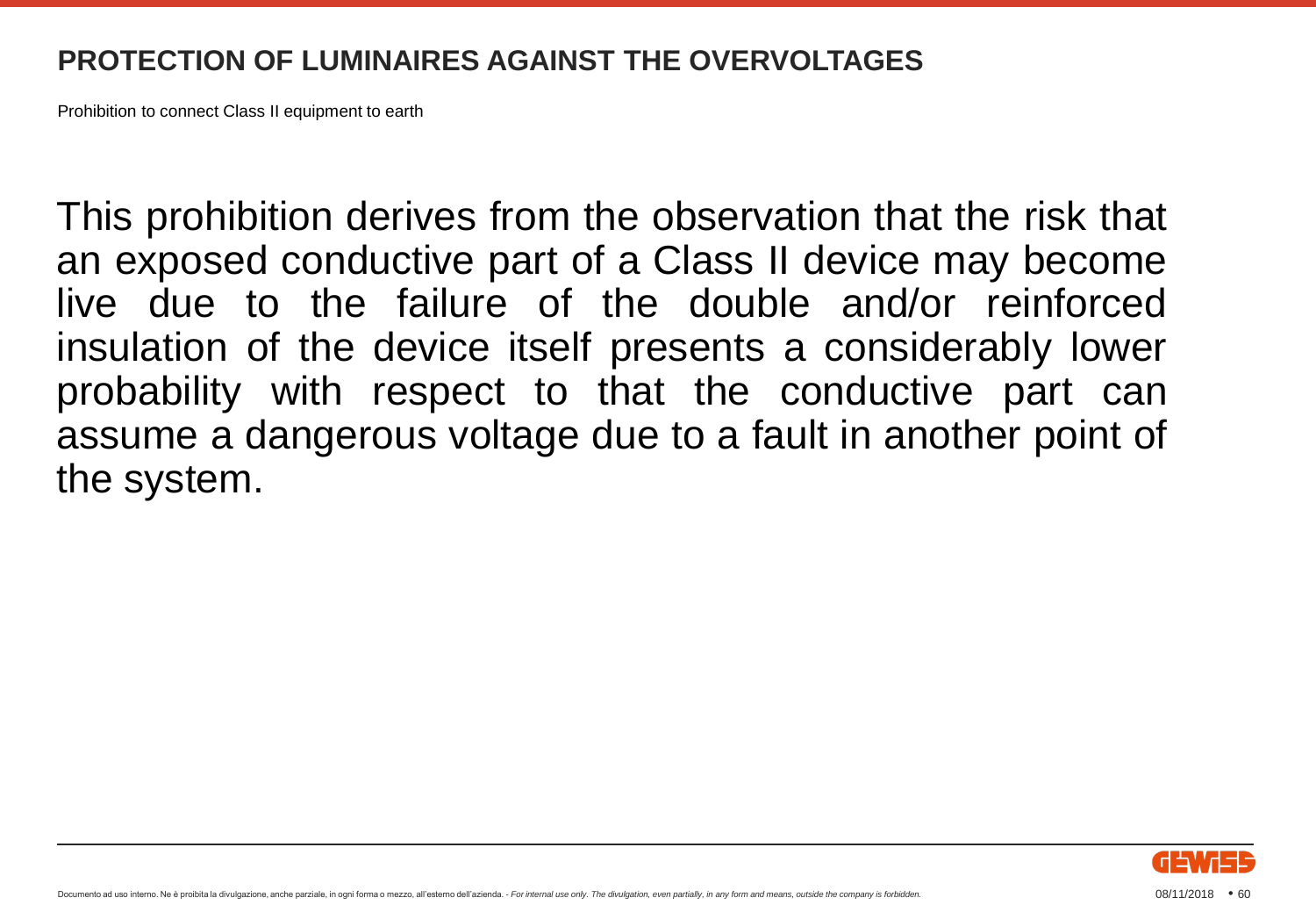Prohibition to connect Class II equipment to earth

This prohibition derives from the observation that the risk that an exposed conductive part of a Class II device may become live due to the failure of the double and/or reinforced insulation of the device itself presents a considerably lower probability with respect to that the conductive part can assume a dangerous voltage due to a fault in another point of the system.

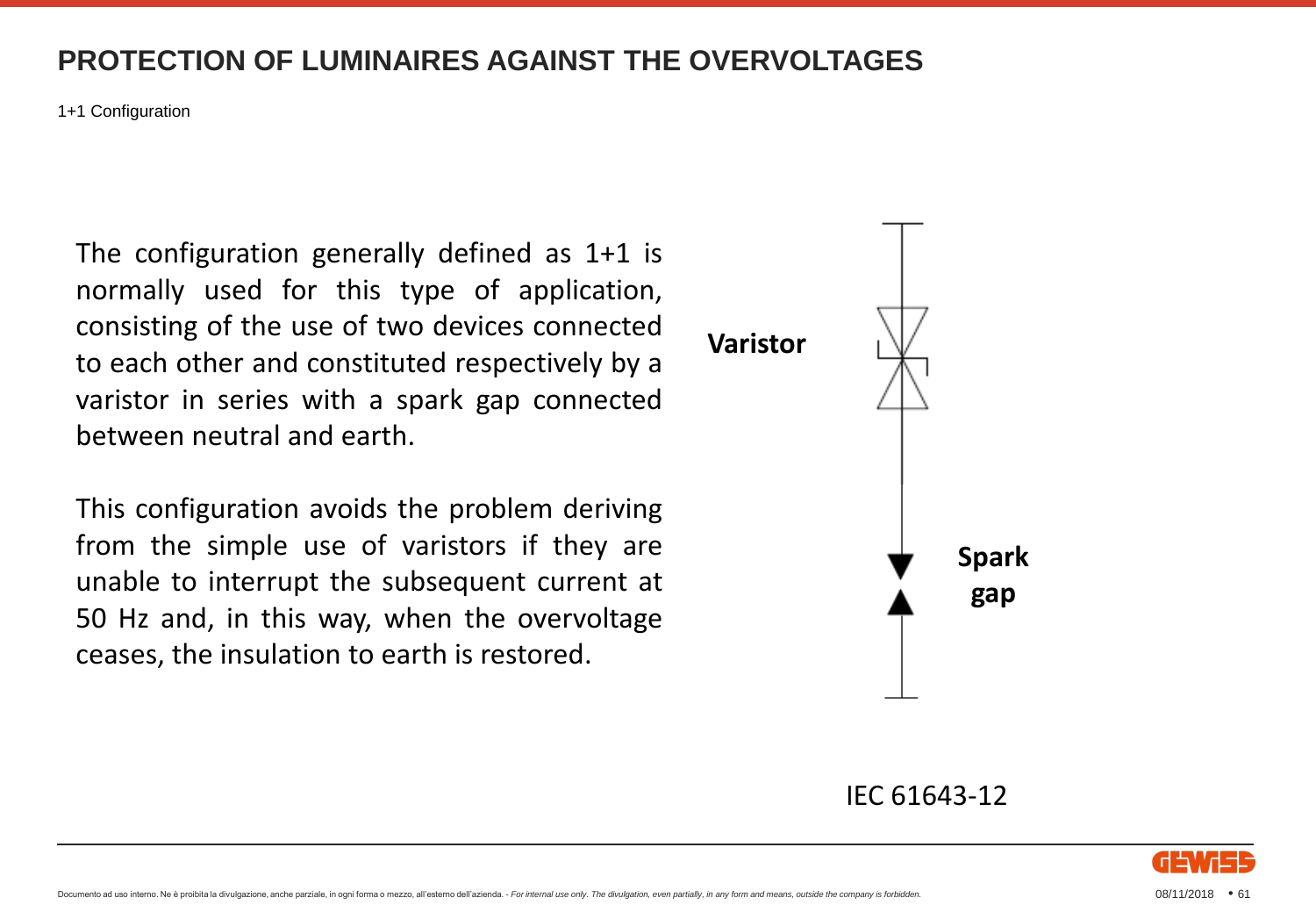1+1 Configuration

The configuration generally defined as 1+1 is normally used for this type of application, consisting of the use of two devices connected to each other and constituted respectively by a varistor in series with a spark gap connected between neutral and earth.

This configuration avoids the problem deriving from the simple use of varistors if they are unable to interrupt the subsequent current at 50 Hz and, in this way, when the overvoltage ceases, the insulation to earth is restored.



#### IEC 61643-12

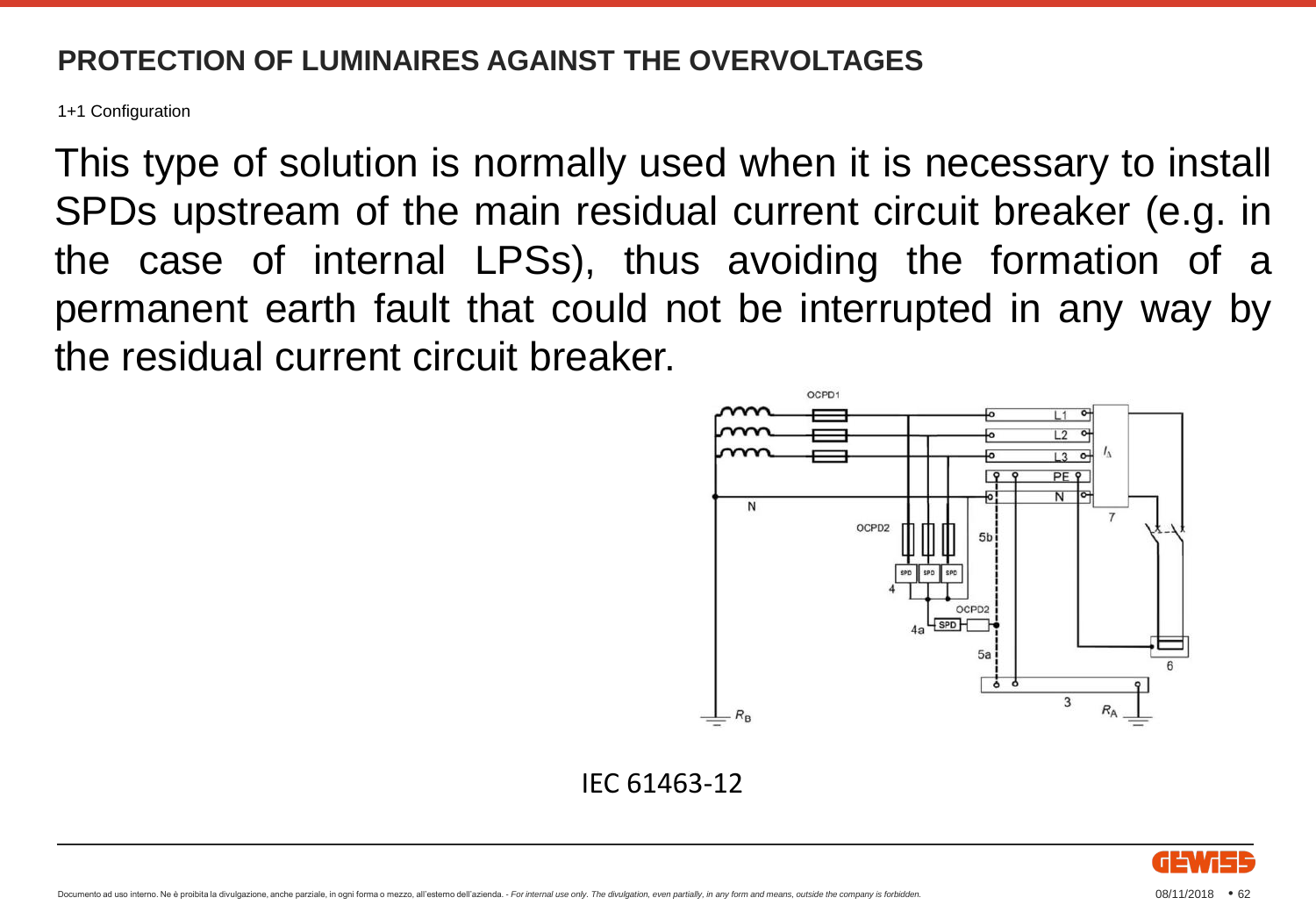1+1 Configuration

This type of solution is normally used when it is necessary to install SPDs upstream of the main residual current circuit breaker (e.g. in the case of internal LPSs), thus avoiding the formation of a permanent earth fault that could not be interrupted in any way by the residual current circuit breaker.



IEC 61463-12

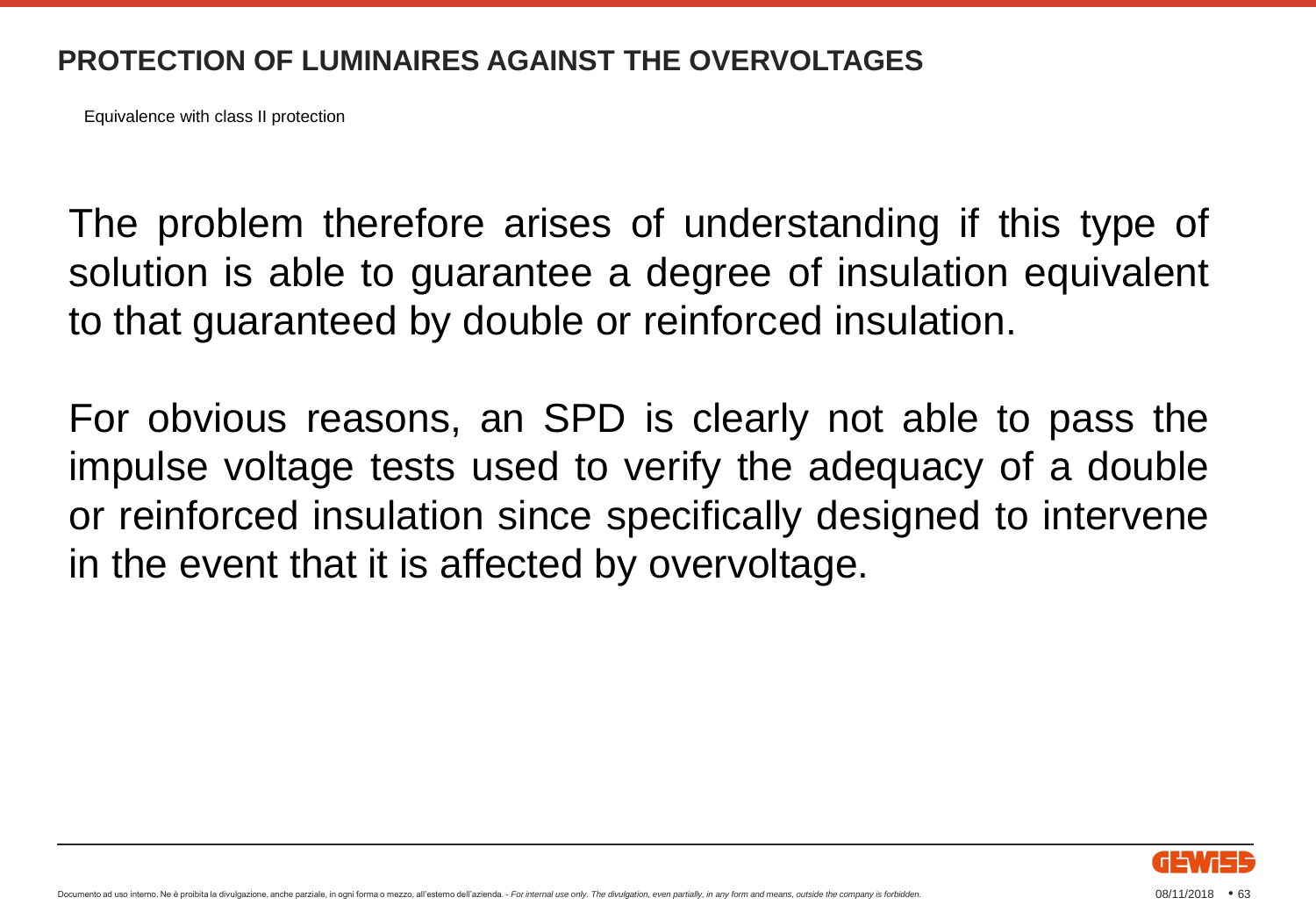Equivalence with class II protection

The problem therefore arises of understanding if this type of solution is able to guarantee a degree of insulation equivalent to that guaranteed by double or reinforced insulation.

For obvious reasons, an SPD is clearly not able to pass the impulse voltage tests used to verify the adequacy of a double or reinforced insulation since specifically designed to intervene in the event that it is affected by overvoltage.

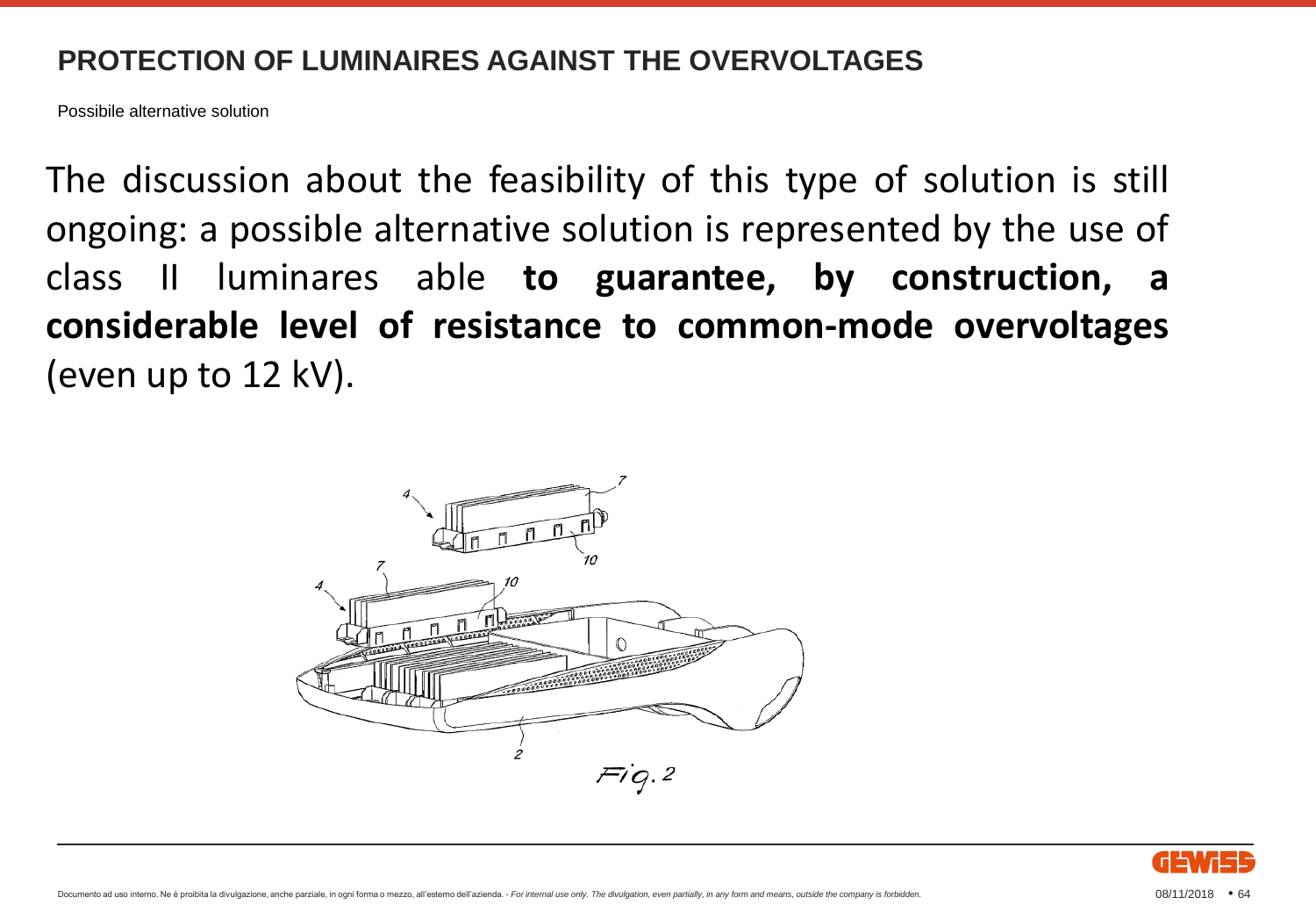Possibile alternative solution

The discussion about the feasibility of this type of solution is still ongoing: a possible alternative solution is represented by the use of class II luminares able **to guarantee, by construction, a considerable level of resistance to common-mode overvoltages** (even up to 12 kV).



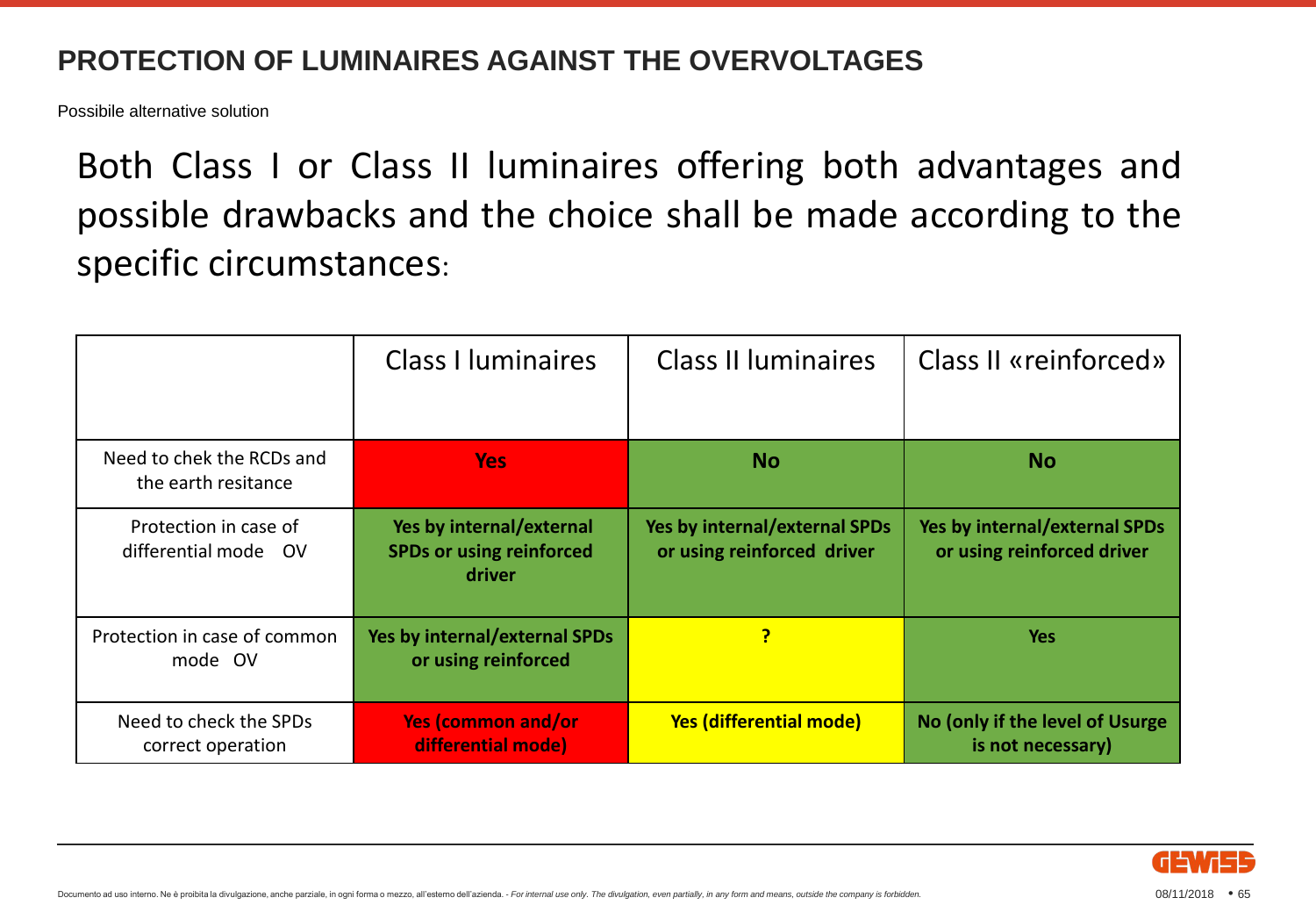Possibile alternative solution

Both Class I or Class II luminaires offering both advantages and possible drawbacks and the choice shall be made according to the specific circumstances:

|                                                  | <b>Class I luminaires</b>                                             | <b>Class II luminaires</b>                                         | Class II «reinforced»                                              |
|--------------------------------------------------|-----------------------------------------------------------------------|--------------------------------------------------------------------|--------------------------------------------------------------------|
| Need to chek the RCDs and<br>the earth resitance | <b>Yes</b>                                                            | <b>No</b>                                                          | <b>No</b>                                                          |
| Protection in case of<br>differential mode OV    | Yes by internal/external<br><b>SPDs or using reinforced</b><br>driver | <b>Yes by internal/external SPDs</b><br>or using reinforced driver | <b>Yes by internal/external SPDs</b><br>or using reinforced driver |
| Protection in case of common<br>mode OV          | <b>Yes by internal/external SPDs</b><br>or using reinforced           | P                                                                  | <b>Yes</b>                                                         |
| Need to check the SPDs<br>correct operation      | <b>Yes (common and/or</b><br>differential mode)                       | <b>Yes (differential mode)</b>                                     | No (only if the level of Usurge<br>is not necessary)               |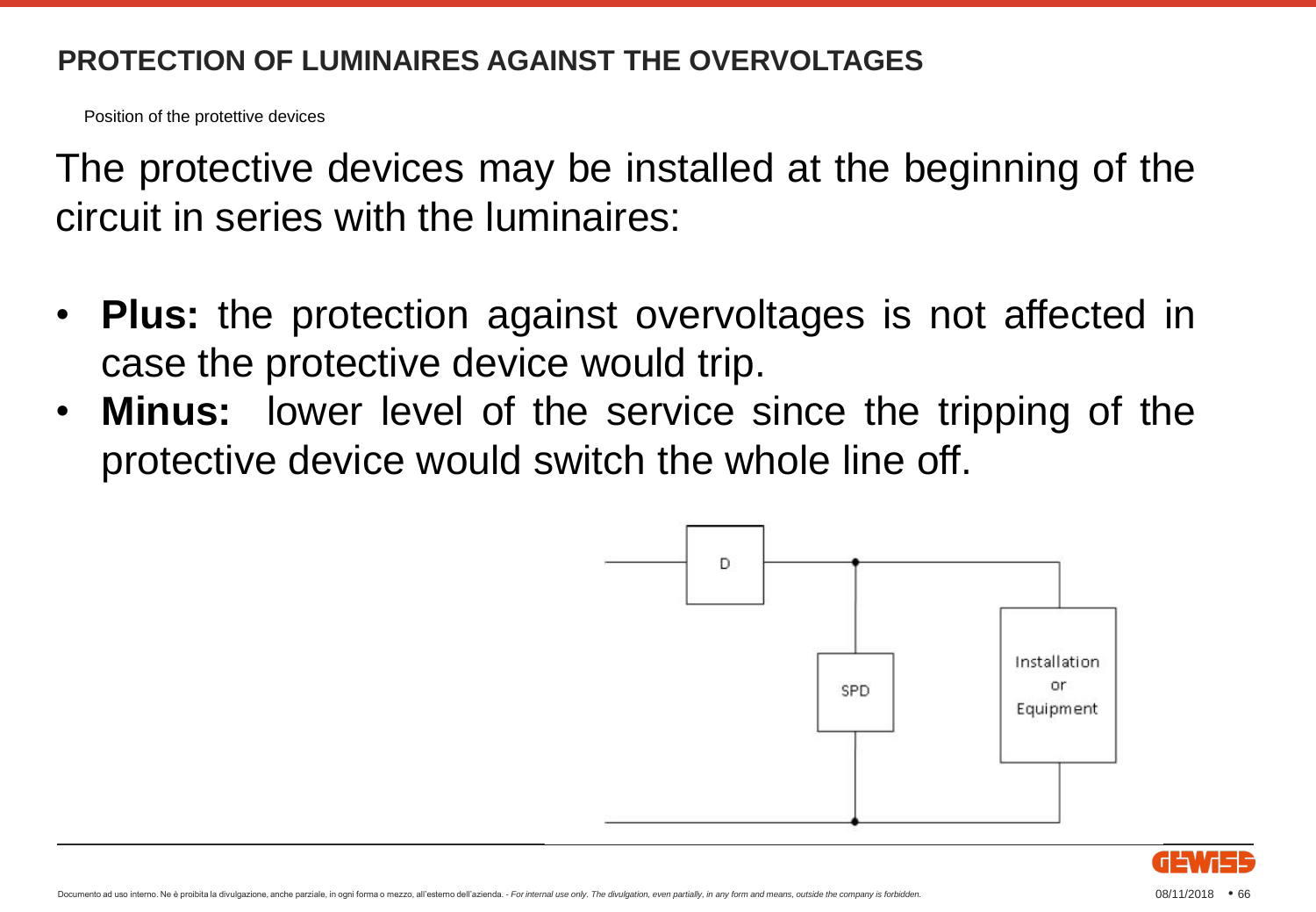Position of the protettive devices

The protective devices may be installed at the beginning of the circuit in series with the luminaires:

- **Plus:** the protection against overvoltages is not affected in case the protective device would trip.
- **Minus:** lower level of the service since the tripping of the protective device would switch the whole line off.



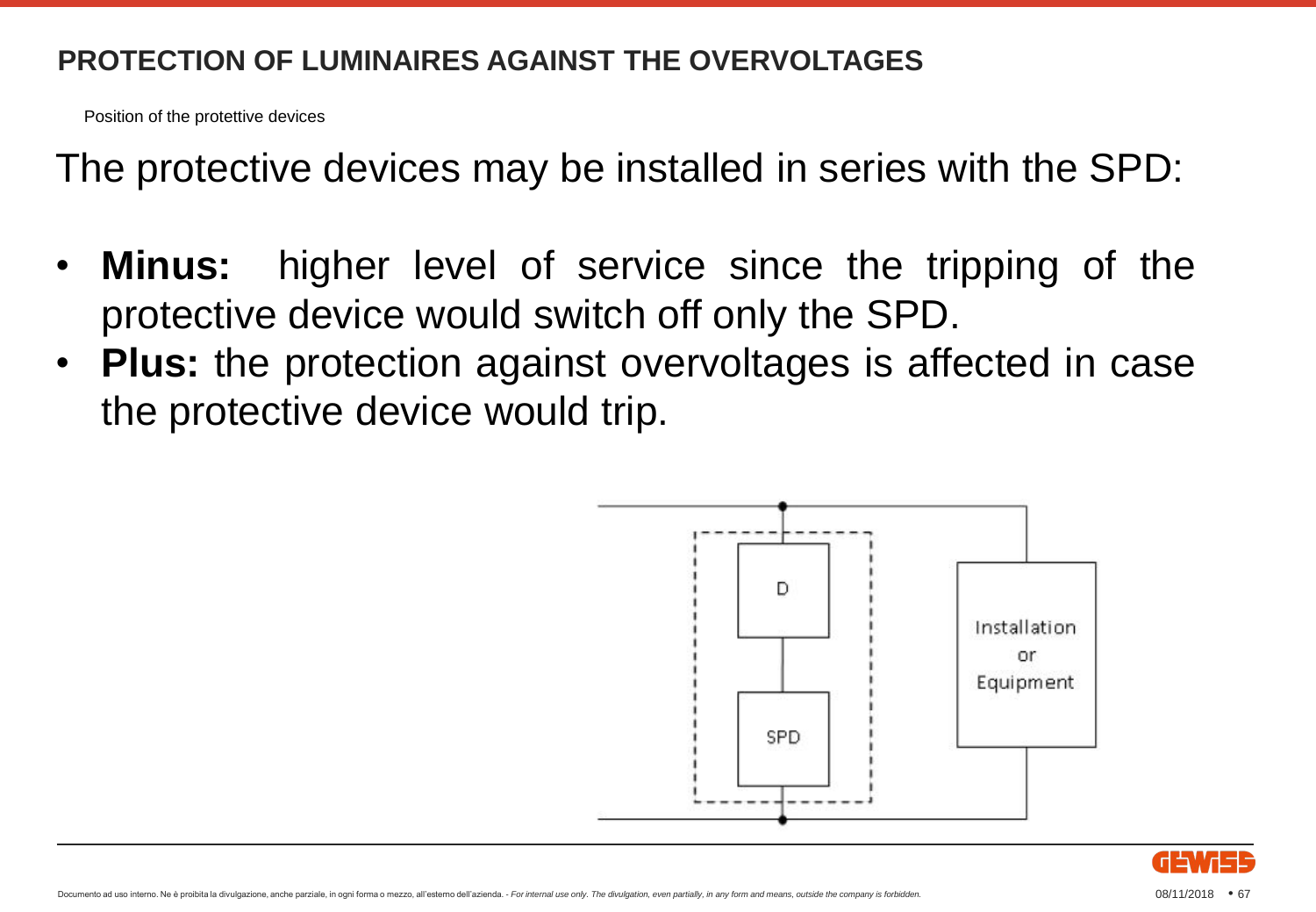Position of the protettive devices

The protective devices may be installed in series with the SPD:

- **Minus:** higher level of service since the tripping of the protective device would switch off only the SPD.
- **Plus:** the protection against overvoltages is affected in case the protective device would trip.



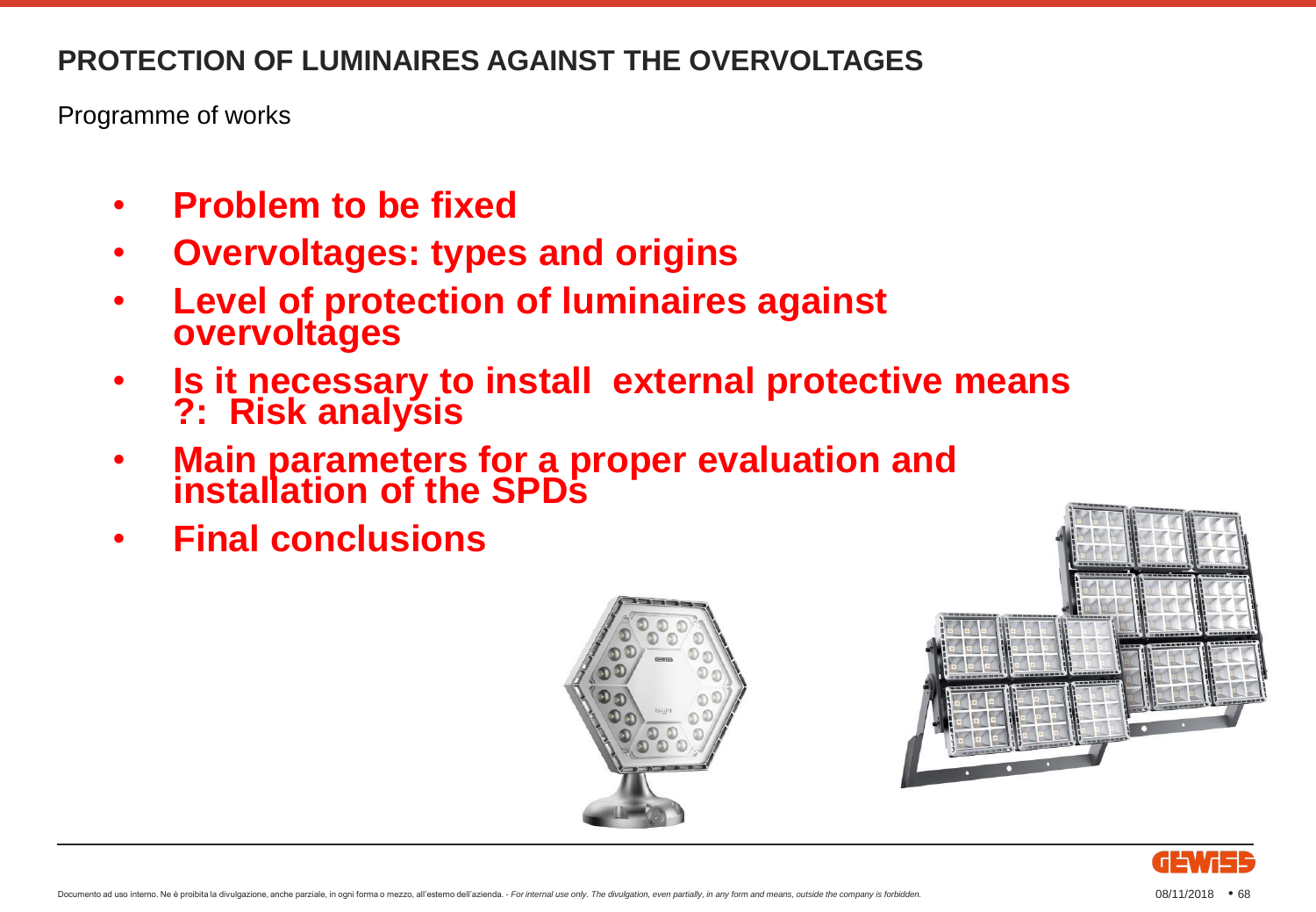Programme of works

- **Problem to be fixed**
- **Overvoltages: types and origins**
- **Level of protection of luminaires against overvoltages**
- **Is it necessary to install external protective means ?: Risk analysis**
- **Main parameters for a proper evaluation and installation of the SPDs**
- **Final conclusions**





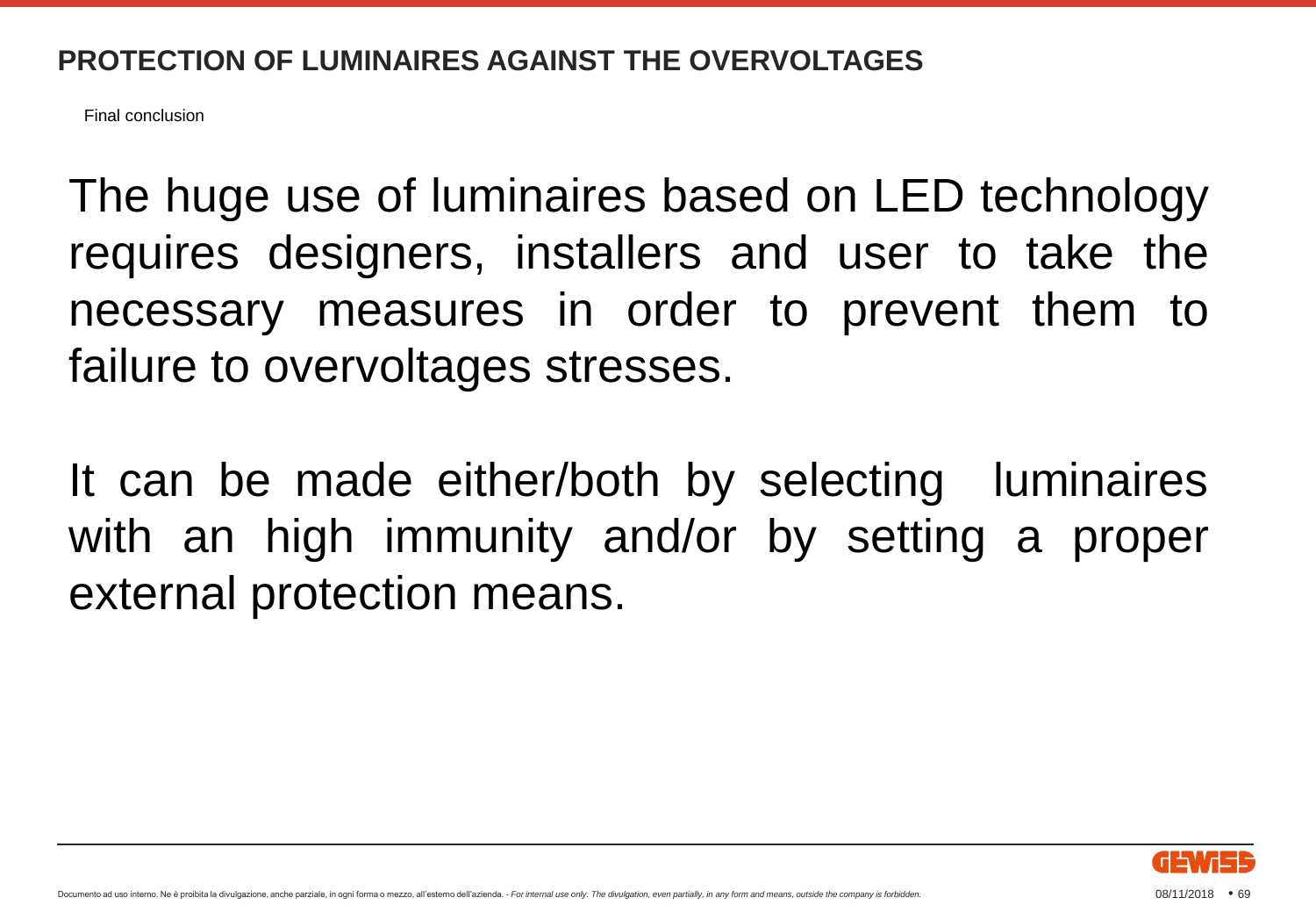Final conclusion

The huge use of luminaires based on LED technology requires designers, installers and user to take the necessary measures in order to prevent them to failure to overvoltages stresses.

It can be made either/both by selecting luminaires with an high immunity and/or by setting a proper external protection means.